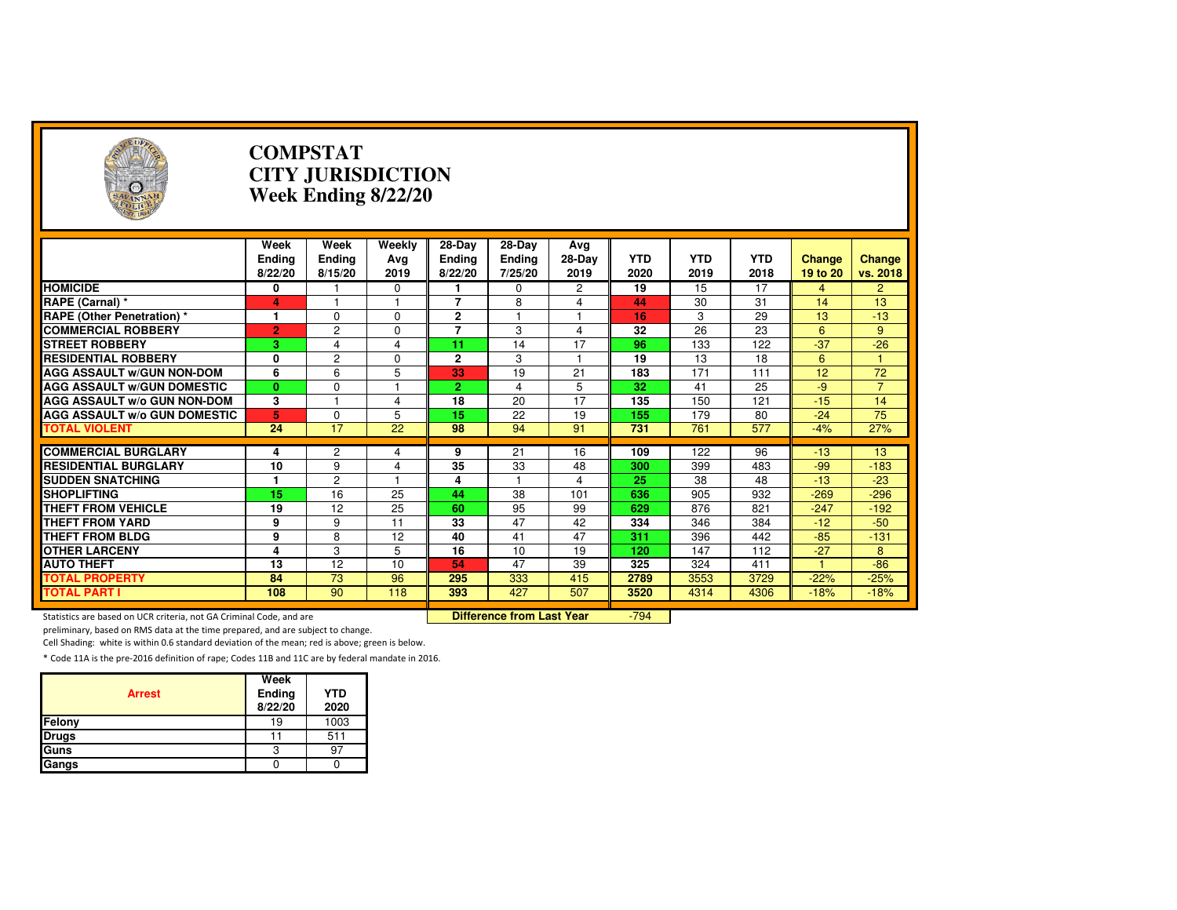| 6                                                                   |                           | <b>COMPSTAT</b><br><b>CITY JURISDICTION</b><br>Week Ending 8/22/20 |                         |                                    |                                    |                       |                    |                    |                    |                    |                    |  |
|---------------------------------------------------------------------|---------------------------|--------------------------------------------------------------------|-------------------------|------------------------------------|------------------------------------|-----------------------|--------------------|--------------------|--------------------|--------------------|--------------------|--|
|                                                                     | Week<br>Ending<br>8/22/20 | Week<br><b>Ending</b><br>8/15/20                                   | Weekly<br>Avg<br>2019   | 28-Day<br><b>Ending</b><br>8/22/20 | 28-Day<br><b>Ending</b><br>7/25/20 | Avg<br>28-Day<br>2019 | <b>YTD</b><br>2020 | <b>YTD</b><br>2019 | <b>YTD</b><br>2018 | Change<br>19 to 20 | Change<br>vs. 2018 |  |
| <b>HOMICIDE</b>                                                     | 0                         |                                                                    | 0                       |                                    | 0                                  | 2                     | 19                 | 15                 | 17                 | 4                  | $\overline{2}$     |  |
| RAPE (Carnal) *                                                     | 4                         | $\overline{1}$                                                     | 1                       | 7                                  | 8                                  | 4                     | 44                 | 30                 | 31                 | 14                 | 13                 |  |
| <b>RAPE (Other Penetration) *</b>                                   | 1                         | $\mathbf 0$                                                        | $\mathbf 0$             | $\overline{2}$                     | $\overline{1}$                     | 1                     | 16                 | 3                  | 29                 | 13                 | $-13$              |  |
| <b>COMMERCIAL ROBBERY</b>                                           | $\overline{2}$            | $\overline{2}$                                                     | $\Omega$                | $\overline{7}$                     | 3                                  | 4                     | 32                 | 26                 | 23                 | 6                  | 9                  |  |
| <b>STREET ROBBERY</b>                                               | 3                         | $\overline{4}$                                                     | $\overline{\mathbf{4}}$ | 11                                 | 14                                 | 17                    | 96                 | 133                | 122                | $-37$              | $-26$              |  |
| <b>RESIDENTIAL ROBBERY</b>                                          | 0                         | $\overline{2}$                                                     | $\Omega$                | $\mathbf{2}$                       | 3                                  | 1                     | 19                 | 13                 | 18                 | 6                  | $\mathbf{1}$       |  |
| <b>AGG ASSAULT W/GUN NON-DOM</b>                                    | $\overline{6}$            | 6                                                                  | 5                       | 33                                 | $\overline{19}$                    | $\overline{21}$       | 183                | 171                | 111                | 12                 | 72                 |  |
| <b>AGG ASSAULT W/GUN DOMESTIC</b>                                   | $\mathbf{0}$              | $\Omega$                                                           |                         | $\overline{2}$                     | 4                                  | $\overline{5}$        | 32                 | 41                 | 25                 | $-9$               | $\overline{7}$     |  |
| AGG ASSAULT w/o GUN NON-DOM                                         | 3                         |                                                                    | 4                       | 18                                 | 20                                 | 17                    | 135                | 150                | 121                | $-15$              | 14                 |  |
| <b>AGG ASSAULT W/o GUN DOMESTIC</b>                                 | 5                         | $\Omega$                                                           | 5                       | 15                                 | 22                                 | 19                    | 155                | 179                | 80                 | $-24$              | 75                 |  |
| <b>TOTAL VIOLENT</b>                                                | 24                        | 17                                                                 | 22                      | 98                                 | 94                                 | 91                    | 731                | 761                | 577                | $-4%$              | 27%                |  |
|                                                                     |                           |                                                                    |                         |                                    |                                    |                       |                    |                    |                    |                    |                    |  |
| <b>COMMERCIAL BURGLARY</b>                                          | 4                         | 2                                                                  | 4                       | 9                                  | 21                                 | 16                    | 109                | 122                | 96                 | $-13$              | 13                 |  |
| <b>RESIDENTIAL BURGLARY</b>                                         | 10                        | 9                                                                  | $\overline{\mathbf{4}}$ | 35                                 | 33                                 | 48                    | 300                | 399                | 483                | $-99$              | $-183$             |  |
| <b>SUDDEN SNATCHING</b>                                             | 1                         | $\overline{2}$                                                     | 1                       | 4                                  | 1                                  | 4                     | 25                 | 38                 | 48                 | $-13$              | $-23$              |  |
| <b>SHOPLIFTING</b>                                                  | $\overline{15}$           | 16                                                                 | $\overline{25}$         | 44                                 | 38                                 | 101                   | 636                | 905                | 932                | $-269$             | $-296$             |  |
| <b>THEFT FROM VEHICLE</b>                                           | 19                        | 12                                                                 | 25                      | 60                                 | 95                                 | 99                    | 629                | 876                | 821                | $-247$             | $-192$             |  |
| <b>THEFT FROM YARD</b>                                              | 9                         | 9                                                                  | 11                      | 33                                 | 47                                 | 42                    | 334                | 346                | 384                | $-12$              | $-50$              |  |
| <b>THEFT FROM BLDG</b>                                              | 9                         | $\overline{8}$                                                     | $\overline{12}$         | 40                                 | 41                                 | 47                    | 311                | 396                | 442                | $-85$              | $-131$             |  |
| <b>OTHER LARCENY</b>                                                | 4                         | 3                                                                  | 5                       | 16                                 | 10                                 | 19                    | 120                | 147                | 112                | $-27$              | 8                  |  |
| <b>AUTO THEFT</b>                                                   | 13                        | 12                                                                 | 10                      | 54                                 | 47                                 | 39                    | 325                | 324                | 411                |                    | $-86$              |  |
| <b>TOTAL PROPERTY</b>                                               | 84                        | $\overline{73}$                                                    | 96                      | 295                                | 333                                | 415                   | 2789               | 3553               | 3729               | $-22%$             | $-25%$             |  |
| <b>TOTAL PART I</b>                                                 | 108                       | 90                                                                 | 118                     | 393                                | 427                                | 507                   | 3520               | 4314               | 4306               | $-18%$             | $-18%$             |  |
| Statistics are based on UCR criteria, not GA Criminal Code, and are |                           |                                                                    |                         |                                    | <b>Difference from Last Year</b>   |                       | $-794$             |                    |                    |                    |                    |  |

preliminary, based on RMS data at the time prepared, and are subject to change.

Cell Shading: white is within 0.6 standard deviation of the mean; red is above; green is below.

| <b>Arrest</b> | Week<br>Ending<br>8/22/20 | <b>YTD</b><br>2020 |
|---------------|---------------------------|--------------------|
| Felony        | 19                        | 1003               |
| <b>Drugs</b>  |                           | 511                |
| Guns          |                           | 97                 |
| Gangs         |                           |                    |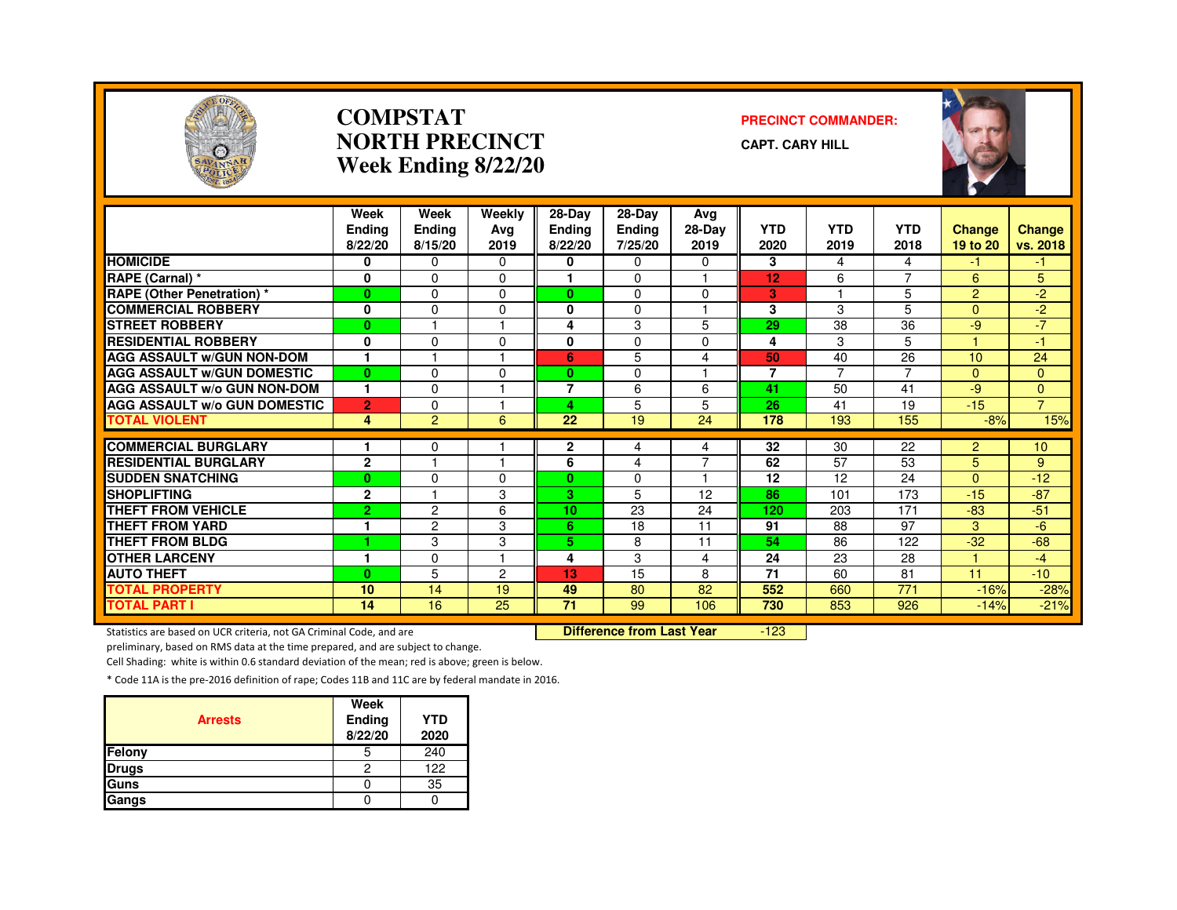

#### **COMPSTATNORTH PRECINCTWeek Ending 8/22/20**

#### **PRECINCT COMMANDER:**

**CAPT. CARY HILL**



|                                     | Week<br><b>Endina</b> | Week<br>Ending | Weekly<br>Ava   | 28-Day<br><b>Ending</b> | $28-Dav$<br>Ending | Avg<br>28-Day       | <b>YTD</b>     | <b>YTD</b>              | <b>YTD</b>     | Change         | <b>Change</b>    |
|-------------------------------------|-----------------------|----------------|-----------------|-------------------------|--------------------|---------------------|----------------|-------------------------|----------------|----------------|------------------|
|                                     | 8/22/20               | 8/15/20        | 2019            | 8/22/20                 | 7/25/20            | 2019                | 2020           | 2019                    | 2018           | 19 to 20       | vs. 2018         |
| <b>HOMICIDE</b>                     | 0                     | $\Omega$       | $\Omega$        | 0                       | 0                  | 0                   | 3              | 4                       | 4              | -1             | -1               |
| RAPE (Carnal) *                     | 0                     | $\mathbf 0$    | $\Omega$        |                         | $\mathbf 0$        |                     | 12             | 6                       | $\overline{ }$ | 6              | 5                |
| <b>RAPE (Other Penetration) *</b>   | $\bf{0}$              | $\Omega$       | $\Omega$        | $\mathbf{0}$            | $\Omega$           | $\Omega$            | 3              | $\overline{\mathbf{1}}$ | 5              | $\overline{2}$ | $-2$             |
| <b>COMMERCIAL ROBBERY</b>           | 0                     | $\Omega$       | $\Omega$        | 0                       | $\Omega$           | м                   | 3              | 3                       | 5              | $\Omega$       | $-2$             |
| <b>STREET ROBBERY</b>               | $\bf{0}$              |                |                 | 4                       | 3                  | 5                   | 29             | 38                      | 36             | -9             | $-7$             |
| <b>RESIDENTIAL ROBBERY</b>          | 0                     | $\Omega$       | $\Omega$        | 0                       | $\Omega$           | $\Omega$            | 4              | 3                       | 5              |                | $-1$             |
| <b>AGG ASSAULT w/GUN NON-DOM</b>    | 1                     |                |                 | 6                       | 5                  | 4                   | 50             | 40                      | 26             | 10             | 24               |
| <b>AGG ASSAULT W/GUN DOMESTIC</b>   | $\bf{0}$              | $\Omega$       | $\Omega$        | 0                       | $\Omega$           |                     | $\overline{7}$ | $\overline{7}$          | $\overline{7}$ | $\overline{0}$ | 0                |
| <b>AGG ASSAULT W/o GUN NON-DOM</b>  | 1                     | $\Omega$       |                 | 7                       | 6                  | 6                   | 41             | 50                      | 41             | -9             | $\Omega$         |
| <b>AGG ASSAULT W/o GUN DOMESTIC</b> | $\overline{2}$        | $\Omega$       |                 | 4                       | 5                  | 5                   | 26             | 41                      | 19             | $-15$          | $\overline{7}$   |
| <b>TOTAL VIOLENT</b>                | 4                     | $\overline{2}$ | 6               | 22                      | 19                 | 24                  | 178            | 193                     | 155            | $-8%$          | 15%              |
|                                     |                       |                |                 |                         |                    |                     |                |                         |                |                |                  |
| <b>COMMERCIAL BURGLARY</b>          |                       | 0              |                 | 2                       | 4                  | 4<br>$\overline{7}$ | 32             | 30                      | 22             | $\overline{2}$ | 10 <sup>10</sup> |
| <b>RESIDENTIAL BURGLARY</b>         | $\mathbf{2}$          |                |                 | 6                       | 4                  |                     | 62             | 57                      | 53             | 5              | 9                |
| <b>SUDDEN SNATCHING</b>             | $\bf{0}$              | $\Omega$       | $\Omega$        | $\mathbf{0}$            | $\Omega$           |                     | 12             | 12                      | 24             | $\Omega$       | $-12$            |
| <b>SHOPLIFTING</b>                  | $\mathbf{2}$          |                | 3               | 3.                      | 5                  | 12                  | 86             | 101                     | 173            | $-15$          | $-87$            |
| <b>THEFT FROM VEHICLE</b>           | $\overline{2}$        | $\overline{c}$ | 6               | 10                      | 23                 | 24                  | 120            | 203                     | 171            | $-83$          | $-51$            |
| <b>THEFT FROM YARD</b>              |                       | $\overline{2}$ | 3               | 6                       | 18                 | 11                  | 91             | 88                      | 97             | 3              | $-6$             |
| <b>THEFT FROM BLDG</b>              | 4                     | 3              | 3               | 5.                      | 8                  | 11                  | 54             | 86                      | 122            | $-32$          | $-68$            |
| <b>OTHER LARCENY</b>                | 1                     | $\Omega$       |                 | 4                       | 3                  | 4                   | 24             | 23                      | 28             |                | $-4$             |
| <b>AUTO THEFT</b>                   | $\bf{0}$              | 5              | 2               | 13                      | 15                 | 8                   | 71             | 60                      | 81             | 11             | $-10$            |
| <b>TOTAL PROPERTY</b>               | 10                    | 14             | 19              | 49                      | 80                 | 82                  | 552            | 660                     | 771            | $-16%$         | $-28%$           |
| <b>TOTAL PART I</b>                 | 14                    | 16             | $\overline{25}$ | $\overline{71}$         | 99                 | 106                 | 730            | 853                     | 926            | $-14%$         | $-21%$           |

Statistics are based on UCR criteria, not GA Criminal Code, and are **Difference from Last Year** 

-123

preliminary, based on RMS data at the time prepared, and are subject to change.

Cell Shading: white is within 0.6 standard deviation of the mean; red is above; green is below.

| <b>Arrests</b> | Week<br>Ending<br>8/22/20 | <b>YTD</b><br>2020 |
|----------------|---------------------------|--------------------|
| Felony         | 5                         | 240                |
| <b>Drugs</b>   | 2                         | 122                |
| Guns           |                           | 35                 |
| Gangs          |                           |                    |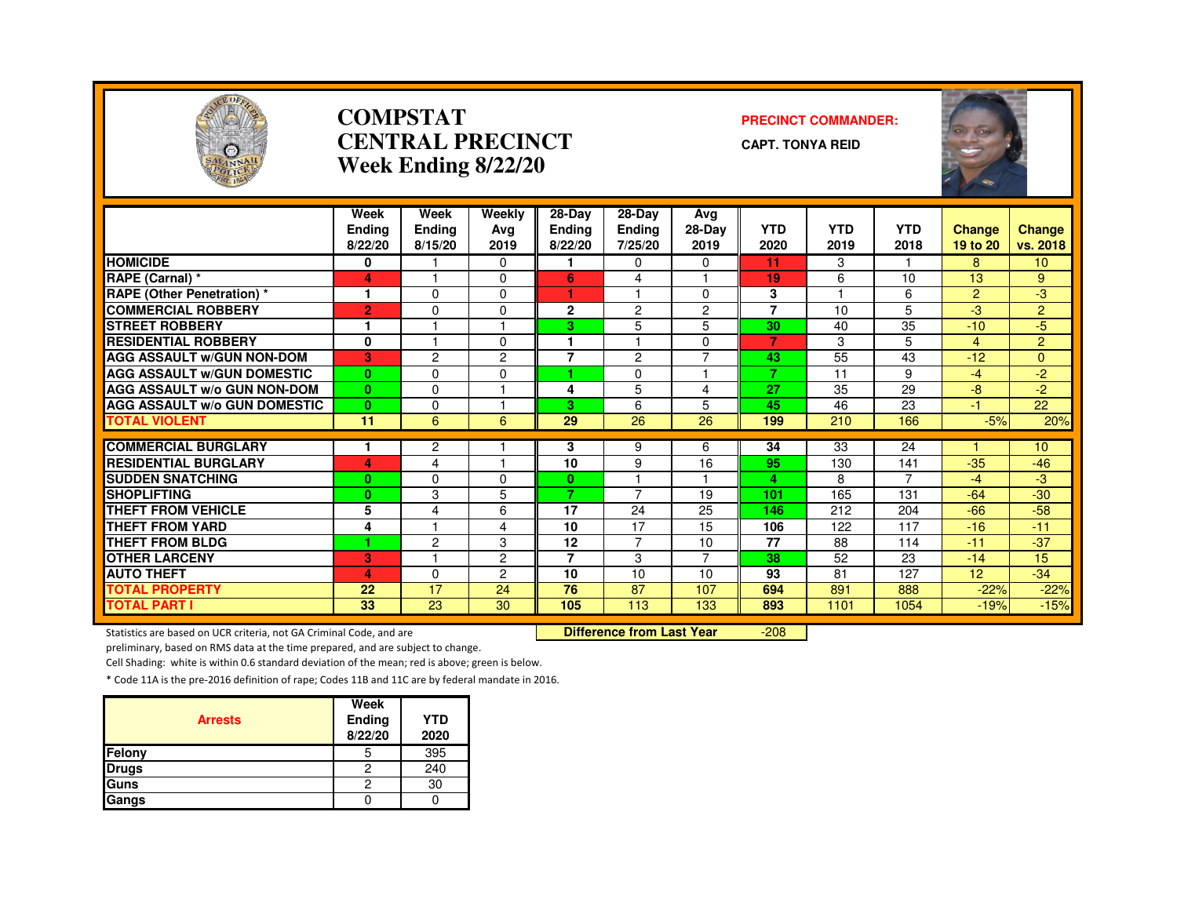

#### **COMPSTATCENTRAL PRECINCTWeek Ending 8/22/20**

#### **PRECINCT COMMANDER:**

**CAPT. TONYA REID**



|                                     | Week<br><b>Ending</b><br>8/22/20 | Week<br><b>Ending</b><br>8/15/20 | Weekly<br>Ava<br>2019 | 28-Day<br><b>Ending</b><br>8/22/20 | $28-Dav$<br>Ending<br>7/25/20 | Avg<br>28-Day<br>2019 | <b>YTD</b><br>2020 | YTD<br>2019 | <b>YTD</b><br>2018 | <b>Change</b><br>19 to 20 | <b>Change</b><br>vs. 2018 |
|-------------------------------------|----------------------------------|----------------------------------|-----------------------|------------------------------------|-------------------------------|-----------------------|--------------------|-------------|--------------------|---------------------------|---------------------------|
| <b>HOMICIDE</b>                     | 0                                |                                  | $\Omega$              |                                    | 0                             | $\Omega$              | 11                 | 3           |                    | 8                         | 10 <sup>1</sup>           |
| RAPE (Carnal) *                     | 4                                | м                                | $\Omega$              | 6                                  | 4                             |                       | 19                 | 6           | 10                 | 13                        | 9                         |
| <b>RAPE (Other Penetration) *</b>   |                                  | $\Omega$                         | 0                     |                                    |                               | 0                     | 3                  |             | 6                  | $\overline{2}$            | -3                        |
| <b>COMMERCIAL ROBBERY</b>           | $\overline{2}$                   | $\Omega$                         | $\Omega$              | $\mathbf{2}$                       | 2                             | $\overline{c}$        | $\overline{7}$     | 10          | 5                  | $-3$                      | $\overline{2}$            |
| <b>STREET ROBBERY</b>               |                                  |                                  |                       | 3.                                 | 5                             | 5                     | 30                 | 40          | 35                 | $-10$                     | $-5$                      |
| <b>RESIDENTIAL ROBBERY</b>          | $\mathbf{0}$                     |                                  | $\Omega$              |                                    |                               | $\Omega$              | $\overline{7}$     | 3           | 5                  | 4                         | $\overline{2}$            |
| <b>AGG ASSAULT W/GUN NON-DOM</b>    | 3                                | $\overline{c}$                   | $\overline{2}$        | $\overline{7}$                     | $\overline{2}$                | $\overline{7}$        | 43                 | 55          | 43                 | $-12$                     | 0                         |
| <b>AGG ASSAULT W/GUN DOMESTIC</b>   | $\mathbf{0}$                     | $\Omega$                         | $\Omega$              | 4.                                 | $\Omega$                      | 1                     | 7                  | 11          | 9                  | $-4$                      | $-2$                      |
| <b>AGG ASSAULT W/o GUN NON-DOM</b>  | $\mathbf{0}$                     | $\Omega$                         |                       | 4                                  | 5                             | 4                     | 27                 | 35          | 29                 | $-8$                      | $-2$                      |
| <b>AGG ASSAULT W/o GUN DOMESTIC</b> | $\mathbf{0}$                     | $\Omega$                         |                       | 3.                                 | 6                             | 5                     | 45                 | 46          | 23                 | $-1$                      | 22                        |
| <b>TOTAL VIOLENT</b>                | 11                               | 6                                | 6                     | 29                                 | 26                            | 26                    | 199                | 210         | 166                | $-5%$                     | 20%                       |
|                                     |                                  |                                  |                       |                                    |                               |                       |                    |             |                    |                           |                           |
| <b>COMMERCIAL BURGLARY</b>          |                                  | $\overline{2}$                   |                       | 3                                  | 9                             | 6                     | 34                 | 33          | 24                 |                           | 10 <sup>10</sup>          |
| <b>RESIDENTIAL BURGLARY</b>         | 4                                | 4                                |                       | 10                                 | 9                             | 16                    | 95                 | 130         | 141<br>7           | $-35$                     | $-46$                     |
| <b>SUDDEN SNATCHING</b>             | $\bf{0}$                         | $\Omega$                         | $\Omega$              | $\mathbf{0}$<br>7                  | $\overline{7}$                |                       | 4                  | 8           |                    | $-4$                      | -3                        |
| <b>SHOPLIFTING</b>                  | $\bf{0}$                         | 3                                | 5                     |                                    |                               | 19                    | 101                | 165         | 131                | $-64$                     | $-30$                     |
| <b>THEFT FROM VEHICLE</b>           | 5                                | $\overline{4}$                   | 6                     | 17                                 | 24                            | 25                    | 146                | 212         | 204                | $-66$                     | $-58$                     |
| THEFT FROM YARD                     | 4                                |                                  | 4                     | 10                                 | 17                            | 15                    | 106                | 122         | 117                | $-16$                     | $-11$                     |
| <b>THEFT FROM BLDG</b>              | 1                                | $\overline{c}$                   | 3                     | 12                                 | $\overline{7}$                | 10                    | 77                 | 88          | 114                | $-11$                     | $-37$                     |
| <b>OTHER LARCENY</b>                | 3                                |                                  | $\overline{2}$        | 7                                  | 3                             | 7                     | 38                 | 52          | 23                 | $-14$                     | 15                        |
| <b>AUTO THEFT</b>                   | 4                                | $\Omega$                         | $\overline{2}$        | 10                                 | 10                            | 10                    | 93                 | 81          | 127                | 12                        | $-34$                     |
| TOTAL PROPERTY                      | 22                               | 17                               | 24                    | 76                                 | 87                            | 107                   | 694                | 891         | 888                | $-22%$                    | $-22%$                    |
| <b>TOTAL PART I</b>                 | 33                               | 23                               | 30                    | 105                                | 113                           | 133                   | 893                | 1101        | 1054               | $-19%$                    | $-15%$                    |

Statistics are based on UCR criteria, not GA Criminal Code, and are **Difference from Last Year** 

-208

preliminary, based on RMS data at the time prepared, and are subject to change.

Cell Shading: white is within 0.6 standard deviation of the mean; red is above; green is below.

| <b>Arrests</b> | Week<br>Ending<br>8/22/20 | <b>YTD</b><br>2020 |
|----------------|---------------------------|--------------------|
| Felony         | 5                         | 395                |
| <b>Drugs</b>   | 2                         | 240                |
| Guns           | 2                         | 30                 |
| Gangs          |                           |                    |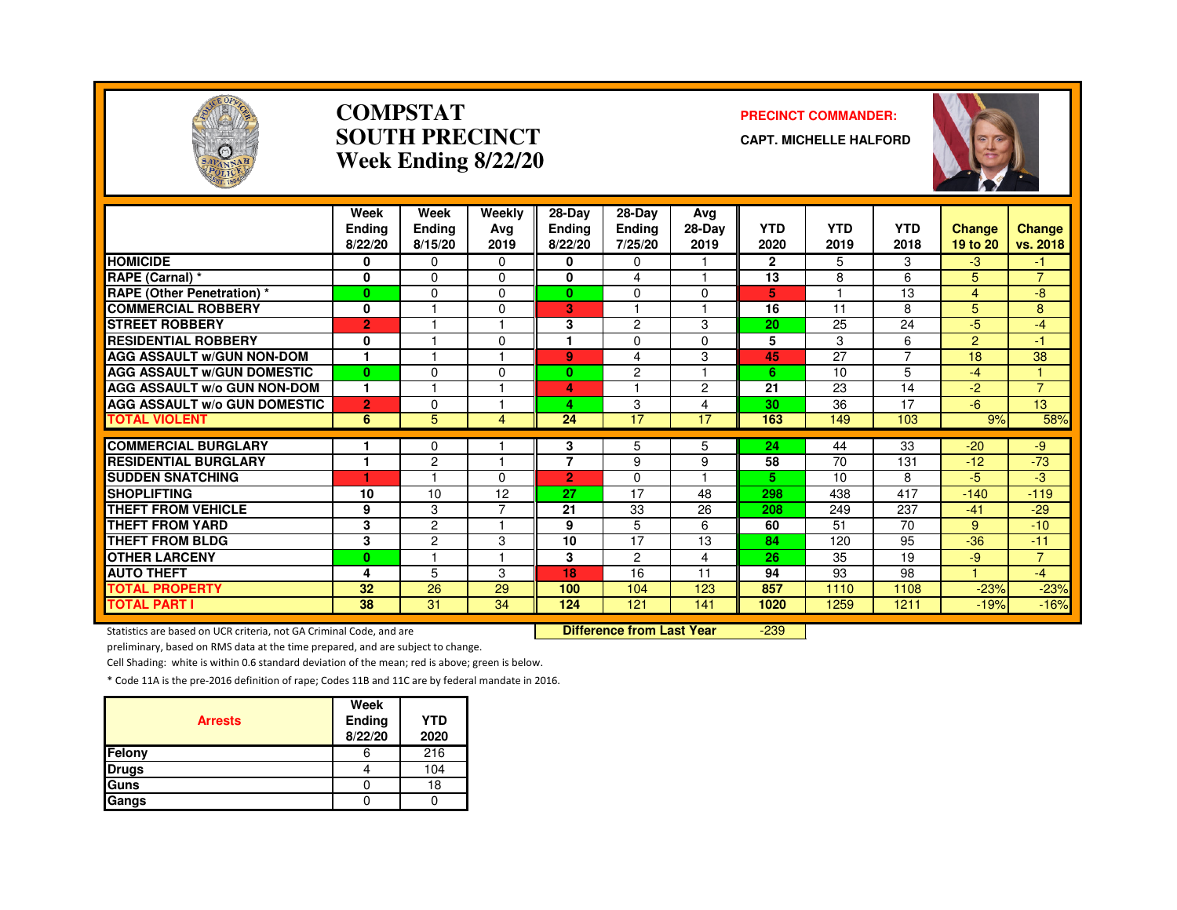

#### **COMPSTATSOUTH PRECINCTWeek Ending 8/22/20**

#### **PRECINCT COMMANDER:**

**CAPT. MICHELLE HALFORD**



|                                     | Week<br><b>Endina</b><br>8/22/20 | Week<br>Ending<br>8/15/20 | Weekly<br>Avg<br>2019   | 28-Day<br><b>Endina</b><br>8/22/20 | 28-Day<br><b>Ending</b><br>7/25/20 | Avg<br>28-Day<br>2019 | <b>YTD</b><br>2020 | <b>YTD</b><br>2019 | <b>YTD</b><br>2018 | <b>Change</b><br>19 to 20 | Change<br>vs. 2018   |
|-------------------------------------|----------------------------------|---------------------------|-------------------------|------------------------------------|------------------------------------|-----------------------|--------------------|--------------------|--------------------|---------------------------|----------------------|
| <b>HOMICIDE</b>                     | 0                                | $\Omega$                  | $\Omega$                | 0                                  | $\mathbf{0}$                       |                       | $\overline{2}$     | 5                  | 3                  | $-3$                      | -1.                  |
| RAPE (Carnal) *                     | $\mathbf 0$                      | $\Omega$                  | $\Omega$                | 0                                  | 4                                  |                       | 13                 | 8                  | 6                  | 5                         | $\overline{7}$       |
| <b>RAPE (Other Penetration) *</b>   | $\bf{0}$                         | $\Omega$                  | $\Omega$                | 0                                  | $\Omega$                           | $\Omega$              | 5                  | н                  | 13                 | $\overline{4}$            | -8                   |
| <b>COMMERCIAL ROBBERY</b>           | 0                                |                           | $\Omega$                | 3.                                 |                                    |                       | 16                 | 11                 | 8                  | 5                         | 8                    |
| <b>STREET ROBBERY</b>               | $\overline{2}$                   |                           |                         | 3                                  | 2                                  | 3                     | 20                 | 25                 | 24                 | -5                        | $-4$                 |
| <b>RESIDENTIAL ROBBERY</b>          | 0                                |                           | $\Omega$                |                                    | $\Omega$                           | $\Omega$              | 5                  | 3                  | 6                  | 2                         | -1                   |
| <b>AGG ASSAULT w/GUN NON-DOM</b>    | $\mathbf{1}$                     |                           |                         | 9                                  | 4                                  | 3                     | 45                 | 27                 | $\overline{7}$     | 18                        | 38                   |
| <b>AGG ASSAULT W/GUN DOMESTIC</b>   | $\mathbf{0}$                     | $\Omega$                  | $\Omega$                | $\mathbf{0}$                       | $\overline{2}$                     |                       | 6                  | 10                 | 5                  | $-4$                      | $\blacktriangleleft$ |
| AGG ASSAULT w/o GUN NON-DOM         | $\mathbf{1}$                     |                           |                         | 4                                  |                                    | $\overline{2}$        | 21                 | 23                 | 14                 | -2                        | $\overline{7}$       |
| <b>AGG ASSAULT W/o GUN DOMESTIC</b> | $\overline{2}$                   | $\Omega$                  |                         | 4                                  | 3                                  | 4                     | 30                 | 36                 | 17                 | -6                        | 13                   |
| <b>TOTAL VIOLENT</b>                | 6                                | 5                         | 4                       | 24                                 | 17                                 | 17                    | 163                | 149                | 103                | 9%                        | 58%                  |
|                                     |                                  |                           |                         |                                    |                                    |                       |                    |                    |                    |                           |                      |
| <b>COMMERCIAL BURGLARY</b>          | и                                | 0                         | $\overline{\mathbf{1}}$ | 3<br>$\overline{7}$                | 5                                  | 5                     | 24                 | 44                 | 33                 | $-20$                     | -9                   |
| <b>RESIDENTIAL BURGLARY</b>         | ٠                                | 2                         |                         |                                    | 9                                  | 9                     | 58                 | 70                 | 131                | $-12$                     | $-73$                |
| <b>SUDDEN SNATCHING</b>             |                                  |                           | $\Omega$                | $\overline{2}$                     | $\Omega$                           |                       | 5                  | 10                 | 8                  | -5                        | -3                   |
| <b>SHOPLIFTING</b>                  | 10                               | 10                        | 12                      | 27                                 | 17                                 | 48                    | 298                | 438                | 417                | $-140$                    | $-119$               |
| <b>THEFT FROM VEHICLE</b>           | 9                                | 3                         | ⇁                       | 21                                 | 33                                 | 26                    | 208                | 249                | 237                | $-41$                     | $-29$                |
| <b>THEFT FROM YARD</b>              | 3                                | $\overline{c}$            |                         | 9                                  | 5                                  | 6                     | 60                 | 51                 | 70                 | 9                         | $-10$                |
| <b>THEFT FROM BLDG</b>              | 3                                | $\overline{c}$            | 3                       | 10                                 | 17                                 | 13                    | 84                 | 120                | 95                 | $-36$                     | $-11$                |
| <b>OTHER LARCENY</b>                | $\bf{0}$                         |                           |                         | 3                                  | $\overline{c}$                     | 4                     | 26                 | 35                 | 19                 | -9                        | $\overline{7}$       |
| <b>AUTO THEFT</b>                   | 4                                | 5                         | 3                       | 18                                 | 16                                 | 11                    | 94                 | 93                 | 98                 | $\blacktriangleleft$      | $-4$                 |
| <b>TOTAL PROPERTY</b>               | 32                               | 26                        | 29                      | 100                                | 104                                | 123                   | 857                | 1110               | 1108               | $-23%$                    | $-23%$               |
| <b>TOTAL PART I</b>                 | 38                               | 31                        | 34                      | 124                                | 121                                | 141                   | 1020               | 1259               | 1211               | $-19%$                    | $-16%$               |

Statistics are based on UCR criteria, not GA Criminal Code, and are **Difference from Last Year** 

-239

preliminary, based on RMS data at the time prepared, and are subject to change.

Cell Shading: white is within 0.6 standard deviation of the mean; red is above; green is below.

| <b>Arrests</b> | Week<br>Ending<br>8/22/20 | <b>YTD</b><br>2020 |
|----------------|---------------------------|--------------------|
| Felony         | o                         | 216                |
| <b>Drugs</b>   |                           | 104                |
| Guns           |                           | 18                 |
| Gangs          |                           |                    |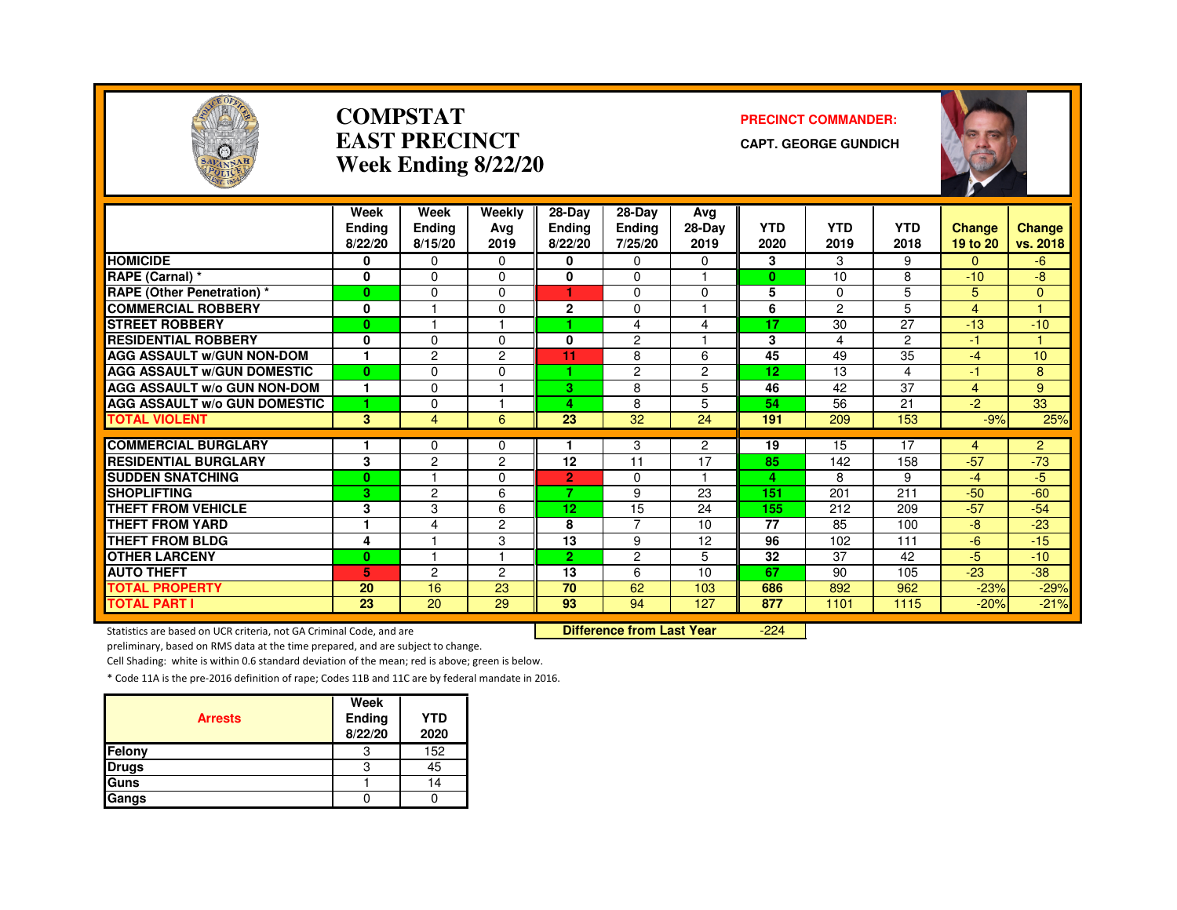

#### **COMPSTATEAST PRECINCTWeek Ending 8/22/20**

#### **PRECINCT COMMANDER:**

**CAPT. GEORGE GUNDICH**



|                                     | Week<br><b>Ending</b><br>8/22/20 | Week<br>Ending<br>8/15/20 | Weekly<br>Avg<br>2019 | $28-Dav$<br>Ending<br>8/22/20 | 28-Dav<br><b>Ending</b><br>7/25/20 | Ava<br>28-Day<br>2019 | <b>YTD</b><br>2020 | <b>YTD</b><br>2019 | <b>YTD</b><br>2018 | <b>Change</b><br>19 to 20 | <b>Change</b><br>vs. 2018 |
|-------------------------------------|----------------------------------|---------------------------|-----------------------|-------------------------------|------------------------------------|-----------------------|--------------------|--------------------|--------------------|---------------------------|---------------------------|
| <b>HOMICIDE</b>                     | 0                                | $\Omega$                  | $\Omega$              | 0                             | 0                                  | 0                     | 3                  | 3                  | 9                  | 0                         | $-6$                      |
| RAPE (Carnal) *                     | 0                                | $\Omega$                  | $\Omega$              | $\bf{0}$                      | 0                                  | ٠                     | $\bf{0}$           | 10                 | 8                  | $-10$                     | -8                        |
| <b>RAPE (Other Penetration) *</b>   | $\bf{0}$                         | $\Omega$                  | $\Omega$              | 1                             | 0                                  | $\Omega$              | 5                  | $\Omega$           | 5                  | 5                         | $\Omega$                  |
| <b>COMMERCIAL ROBBERY</b>           | 0                                |                           | $\Omega$              | $\mathbf{2}$                  | 0                                  | ۰                     | 6                  | 2                  | 5                  | 4                         |                           |
| <b>STREET ROBBERY</b>               | $\bf{0}$                         |                           |                       |                               | 4                                  | 4                     | 17                 | 30                 | 27                 | $-13$                     | $-10$                     |
| <b>RESIDENTIAL ROBBERY</b>          | 0                                | $\Omega$                  | 0                     | 0                             | $\overline{c}$                     |                       | 3                  | 4                  | $\overline{2}$     | -1.                       |                           |
| <b>AGG ASSAULT w/GUN NON-DOM</b>    | $\mathbf{1}$                     | $\overline{c}$            | $\overline{c}$        | 11                            | 8                                  | 6                     | 45                 | 49                 | 35                 | -4                        | 10                        |
| <b>AGG ASSAULT W/GUN DOMESTIC</b>   | $\mathbf{0}$                     | $\Omega$                  | $\Omega$              |                               | $\overline{c}$                     | $\overline{c}$        | 12                 | 13                 | 4                  | $-1$                      | 8                         |
| <b>AGG ASSAULT w/o GUN NON-DOM</b>  | $\mathbf{1}$                     | $\Omega$                  |                       | 3.                            | 8                                  | 5                     | 46                 | 42                 | 37                 | 4                         | 9                         |
| <b>AGG ASSAULT W/o GUN DOMESTIC</b> | 1                                | $\Omega$                  |                       | 4                             | 8                                  | 5                     | 54                 | 56                 | 21                 | $-2$                      | 33                        |
| <b>TOTAL VIOLENT</b>                | 3                                | $\overline{4}$            | 6                     | 23                            | 32                                 | 24                    | 191                | 209                | 153                | $-9%$                     | 25%                       |
|                                     |                                  |                           |                       |                               |                                    |                       |                    |                    |                    |                           |                           |
| <b>COMMERCIAL BURGLARY</b>          |                                  | $\Omega$                  | 0                     |                               | 3                                  | $\overline{2}$        | 19                 | 15                 | 17                 | 4                         | $\overline{2}$            |
| <b>RESIDENTIAL BURGLARY</b>         | 3                                | $\overline{c}$            | $\overline{2}$        | 12                            | 11                                 | 17<br>1               | 85                 | 142                | 158                | $-57$                     | $-73$                     |
| <b>SUDDEN SNATCHING</b>             | $\bf{0}$                         |                           | $\Omega$              | $\overline{2}$<br>7           | 0                                  |                       | 4                  | 8                  | 9                  | $-4$                      | $-5$                      |
| <b>SHOPLIFTING</b>                  | 3                                | 2                         | 6                     |                               | 9                                  | 23                    | 151                | 201                | 211                | $-50$                     | $-60$                     |
| <b>THEFT FROM VEHICLE</b>           | 3<br>1                           | 3                         | 6                     | 12 <sub>2</sub>               | 15                                 | 24                    | 155                | 212                | 209                | $-57$                     | $-54$                     |
| <b>THEFT FROM YARD</b>              |                                  | 4                         | 2                     | 8                             | 7                                  | 10                    | 77                 | 85                 | 100                | -8                        | $-23$                     |
| <b>THEFT FROM BLDG</b>              | 4                                |                           | 3                     | 13                            | 9                                  | 12                    | 96                 | 102                | 111                | $-6$                      | $-15$                     |
| <b>OTHER LARCENY</b>                | $\bf{0}$                         |                           |                       | $\mathbf{2}$                  | $\overline{c}$                     | 5                     | 32                 | 37                 | 42                 | $-5$                      | $-10$                     |
| <b>AUTO THEFT</b>                   | 5                                | $\overline{c}$            | $\overline{c}$        | 13                            | 6                                  | 10                    | 67                 | 90                 | 105                | $-23$                     | $-38$                     |
| <b>TOTAL PROPERTY</b>               | 20                               | 16                        | 23                    | 70                            | 62                                 | 103                   | 686                | 892                | 962                | $-23%$                    | $-29%$                    |
| <b>TOTAL PART I</b>                 | 23                               | 20                        | 29                    | 93                            | 94                                 | 127                   | 877                | 1101               | 1115               | $-20%$                    | $-21%$                    |

Statistics are based on UCR criteria, not GA Criminal Code, and are **Difference from Last Year** 

-224

preliminary, based on RMS data at the time prepared, and are subject to change.

Cell Shading: white is within 0.6 standard deviation of the mean; red is above; green is below.

| <b>Arrests</b> | Week<br>Ending<br>8/22/20 | <b>YTD</b><br>2020 |
|----------------|---------------------------|--------------------|
| Felony         | 3                         | 152                |
| <b>Drugs</b>   | З                         | 45                 |
| Guns           |                           | 14                 |
| Gangs          |                           |                    |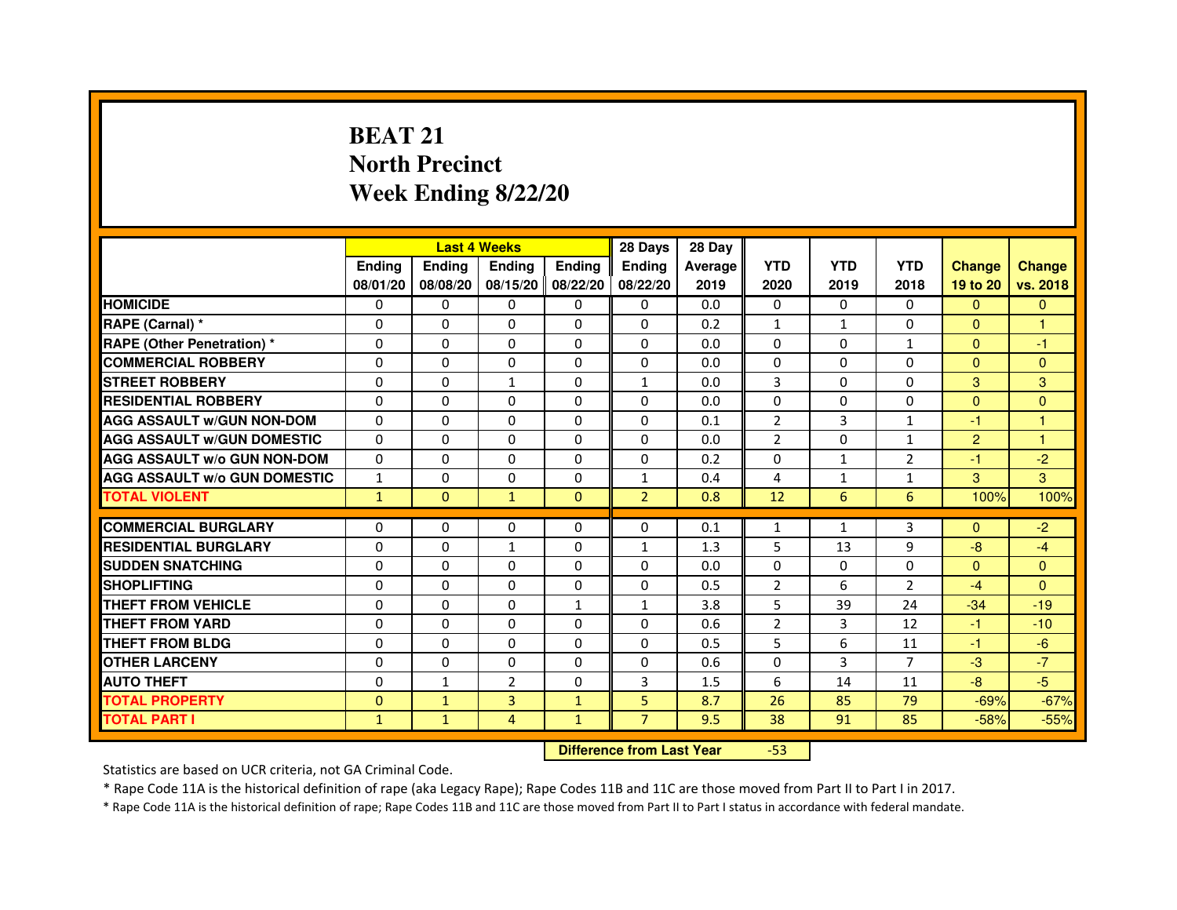# **BEAT 21 North PrecinctWeek Ending 8/22/20**

|                                     |               | <b>Last 4 Weeks</b>              |                   |               | 28 Days        | 28 Day  |                |              |                |                |               |
|-------------------------------------|---------------|----------------------------------|-------------------|---------------|----------------|---------|----------------|--------------|----------------|----------------|---------------|
|                                     | <b>Ending</b> | Ending                           | <b>Ending</b>     | <b>Ending</b> | <b>Ending</b>  | Average | <b>YTD</b>     | <b>YTD</b>   | <b>YTD</b>     | <b>Change</b>  | <b>Change</b> |
|                                     | 08/01/20      | 08/08/20                         | 08/15/20 08/22/20 |               | 08/22/20       | 2019    | 2020           | 2019         | 2018           | 19 to 20       | vs. 2018      |
| <b>HOMICIDE</b>                     | 0             | $\Omega$                         | $\Omega$          | $\Omega$      | 0              | 0.0     | $\Omega$       | $\Omega$     | $\Omega$       | $\Omega$       | $\Omega$      |
| RAPE (Carnal) *                     | 0             | 0                                | 0                 | 0             | 0              | 0.2     | $\mathbf{1}$   | $\mathbf{1}$ | 0              | $\Omega$       | 1             |
| <b>RAPE (Other Penetration)*</b>    | 0             | 0                                | $\Omega$          | 0             | $\Omega$       | 0.0     | $\Omega$       | $\mathbf{0}$ | $\mathbf{1}$   | $\Omega$       | $-1$          |
| <b>COMMERCIAL ROBBERY</b>           | $\Omega$      | $\Omega$                         | $\Omega$          | $\Omega$      | $\Omega$       | 0.0     | $\Omega$       | $\Omega$     | $\Omega$       | $\Omega$       | $\Omega$      |
| <b>STREET ROBBERY</b>               | $\Omega$      | $\Omega$                         | $\mathbf{1}$      | $\Omega$      | $\mathbf{1}$   | 0.0     | 3              | $\mathbf{0}$ | $\Omega$       | 3              | 3             |
| <b>RESIDENTIAL ROBBERY</b>          | $\Omega$      | $\Omega$                         | $\Omega$          | $\Omega$      | 0              | 0.0     | $\Omega$       | $\mathbf{0}$ | 0              | $\mathbf{0}$   | $\Omega$      |
| <b>AGG ASSAULT w/GUN NON-DOM</b>    | $\Omega$      | $\Omega$                         | $\mathbf 0$       | $\Omega$      | $\Omega$       | 0.1     | $\overline{2}$ | 3            | $\mathbf{1}$   | $-1$           | $\mathbf{1}$  |
| <b>AGG ASSAULT w/GUN DOMESTIC</b>   | $\Omega$      | $\Omega$                         | $\Omega$          | $\Omega$      | $\Omega$       | 0.0     | $\overline{2}$ | $\Omega$     | $\mathbf{1}$   | $\overline{2}$ | $\mathbf{1}$  |
| <b>AGG ASSAULT W/o GUN NON-DOM</b>  | 0             | 0                                | 0                 | 0             | 0              | 0.2     | 0              | 1            | 2              | $-1$           | $-2$          |
| <b>AGG ASSAULT w/o GUN DOMESTIC</b> | $\mathbf{1}$  | $\mathbf 0$                      | $\Omega$          | 0             | $\mathbf{1}$   | 0.4     | 4              | $\mathbf{1}$ | $\mathbf{1}$   | 3              | 3             |
| <b>TOTAL VIOLENT</b>                | $\mathbf{1}$  | $\mathbf{0}$                     | $\mathbf{1}$      | $\mathbf{0}$  | $\overline{2}$ | 0.8     | 12             | 6            | 6              | 100%           | 100%          |
| <b>COMMERCIAL BURGLARY</b>          | $\Omega$      | $\Omega$                         | 0                 | 0             | 0              | 0.1     | $\mathbf{1}$   | $\mathbf{1}$ | 3              | $\mathbf{0}$   | $-2$          |
| <b>RESIDENTIAL BURGLARY</b>         | $\Omega$      | $\Omega$                         | $\mathbf{1}$      | $\Omega$      | $\mathbf{1}$   | 1.3     | 5              | 13           | 9              | $-8$           | $-4$          |
| <b>SUDDEN SNATCHING</b>             | $\Omega$      | $\Omega$                         | $\Omega$          | $\Omega$      | $\Omega$       | 0.0     | $\Omega$       | $\Omega$     | $\Omega$       | $\Omega$       | $\Omega$      |
| <b>SHOPLIFTING</b>                  | 0             | 0                                | 0                 | 0             | 0              | 0.5     | $\overline{2}$ | 6            | $\overline{2}$ | $-4$           | $\Omega$      |
| <b>THEFT FROM VEHICLE</b>           | $\Omega$      | $\Omega$                         | $\Omega$          | $\mathbf{1}$  | $\mathbf{1}$   | 3.8     | 5              | 39           | 24             | $-34$          | $-19$         |
| <b>THEFT FROM YARD</b>              | $\mathbf 0$   | 0                                | $\mathbf 0$       | 0             | $\mathbf 0$    | 0.6     | $\overline{2}$ | 3            | 12             | $-1$           | $-10$         |
| <b>THEFT FROM BLDG</b>              | $\Omega$      | $\Omega$                         | $\Omega$          | $\Omega$      | 0              | 0.5     | 5              | 6            | 11             | $-1$           | $-6$          |
| <b>OTHER LARCENY</b>                | $\mathbf 0$   | $\Omega$                         | $\mathbf 0$       | $\Omega$      | 0              | 0.6     | $\Omega$       | 3            | $\overline{7}$ | $-3$           | $-7$          |
| <b>AUTO THEFT</b>                   | $\Omega$      | $\mathbf{1}$                     | $\overline{2}$    | $\Omega$      | 3              | 1.5     | 6              | 14           | 11             | $-8$           | $-5$          |
| <b>TOTAL PROPERTY</b>               | $\Omega$      | $\mathbf{1}$                     | $\overline{3}$    | $\mathbf{1}$  | 5              | 8.7     | 26             | 85           | 79             | $-69%$         | $-67%$        |
| <b>TOTAL PART I</b>                 | $\mathbf{1}$  | $\mathbf{1}$                     | 4                 | $\mathbf{1}$  | $\overline{7}$ | 9.5     | 38             | 91           | 85             | $-58%$         | $-55%$        |
|                                     |               |                                  |                   |               |                |         |                |              |                |                |               |
|                                     |               | <b>Difference from Last Year</b> |                   | $-53$         |                |         |                |              |                |                |               |

Statistics are based on UCR criteria, not GA Criminal Code.

\* Rape Code 11A is the historical definition of rape (aka Legacy Rape); Rape Codes 11B and 11C are those moved from Part II to Part I in 2017.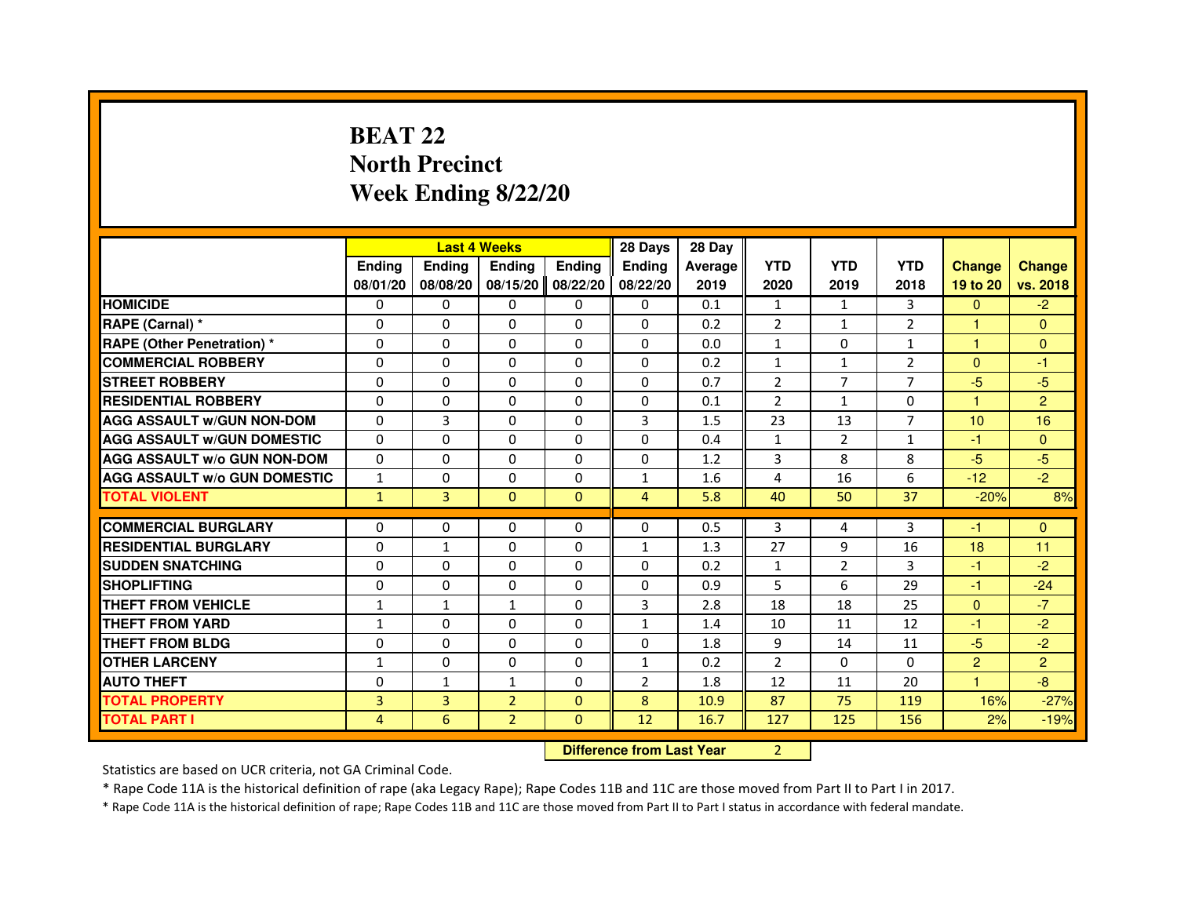# **BEAT 22 North PrecinctWeek Ending 8/22/20**

|                                     |                |               | <b>Last 4 Weeks</b> |               | 28 Days                          | 28 Day  |                |                |                |                      |                |
|-------------------------------------|----------------|---------------|---------------------|---------------|----------------------------------|---------|----------------|----------------|----------------|----------------------|----------------|
|                                     | <b>Ending</b>  | <b>Ending</b> | <b>Ending</b>       | <b>Ending</b> | <b>Ending</b>                    | Average | <b>YTD</b>     | <b>YTD</b>     | <b>YTD</b>     | <b>Change</b>        | <b>Change</b>  |
|                                     | 08/01/20       | 08/08/20      | 08/15/20            | 08/22/20      | 08/22/20                         | 2019    | 2020           | 2019           | 2018           | 19 to 20             | vs. 2018       |
| <b>HOMICIDE</b>                     | $\Omega$       | $\Omega$      | $\Omega$            | $\mathbf{0}$  | $\Omega$                         | 0.1     | $\mathbf{1}$   | $\mathbf{1}$   | 3              | $\Omega$             | $-2$           |
| RAPE (Carnal) *                     | 0              | $\mathbf{0}$  | 0                   | $\Omega$      | $\mathbf{0}$                     | 0.2     | $\overline{2}$ | $\mathbf{1}$   | $\overline{2}$ | $\mathbf{1}$         | $\mathbf{0}$   |
| <b>RAPE (Other Penetration) *</b>   | $\Omega$       | $\Omega$      | $\Omega$            | $\Omega$      | $\Omega$                         | 0.0     | $\mathbf{1}$   | $\Omega$       | $\mathbf{1}$   | $\mathbf{1}$         | $\mathbf{0}$   |
| <b>COMMERCIAL ROBBERY</b>           | $\Omega$       | $\Omega$      | $\Omega$            | $\Omega$      | $\Omega$                         | 0.2     | $\mathbf{1}$   | $\mathbf{1}$   | $\overline{2}$ | $\Omega$             | $-1$           |
| <b>STREET ROBBERY</b>               | 0              | $\Omega$      | 0                   | $\Omega$      | $\Omega$                         | 0.7     | $\overline{2}$ | $\overline{7}$ | $\overline{7}$ | $-5$                 | $-5$           |
| <b>RESIDENTIAL ROBBERY</b>          | 0              | $\Omega$      | 0                   | $\Omega$      | $\Omega$                         | 0.1     | $\overline{2}$ | $\mathbf{1}$   | $\Omega$       | $\blacktriangleleft$ | $\overline{2}$ |
| <b>AGG ASSAULT W/GUN NON-DOM</b>    | $\Omega$       | 3             | 0                   | $\Omega$      | 3                                | 1.5     | 23             | 13             | $\overline{7}$ | 10                   | 16             |
| <b>AGG ASSAULT w/GUN DOMESTIC</b>   | $\Omega$       | $\Omega$      | $\Omega$            | $\Omega$      | $\Omega$                         | 0.4     | $\mathbf{1}$   | $\overline{2}$ | $\mathbf{1}$   | $-1$                 | $\Omega$       |
| <b>AGG ASSAULT w/o GUN NON-DOM</b>  | $\Omega$       | $\mathbf{0}$  | 0                   | $\mathbf{0}$  | 0                                | 1.2     | 3              | 8              | 8              | $-5$                 | $-5$           |
| <b>AGG ASSAULT W/o GUN DOMESTIC</b> | $\mathbf{1}$   | 0             | 0                   | $\Omega$      | 1                                | 1.6     | 4              | 16             | 6              | $-12$                | $-2$           |
| <b>TOTAL VIOLENT</b>                | $\mathbf{1}$   | 3             | $\mathbf{0}$        | $\mathbf{0}$  | $\overline{4}$                   | 5.8     | 40             | 50             | 37             | $-20%$               | 8%             |
| <b>COMMERCIAL BURGLARY</b>          | 0              | 0             | 0                   | $\mathbf{0}$  | 0                                | 0.5     | 3              | 4              | 3              | -1                   | $\Omega$       |
| <b>RESIDENTIAL BURGLARY</b>         | $\Omega$       | $\mathbf{1}$  | $\Omega$            | $\Omega$      | $\mathbf{1}$                     | 1.3     | 27             | 9              | 16             | 18                   | 11             |
| <b>SUDDEN SNATCHING</b>             | $\Omega$       | $\Omega$      | $\Omega$            | $\Omega$      | $\Omega$                         | 0.2     | $\mathbf{1}$   | $\overline{2}$ | 3              | $-1$                 | $-2$           |
| <b>SHOPLIFTING</b>                  | 0              | 0             | 0                   | 0             | 0                                | 0.9     | 5              | 6              | 29             | $-1$                 | $-24$          |
| THEFT FROM VEHICLE                  | $\mathbf{1}$   | $\mathbf{1}$  | $\mathbf{1}$        | $\Omega$      | 3                                | 2.8     | 18             | 18             | 25             | $\mathbf{0}$         | $-7$           |
| THEFT FROM YARD                     | $\mathbf{1}$   | 0             | $\Omega$            | 0             | $\mathbf{1}$                     | 1.4     | 10             | 11             | 12             | $-1$                 | $-2$           |
| <b>THEFT FROM BLDG</b>              | $\Omega$       | $\Omega$      | $\Omega$            | $\Omega$      | $\Omega$                         | 1.8     | 9              | 14             | 11             | $-5$                 | $-2$           |
| <b>OTHER LARCENY</b>                | $\mathbf{1}$   | $\Omega$      | 0                   | $\Omega$      | $\mathbf{1}$                     | 0.2     | $\overline{2}$ | $\Omega$       | $\Omega$       | $\overline{2}$       | $\overline{2}$ |
| <b>AUTO THEFT</b>                   | $\Omega$       | $\mathbf{1}$  | $\mathbf{1}$        | $\Omega$      | $\overline{2}$                   | 1.8     | 12             | 11             | 20             | $\mathbf{1}$         | $-8-$          |
| <b>TOTAL PROPERTY</b>               | 3              | 3             | $\overline{2}$      | $\Omega$      | 8                                | 10.9    | 87             | 75             | 119            | 16%                  | $-27%$         |
| <b>TOTAL PART I</b>                 | $\overline{4}$ | 6             | $\overline{2}$      | $\mathbf{0}$  | 12                               | 16.7    | 127            | 125            | 156            | 2%                   | $-19%$         |
|                                     |                |               |                     |               |                                  |         |                |                |                |                      |                |
|                                     |                |               |                     |               | <b>Difference from Last Year</b> |         | $\overline{2}$ |                |                |                      |                |

 **Difference from Last Year**

Statistics are based on UCR criteria, not GA Criminal Code.

\* Rape Code 11A is the historical definition of rape (aka Legacy Rape); Rape Codes 11B and 11C are those moved from Part II to Part I in 2017.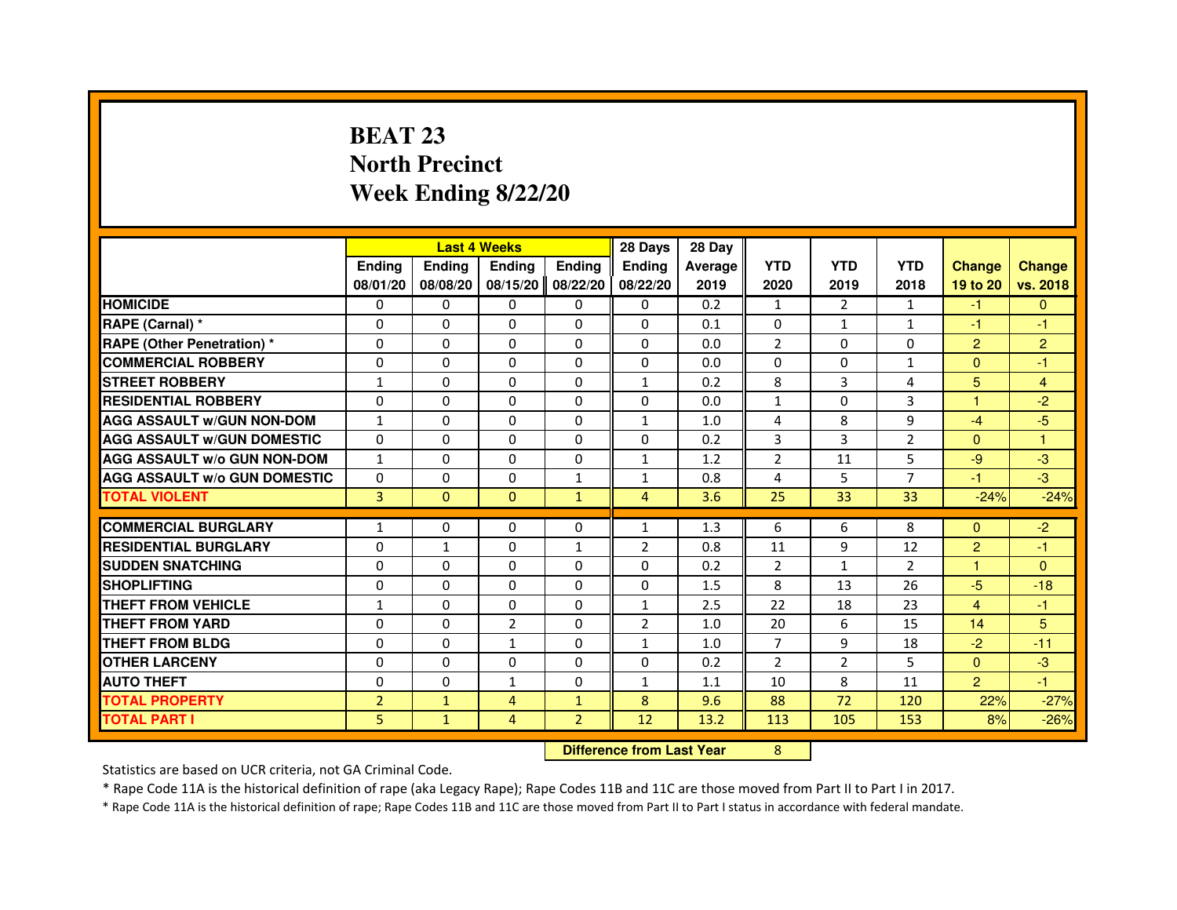# **BEAT 23 North PrecinctWeek Ending 8/22/20**

|                                     |                |                                  | <b>Last 4 Weeks</b> |                | 28 Days        | 28 Day  |                |                |                |                      |                |
|-------------------------------------|----------------|----------------------------------|---------------------|----------------|----------------|---------|----------------|----------------|----------------|----------------------|----------------|
|                                     | <b>Ending</b>  | <b>Ending</b>                    | <b>Ending</b>       | <b>Ending</b>  | <b>Ending</b>  | Average | <b>YTD</b>     | <b>YTD</b>     | <b>YTD</b>     | <b>Change</b>        | <b>Change</b>  |
|                                     | 08/01/20       | 08/08/20                         | 08/15/20            | 08/22/20       | 08/22/20       | 2019    | 2020           | 2019           | 2018           | 19 to 20             | vs. 2018       |
| <b>HOMICIDE</b>                     | 0              | 0                                | $\mathbf{0}$        | 0              | 0              | 0.2     | $\mathbf{1}$   | $\overline{2}$ | $\mathbf{1}$   | $-1$                 | $\mathbf{0}$   |
| RAPE (Carnal) *                     | 0              | 0                                | 0                   | 0              | 0              | 0.1     | 0              | 1              | $\mathbf{1}$   | $-1$                 | -1             |
| RAPE (Other Penetration) *          | $\Omega$       | $\Omega$                         | 0                   | $\Omega$       | $\Omega$       | 0.0     | $\overline{2}$ | $\Omega$       | $\Omega$       | $\overline{2}$       | $\overline{2}$ |
| <b>COMMERCIAL ROBBERY</b>           | 0              | $\Omega$                         | $\Omega$            | $\Omega$       | 0              | 0.0     | 0              | 0              | $\mathbf{1}$   | $\overline{0}$       | $-1$           |
| <b>STREET ROBBERY</b>               | $\mathbf{1}$   | $\Omega$                         | $\Omega$            | $\Omega$       | $\mathbf{1}$   | 0.2     | 8              | 3              | 4              | 5                    | 4              |
| <b>RESIDENTIAL ROBBERY</b>          | 0              | 0                                | 0                   | 0              | $\Omega$       | 0.0     | $\mathbf{1}$   | $\Omega$       | 3              | $\blacktriangleleft$ | $-2$           |
| <b>AGG ASSAULT W/GUN NON-DOM</b>    | $\mathbf{1}$   | $\Omega$                         | 0                   | $\Omega$       | $\mathbf{1}$   | 1.0     | 4              | 8              | 9              | $-4$                 | $-5$           |
| <b>AGG ASSAULT W/GUN DOMESTIC</b>   | $\Omega$       | $\Omega$                         | 0                   | $\Omega$       | $\Omega$       | 0.2     | 3              | 3              | $\overline{2}$ | $\Omega$             | $\mathbf{1}$   |
| <b>AGG ASSAULT W/o GUN NON-DOM</b>  | $\mathbf{1}$   | $\Omega$                         | $\Omega$            | $\Omega$       | $\mathbf{1}$   | 1.2     | $\overline{2}$ | 11             | 5              | $-9$                 | $-3$           |
| <b>AGG ASSAULT W/o GUN DOMESTIC</b> | 0              | $\Omega$                         | 0                   | 1              | $\mathbf{1}$   | 0.8     | 4              | 5              | $\overline{7}$ | -1                   | $-3$           |
| <b>TOTAL VIOLENT</b>                | 3              | $\mathbf{0}$                     | $\mathbf{0}$        | $\mathbf{1}$   | $\overline{4}$ | 3.6     | 25             | 33             | 33             | $-24%$               | $-24%$         |
| <b>COMMERCIAL BURGLARY</b>          | 1              | 0                                | 0                   | 0              | 1              | 1.3     | 6              | 6              | 8              | $\mathbf{0}$         | $-2$           |
| <b>RESIDENTIAL BURGLARY</b>         | 0              | $\mathbf{1}$                     | 0                   | $\mathbf{1}$   | $\overline{2}$ | 0.8     | 11             | 9              | 12             | $\overline{2}$       | $-1$           |
| <b>SUDDEN SNATCHING</b>             | 0              | $\Omega$                         | $\Omega$            | $\Omega$       | $\Omega$       | 0.2     | $\overline{2}$ | $\mathbf{1}$   | $\overline{2}$ | $\mathbf{1}$         | $\mathbf{0}$   |
| <b>SHOPLIFTING</b>                  | 0              | $\mathbf{0}$                     | 0                   | $\mathbf{0}$   | 0              | 1.5     | 8              | 13             | 26             | $-5$                 | $-18$          |
| THEFT FROM VEHICLE                  | 1              | $\Omega$                         | 0                   | $\Omega$       | $\mathbf{1}$   | 2.5     | 22             | 18             | 23             | 4                    | $-1$           |
| <b>THEFT FROM YARD</b>              | $\Omega$       | $\Omega$                         | $\overline{2}$      | $\Omega$       | $\overline{2}$ | 1.0     | 20             | 6              | 15             | 14                   | 5              |
| <b>THEFT FROM BLDG</b>              | $\Omega$       | $\Omega$                         | $\mathbf{1}$        | $\Omega$       | $\mathbf{1}$   | 1.0     | $\overline{7}$ | 9              | 18             | $-2$                 | $-11$          |
| <b>OTHER LARCENY</b>                | $\Omega$       | $\Omega$                         | $\Omega$            | $\Omega$       | $\Omega$       | 0.2     | $\overline{2}$ | $\overline{2}$ | 5              | $\Omega$             | $-3$           |
| <b>AUTO THEFT</b>                   | $\Omega$       | $\Omega$                         | $\mathbf{1}$        | $\Omega$       | $\mathbf{1}$   | 1.1     | 10             | 8              | 11             | $\overline{2}$       | $-1$           |
| <b>TOTAL PROPERTY</b>               | $\overline{2}$ | $\mathbf{1}$                     | 4                   | $\mathbf{1}$   | 8              | 9.6     | 88             | 72             | 120            | 22%                  | $-27%$         |
| <b>TOTAL PART I</b>                 | 5              | $\mathbf{1}$                     | $\overline{4}$      | $\overline{2}$ | 12             | 13.2    | 113            | 105            | 153            | 8%                   | $-26%$         |
|                                     |                | <b>Difference from Last Year</b> |                     | 8              |                |         |                |                |                |                      |                |

 **Difference from Last Year**

Statistics are based on UCR criteria, not GA Criminal Code.

\* Rape Code 11A is the historical definition of rape (aka Legacy Rape); Rape Codes 11B and 11C are those moved from Part II to Part I in 2017.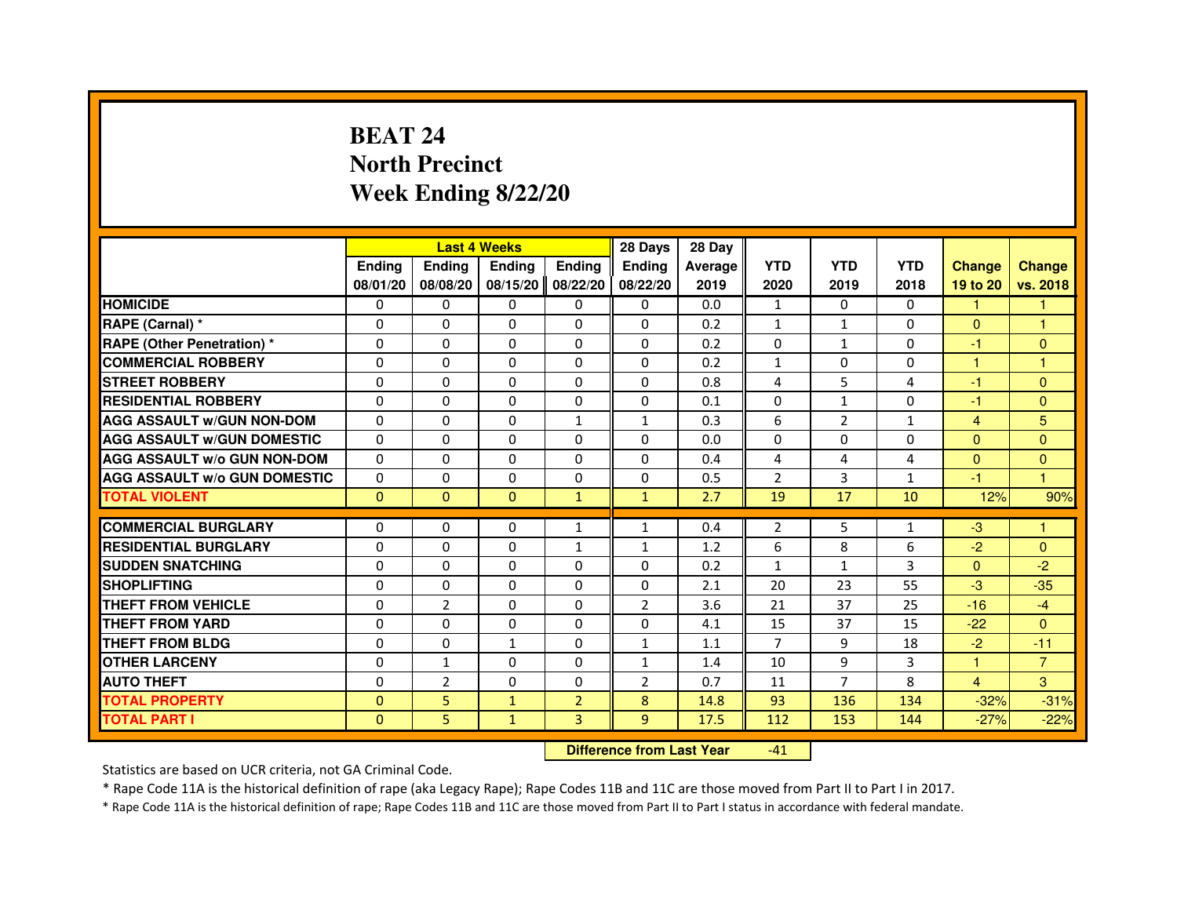# **BEAT 24 North PrecinctWeek Ending 8/22/20**

|                                     |               | <b>Last 4 Weeks</b> |               |                | 28 Days        | 28 Day  |                |                |              |                      |                |
|-------------------------------------|---------------|---------------------|---------------|----------------|----------------|---------|----------------|----------------|--------------|----------------------|----------------|
|                                     | <b>Endina</b> | <b>Ending</b>       | <b>Endina</b> | <b>Ending</b>  | <b>Endina</b>  | Average | <b>YTD</b>     | <b>YTD</b>     | <b>YTD</b>   | <b>Change</b>        | <b>Change</b>  |
|                                     | 08/01/20      | 08/08/20            | 08/15/20      | 08/22/20       | 08/22/20       | 2019    | 2020           | 2019           | 2018         | 19 to 20             | vs. 2018       |
| <b>HOMICIDE</b>                     | $\mathbf{0}$  | 0                   | 0             | $\mathbf{0}$   | 0              | 0.0     | 1              | 0              | 0            | 1                    |                |
| RAPE (Carnal) *                     | $\Omega$      | $\Omega$            | $\Omega$      | $\Omega$       | $\Omega$       | 0.2     | $\mathbf{1}$   | $\mathbf{1}$   | $\Omega$     | $\Omega$             | $\mathbf{1}$   |
| RAPE (Other Penetration) *          | 0             | $\Omega$            | $\Omega$      | $\Omega$       | $\Omega$       | 0.2     | $\Omega$       | $\mathbf{1}$   | $\Omega$     | $-1$                 | $\mathbf{0}$   |
| <b>COMMERCIAL ROBBERY</b>           | 0             | 0                   | 0             | 0              | 0              | 0.2     | $\mathbf{1}$   | 0              | 0            | $\overline{1}$       | 1              |
| <b>STREET ROBBERY</b>               | $\Omega$      | $\Omega$            | 0             | $\Omega$       | 0              | 0.8     | 4              | 5              | 4            | $-1$                 | $\Omega$       |
| <b>RESIDENTIAL ROBBERY</b>          | 0             | $\Omega$            | 0             | $\Omega$       | $\Omega$       | 0.1     | $\Omega$       | $\mathbf{1}$   | $\Omega$     | $-1$                 | $\Omega$       |
| <b>AGG ASSAULT W/GUN NON-DOM</b>    | $\Omega$      | $\Omega$            | $\Omega$      | 1              | $\mathbf{1}$   | 0.3     | 6              | $\overline{2}$ | $\mathbf{1}$ | 4                    | 5              |
| <b>AGG ASSAULT W/GUN DOMESTIC</b>   | $\Omega$      | $\Omega$            | $\Omega$      | $\Omega$       | 0              | 0.0     | 0              | $\Omega$       | 0            | $\mathbf{0}$         | $\Omega$       |
| <b>AGG ASSAULT W/o GUN NON-DOM</b>  | 0             | 0                   | 0             | 0              | $\Omega$       | 0.4     | 4              | 4              | 4            | $\Omega$             | $\overline{0}$ |
| <b>AGG ASSAULT W/o GUN DOMESTIC</b> | 0             | 0                   | 0             | 0              | 0              | 0.5     | $\overline{2}$ | 3              | $\mathbf{1}$ | -1                   | $\overline{1}$ |
| <b>TOTAL VIOLENT</b>                | $\mathbf{0}$  | $\mathbf{0}$        | $\mathbf{0}$  | $\mathbf{1}$   | $\mathbf{1}$   | 2.7     | 19             | 17             | 10           | 12%                  | 90%            |
|                                     |               |                     |               |                |                |         |                |                |              |                      |                |
| <b>COMMERCIAL BURGLARY</b>          | 0             | $\mathbf{0}$        | 0             | $\mathbf{1}$   | $\mathbf{1}$   | 0.4     | 2              | 5              | $\mathbf{1}$ | $-3$                 | 1              |
| <b>RESIDENTIAL BURGLARY</b>         | 0             | $\mathbf{0}$        | 0             | $\mathbf{1}$   | $\mathbf{1}$   | 1.2     | 6              | 8              | 6            | $-2$                 | $\mathbf{0}$   |
| <b>SUDDEN SNATCHING</b>             | 0             | $\Omega$            | 0             | $\Omega$       | 0              | 0.2     | $\mathbf{1}$   | $\mathbf{1}$   | 3            | $\Omega$             | $-2$           |
| <b>SHOPLIFTING</b>                  | 0             | $\Omega$            | 0             | $\Omega$       | 0              | 2.1     | 20             | 23             | 55           | $-3$                 | $-35$          |
| <b>THEFT FROM VEHICLE</b>           | $\Omega$      | $\overline{2}$      | $\Omega$      | $\Omega$       | $\overline{2}$ | 3.6     | 21             | 37             | 25           | $-16$                | $-4$           |
| <b>THEFT FROM YARD</b>              | $\Omega$      | $\Omega$            | $\Omega$      | $\Omega$       | $\Omega$       | 4.1     | 15             | 37             | 15           | $-22$                | $\Omega$       |
| <b>THEFT FROM BLDG</b>              | 0             | 0                   | 1             | 0              | $\mathbf{1}$   | 1.1     | $\overline{7}$ | 9              | 18           | $-2$                 | $-11$          |
| <b>OTHER LARCENY</b>                | 0             | $\mathbf{1}$        | 0             | $\Omega$       | $\mathbf{1}$   | 1.4     | 10             | 9              | 3            | $\blacktriangleleft$ | $\overline{7}$ |
| <b>AUTO THEFT</b>                   | $\Omega$      | $\overline{2}$      | $\Omega$      | $\Omega$       | $\overline{2}$ | 0.7     | 11             | $\overline{7}$ | 8            | 4                    | 3              |
| <b>TOTAL PROPERTY</b>               | $\Omega$      | 5                   | $\mathbf{1}$  | $\overline{2}$ | 8              | 14.8    | 93             | 136            | 134          | $-32%$               | $-31%$         |
| <b>TOTAL PART I</b>                 | $\Omega$      | 5                   | $\mathbf{1}$  | 3              | 9              | 17.5    | 112            | 153            | 144          | $-27%$               | $-22%$         |

 **Difference from Last Year**-41

Statistics are based on UCR criteria, not GA Criminal Code.

\* Rape Code 11A is the historical definition of rape (aka Legacy Rape); Rape Codes 11B and 11C are those moved from Part II to Part I in 2017.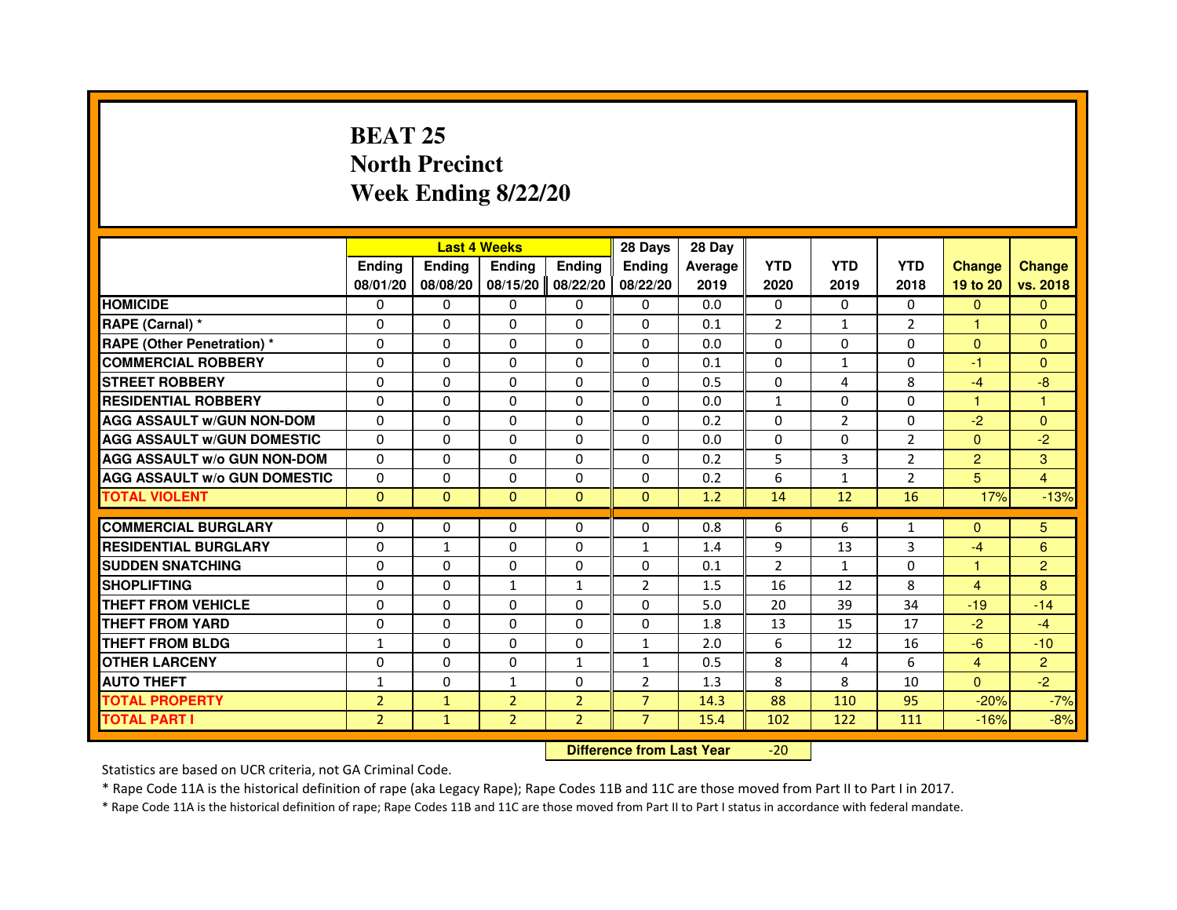# **BEAT 25 North PrecinctWeek Ending 8/22/20**

|                                     |                |               | <b>Last 4 Weeks</b>              |                | 28 Days        | 28 Day         |                |                |                |                |                |
|-------------------------------------|----------------|---------------|----------------------------------|----------------|----------------|----------------|----------------|----------------|----------------|----------------|----------------|
|                                     | <b>Ending</b>  | <b>Ending</b> | <b>Ending</b>                    | <b>Ending</b>  | <b>Ending</b>  | <b>Average</b> | <b>YTD</b>     | <b>YTD</b>     | <b>YTD</b>     | <b>Change</b>  | <b>Change</b>  |
|                                     | 08/01/20       | 08/08/20      | 08/15/20                         | 08/22/20       | 08/22/20       | 2019           | 2020           | 2019           | 2018           | 19 to 20       | vs. 2018       |
| <b>HOMICIDE</b>                     | 0              | $\Omega$      | $\mathbf{0}$                     | $\Omega$       | 0              | 0.0            | $\Omega$       | $\Omega$       | $\Omega$       | $\Omega$       | $\Omega$       |
| RAPE (Carnal) *                     | 0              | 0             | 0                                | $\Omega$       | 0              | 0.1            | $\overline{2}$ | $\mathbf{1}$   | $\overline{2}$ | 1              | $\Omega$       |
| <b>RAPE (Other Penetration) *</b>   | $\Omega$       | $\Omega$      | $\Omega$                         | $\Omega$       | $\Omega$       | 0.0            | $\Omega$       | $\mathbf{0}$   | $\Omega$       | $\mathbf{0}$   | $\mathbf{0}$   |
| <b>COMMERCIAL ROBBERY</b>           | $\Omega$       | $\Omega$      | $\Omega$                         | $\Omega$       | $\Omega$       | 0.1            | $\mathbf{0}$   | $\mathbf{1}$   | $\mathbf 0$    | $-1$           | $\Omega$       |
| <b>STREET ROBBERY</b>               | $\Omega$       | $\Omega$      | 0                                | $\Omega$       | $\Omega$       | 0.5            | $\mathbf{0}$   | 4              | 8              | $-4$           | $-8$           |
| <b>RESIDENTIAL ROBBERY</b>          | $\Omega$       | $\Omega$      | 0                                | $\Omega$       | $\Omega$       | 0.0            | $\mathbf{1}$   | $\mathbf{0}$   | 0              | 1              | 1              |
| <b>AGG ASSAULT w/GUN NON-DOM</b>    | $\Omega$       | $\Omega$      | 0                                | $\Omega$       | $\Omega$       | 0.2            | $\Omega$       | $\overline{2}$ | $\Omega$       | $-2$           | $\Omega$       |
| <b>AGG ASSAULT W/GUN DOMESTIC</b>   | $\Omega$       | $\Omega$      | $\Omega$                         | $\Omega$       | $\Omega$       | 0.0            | $\Omega$       | $\mathbf{0}$   | $\overline{2}$ | $\Omega$       | $-2$           |
| <b>AGG ASSAULT w/o GUN NON-DOM</b>  | $\Omega$       | 0             | 0                                | 0              | 0              | 0.2            | 5              | 3              | $\overline{2}$ | $\overline{2}$ | 3              |
| <b>AGG ASSAULT W/o GUN DOMESTIC</b> | $\Omega$       | 0             | 0                                | $\Omega$       | $\Omega$       | 0.2            | 6              | $\mathbf{1}$   | $\overline{2}$ | 5              | $\overline{4}$ |
| <b>TOTAL VIOLENT</b>                | $\mathbf{0}$   | $\mathbf{0}$  | $\mathbf{0}$                     | $\mathbf{0}$   | $\mathbf{0}$   | 1.2            | 14             | 12             | 16             | 17%            | $-13%$         |
| <b>COMMERCIAL BURGLARY</b>          | 0              | 0             | 0                                | 0              | 0              | 0.8            | 6              | 6              | 1              | $\Omega$       | 5              |
| <b>RESIDENTIAL BURGLARY</b>         | $\Omega$       | $\mathbf{1}$  | $\Omega$                         | $\Omega$       | $\mathbf{1}$   | 1.4            | 9              | 13             | 3              | $-4$           | 6              |
| <b>SUDDEN SNATCHING</b>             | $\Omega$       | $\Omega$      | $\Omega$                         | $\Omega$       | $\Omega$       | 0.1            | $\mathcal{P}$  | $\mathbf{1}$   | $\Omega$       | 1              | $\overline{2}$ |
| <b>SHOPLIFTING</b>                  | 0              | 0             | 1                                | 1              | $\overline{2}$ | 1.5            | 16             | 12             | 8              | $\overline{4}$ | 8              |
| <b>THEFT FROM VEHICLE</b>           | $\Omega$       | $\Omega$      | 0                                | $\Omega$       | $\Omega$       | 5.0            | 20             | 39             | 34             | $-19$          | $-14$          |
| <b>THEFT FROM YARD</b>              | 0              | 0             | $\Omega$                         | 0              | 0              | 1.8            | 13             | 15             | 17             | $-2$           | $-4$           |
| <b>THEFT FROM BLDG</b>              | $\mathbf{1}$   | $\Omega$      | $\Omega$                         | $\Omega$       | $\mathbf{1}$   | 2.0            | 6              | 12             | 16             | $-6$           | $-10$          |
| <b>OTHER LARCENY</b>                | $\Omega$       | $\Omega$      | 0                                | 1              | 1              | 0.5            | 8              | 4              | 6              | $\overline{4}$ | $\overline{2}$ |
| <b>AUTO THEFT</b>                   | $\mathbf{1}$   | $\Omega$      | $\mathbf{1}$                     | $\Omega$       | $\overline{2}$ | 1.3            | 8              | 8              | 10             | $\Omega$       | $-2$           |
| <b>TOTAL PROPERTY</b>               | $\overline{2}$ | $\mathbf{1}$  | $\overline{2}$                   | $\overline{2}$ | $\overline{7}$ | 14.3           | 88             | 110            | 95             | $-20%$         | $-7%$          |
| <b>TOTAL PART I</b>                 | $\overline{2}$ | $\mathbf{1}$  | $\overline{2}$                   | $\overline{2}$ | $\overline{7}$ | 15.4           | 102            | 122            | 111            | $-16%$         | $-8%$          |
|                                     |                |               | <b>Difference from Last Year</b> |                | $-20$          |                |                |                |                |                |                |

 **Difference from Last Year**

Statistics are based on UCR criteria, not GA Criminal Code.

\* Rape Code 11A is the historical definition of rape (aka Legacy Rape); Rape Codes 11B and 11C are those moved from Part II to Part I in 2017.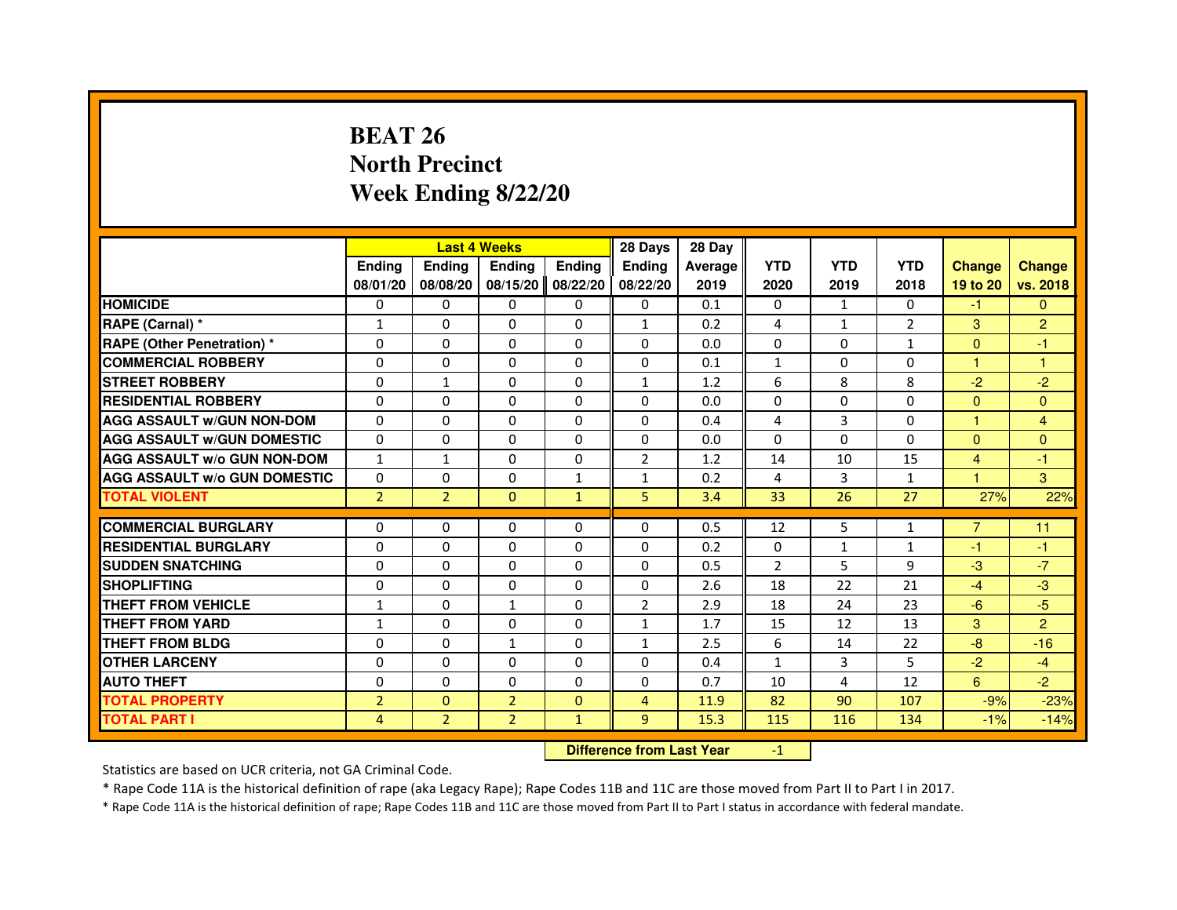# **BEAT 26 North PrecinctWeek Ending 8/22/20**

|                                     |                |                | <b>Last 4 Weeks</b> |               | 28 Days        | 28 Day  |                |              |                |                      |                |
|-------------------------------------|----------------|----------------|---------------------|---------------|----------------|---------|----------------|--------------|----------------|----------------------|----------------|
|                                     | <b>Ending</b>  | <b>Endina</b>  | <b>Ending</b>       | <b>Ending</b> | <b>Endina</b>  | Average | <b>YTD</b>     | <b>YTD</b>   | <b>YTD</b>     | <b>Change</b>        | <b>Change</b>  |
|                                     | 08/01/20       | 08/08/20       | 08/15/20            | 08/22/20      | 08/22/20       | 2019    | 2020           | 2019         | 2018           | 19 to 20             | vs. 2018       |
| <b>HOMICIDE</b>                     | $\mathbf{0}$   | $\Omega$       | $\mathbf{0}$        | $\mathbf{0}$  | 0              | 0.1     | 0              | $\mathbf{1}$ | $\mathbf{0}$   | -1                   | $\mathbf{0}$   |
| RAPE (Carnal) *                     | $\mathbf{1}$   | $\Omega$       | $\Omega$            | $\Omega$      | $\mathbf{1}$   | 0.2     | 4              | $\mathbf{1}$ | $\overline{2}$ | 3                    | $\overline{2}$ |
| <b>RAPE (Other Penetration) *</b>   | 0              | $\mathbf{0}$   | $\mathbf{0}$        | $\mathbf{0}$  | $\mathbf{0}$   | 0.0     | $\Omega$       | 0            | $\mathbf{1}$   | $\Omega$             | -1             |
| <b>COMMERCIAL ROBBERY</b>           | 0              | $\Omega$       | 0                   | $\Omega$      | $\Omega$       | 0.1     | $\mathbf{1}$   | $\Omega$     | $\Omega$       | 1                    | 1              |
| <b>STREET ROBBERY</b>               | $\Omega$       | 1              | 0                   | $\Omega$      | $\mathbf{1}$   | 1.2     | 6              | 8            | 8              | $-2$                 | $-2$           |
| <b>RESIDENTIAL ROBBERY</b>          | $\Omega$       | $\Omega$       | $\Omega$            | $\Omega$      | $\Omega$       | 0.0     | $\Omega$       | $\Omega$     | 0              | $\mathbf{0}$         | $\mathbf{0}$   |
| <b>AGG ASSAULT W/GUN NON-DOM</b>    | $\Omega$       | $\Omega$       | $\Omega$            | $\Omega$      | $\Omega$       | 0.4     | 4              | 3            | $\Omega$       | $\mathbf{1}$         | 4              |
| <b>AGG ASSAULT W/GUN DOMESTIC</b>   | $\Omega$       | $\mathbf{0}$   | 0                   | $\mathbf{0}$  | 0              | 0.0     | $\Omega$       | 0            | 0              | $\mathbf{0}$         | $\Omega$       |
| <b>AGG ASSAULT W/o GUN NON-DOM</b>  | $\mathbf{1}$   | 1              | 0                   | 0             | $\overline{2}$ | 1.2     | 14             | 10           | 15             | 4                    | -1             |
| <b>AGG ASSAULT W/o GUN DOMESTIC</b> | 0              | $\Omega$       | 0                   | 1             | $\mathbf{1}$   | 0.2     | 4              | 3            | $\mathbf{1}$   | $\blacktriangleleft$ | 3              |
| <b>TOTAL VIOLENT</b>                | $\overline{2}$ | $\overline{2}$ | $\Omega$            | $\mathbf{1}$  | 5              | 3.4     | 33             | 26           | 27             | 27%                  | 22%            |
|                                     |                |                |                     |               |                |         |                |              |                |                      |                |
| <b>COMMERCIAL BURGLARY</b>          | 0              | $\mathbf{0}$   | 0                   | $\mathbf{0}$  | 0              | 0.5     | 12             | 5            | 1              | $\overline{7}$       | 11             |
| <b>RESIDENTIAL BURGLARY</b>         | 0              | 0              | 0                   | 0             | 0              | 0.2     | 0              | 1            | 1              | -1                   | -1             |
| <b>SUDDEN SNATCHING</b>             | 0              | $\mathbf{0}$   | 0                   | $\Omega$      | $\Omega$       | 0.5     | $\overline{2}$ | 5            | 9              | $-3$                 | $-7$           |
| <b>SHOPLIFTING</b>                  | $\Omega$       | $\Omega$       | $\Omega$            | $\Omega$      | $\Omega$       | 2.6     | 18             | 22           | 21             | $-4$                 | $-3$           |
| THEFT FROM VEHICLE                  | 1              | $\Omega$       | $\mathbf{1}$        | $\Omega$      | $\overline{2}$ | 2.9     | 18             | 24           | 23             | $-6$                 | $-5$           |
| THEFT FROM YARD                     | $\mathbf{1}$   | 0              | $\Omega$            | 0             | $\mathbf{1}$   | 1.7     | 15             | 12           | 13             | 3                    | $\overline{2}$ |
| THEFT FROM BLDG                     | $\Omega$       | $\Omega$       | $\mathbf{1}$        | $\Omega$      | $\mathbf{1}$   | 2.5     | 6              | 14           | 22             | -8                   | $-16$          |
| <b>OTHER LARCENY</b>                | 0              | $\Omega$       | 0                   | $\Omega$      | $\Omega$       | 0.4     | $\mathbf{1}$   | 3            | 5              | $-2$                 | $-4$           |
| <b>AUTO THEFT</b>                   | $\Omega$       | $\Omega$       | $\Omega$            | $\Omega$      | $\Omega$       | 0.7     | 10             | 4            | 12             | 6                    | $-2$           |
| <b>TOTAL PROPERTY</b>               | $\overline{2}$ | $\mathbf{0}$   | $\overline{2}$      | $\mathbf{0}$  | $\overline{4}$ | 11.9    | 82             | 90           | 107            | $-9%$                | $-23%$         |
| <b>TOTAL PART I</b>                 | 4              | $\overline{2}$ | $\overline{2}$      | $\mathbf{1}$  | 9              | 15.3    | 115            | 116          | 134            | $-1%$                | $-14%$         |

 **Difference from Last Year**

-1

Statistics are based on UCR criteria, not GA Criminal Code.

\* Rape Code 11A is the historical definition of rape (aka Legacy Rape); Rape Codes 11B and 11C are those moved from Part II to Part I in 2017.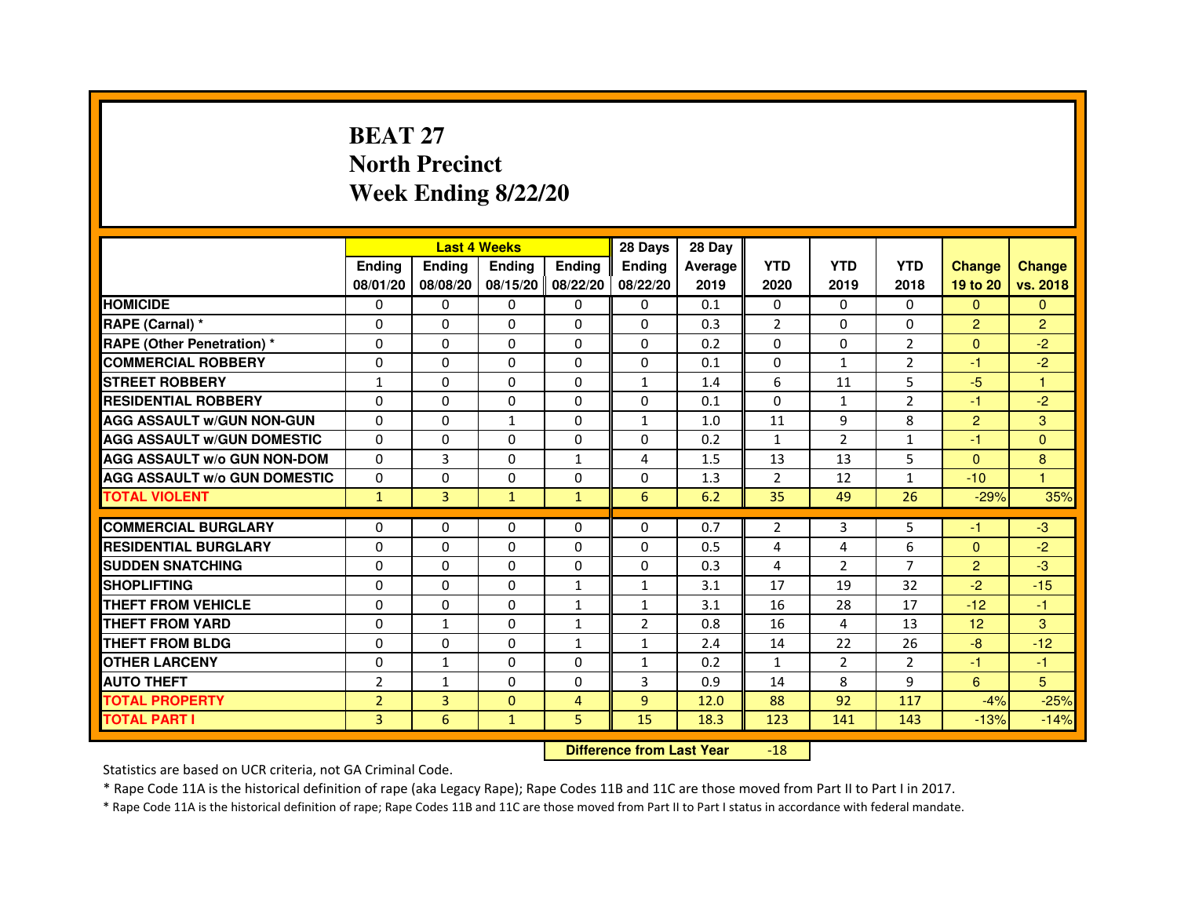# **BEAT 27 North PrecinctWeek Ending 8/22/20**

|                                     |                | <b>Last 4 Weeks</b> |               |                | 28 Days                          | 28 Day  |                |                |                |                |                |
|-------------------------------------|----------------|---------------------|---------------|----------------|----------------------------------|---------|----------------|----------------|----------------|----------------|----------------|
|                                     | <b>Ending</b>  | <b>Ending</b>       | <b>Ending</b> | <b>Ending</b>  | <b>Ending</b>                    | Average | <b>YTD</b>     | <b>YTD</b>     | <b>YTD</b>     | <b>Change</b>  | <b>Change</b>  |
|                                     | 08/01/20       | 08/08/20            | 08/15/20      | 08/22/20       | 08/22/20                         | 2019    | 2020           | 2019           | 2018           | 19 to 20       | vs. 2018       |
| <b>HOMICIDE</b>                     | $\mathbf{0}$   | $\Omega$            | $\Omega$      | $\Omega$       | 0                                | 0.1     | $\Omega$       | $\Omega$       | 0              | $\Omega$       | $\Omega$       |
| RAPE (Carnal) *                     | 0              | $\Omega$            | 0             | $\Omega$       | $\mathbf{0}$                     | 0.3     | $\overline{2}$ | $\Omega$       | 0              | $\overline{2}$ | $\overline{2}$ |
| <b>RAPE (Other Penetration) *</b>   | $\mathbf 0$    | 0                   | $\Omega$      | $\Omega$       | $\Omega$                         | 0.2     | $\Omega$       | $\Omega$       | $\overline{2}$ | $\Omega$       | $-2$           |
| <b>COMMERCIAL ROBBERY</b>           | $\mathbf 0$    | $\mathbf{0}$        | $\Omega$      | $\mathbf{0}$   | $\mathbf{0}$                     | 0.1     | $\mathbf{0}$   | $\mathbf{1}$   | $\overline{2}$ | $-1$           | $-2$           |
| <b>STREET ROBBERY</b>               | $\mathbf{1}$   | $\Omega$            | $\Omega$      | $\Omega$       | $\mathbf{1}$                     | 1.4     | 6              | 11             | 5              | $-5$           | $\mathbf{1}$   |
| <b>RESIDENTIAL ROBBERY</b>          | 0              | $\Omega$            | 0             | $\mathbf{0}$   | $\Omega$                         | 0.1     | 0              | $\mathbf{1}$   | $\overline{2}$ | $-1$           | $-2$           |
| <b>AGG ASSAULT W/GUN NON-GUN</b>    | $\Omega$       | 0                   | $\mathbf{1}$  | $\mathbf{0}$   | $\mathbf{1}$                     | 1.0     | 11             | 9              | 8              | $\overline{2}$ | 3              |
| <b>AGG ASSAULT W/GUN DOMESTIC</b>   | $\Omega$       | $\Omega$            | $\Omega$      | $\mathbf{0}$   | $\Omega$                         | 0.2     | $\mathbf{1}$   | $\mathcal{P}$  | $\mathbf{1}$   | $-1$           | $\Omega$       |
| <b>AGG ASSAULT W/o GUN NON-DOM</b>  | $\Omega$       | 3                   | 0             | $\mathbf{1}$   | 4                                | 1.5     | 13             | 13             | 5              | $\Omega$       | 8              |
| <b>AGG ASSAULT W/o GUN DOMESTIC</b> | $\Omega$       | 0                   | 0             | $\Omega$       | $\Omega$                         | 1.3     | 2              | 12             | $\mathbf{1}$   | $-10$          | 1              |
| <b>TOTAL VIOLENT</b>                | $\mathbf{1}$   | 3                   | $\mathbf{1}$  | $\mathbf{1}$   | 6                                | 6.2     | 35             | 49             | 26             | $-29%$         | 35%            |
| <b>COMMERCIAL BURGLARY</b>          | 0              | 0                   | 0             | 0              | 0                                | 0.7     | $\overline{2}$ | 3              | 5              | -1             | $-3$           |
| <b>RESIDENTIAL BURGLARY</b>         | $\Omega$       | $\Omega$            | $\Omega$      | $\mathbf{0}$   | $\Omega$                         | 0.5     | 4              | 4              | 6              | $\Omega$       | $-2$           |
| <b>SUDDEN SNATCHING</b>             | $\Omega$       | $\Omega$            | $\Omega$      | $\Omega$       | $\Omega$                         | 0.3     | 4              | $\mathcal{P}$  | $\overline{7}$ | $\overline{2}$ | $-3$           |
| <b>SHOPLIFTING</b>                  | 0              | 0                   | 0             | 1              | $\mathbf{1}$                     | 3.1     | 17             | 19             | 32             | $-2$           | $-15$          |
| THEFT FROM VEHICLE                  | 0              | $\Omega$            | 0             | $\mathbf{1}$   | $\mathbf{1}$                     | 3.1     | 16             | 28             | 17             | $-12$          | $-1$           |
| THEFT FROM YARD                     | $\mathbf 0$    | $\mathbf{1}$        | $\Omega$      | $\mathbf{1}$   | $\overline{2}$                   | 0.8     | 16             | 4              | 13             | 12             | 3              |
| <b>THEFT FROM BLDG</b>              | 0              | $\Omega$            | 0             | $\mathbf{1}$   | $\mathbf{1}$                     | 2.4     | 14             | 22             | 26             | $-8$           | $-12$          |
| <b>OTHER LARCENY</b>                | 0              | $\mathbf{1}$        | 0             | $\mathbf{0}$   | $\mathbf{1}$                     | 0.2     | $\mathbf{1}$   | $\overline{2}$ | $\overline{2}$ | $-1$           | $-1$           |
| <b>AUTO THEFT</b>                   | $\overline{2}$ | $\mathbf{1}$        | $\Omega$      | $\mathbf{0}$   | 3                                | 0.9     | 14             | 8              | 9              | 6              | 5              |
| <b>TOTAL PROPERTY</b>               | $\overline{2}$ | 3                   | $\Omega$      | $\overline{4}$ | 9                                | 12.0    | 88             | 92             | 117            | $-4%$          | $-25%$         |
| <b>TOTAL PART I</b>                 | 3              | 6                   | $\mathbf{1}$  | 5              | 15                               | 18.3    | 123            | 141            | 143            | $-13%$         | $-14%$         |
|                                     |                |                     |               |                | <b>Difference from Last Year</b> |         | $-18$          |                |                |                |                |

 **Difference from Last Year**

Statistics are based on UCR criteria, not GA Criminal Code.

\* Rape Code 11A is the historical definition of rape (aka Legacy Rape); Rape Codes 11B and 11C are those moved from Part II to Part I in 2017.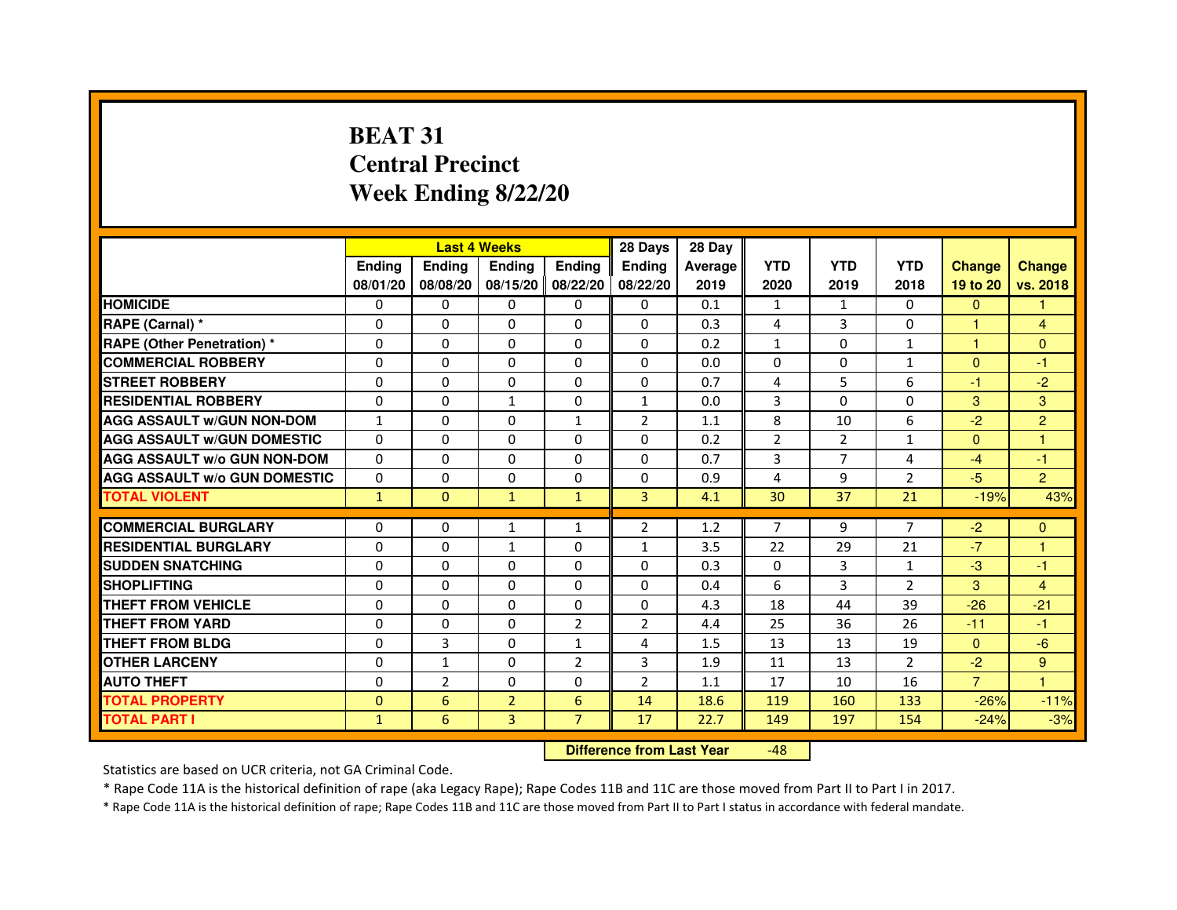# **BEAT 31 Central PrecinctWeek Ending 8/22/20**

|                                     |                |                | <b>Last 4 Weeks</b> |                | 28 Days        | 28 Day  |                |                |                |                |                |
|-------------------------------------|----------------|----------------|---------------------|----------------|----------------|---------|----------------|----------------|----------------|----------------|----------------|
|                                     | <b>Endina</b>  | <b>Ending</b>  | <b>Endina</b>       | <b>Ending</b>  | <b>Endina</b>  | Average | <b>YTD</b>     | <b>YTD</b>     | <b>YTD</b>     | <b>Change</b>  | <b>Change</b>  |
|                                     | 08/01/20       | 08/08/20       | 08/15/20 08/22/20   |                | 08/22/20       | 2019    | 2020           | 2019           | 2018           | 19 to 20       | vs. 2018       |
| <b>HOMICIDE</b>                     | 0              | 0              | $\mathbf{0}$        | 0              | 0              | 0.1     | 1              | $\mathbf{1}$   | $\mathbf{0}$   | $\mathbf{0}$   |                |
| RAPE (Carnal) *                     | $\Omega$       | $\Omega$       | $\Omega$            | $\Omega$       | $\Omega$       | 0.3     | 4              | 3              | $\Omega$       | $\mathbf{1}$   | $\overline{4}$ |
| <b>RAPE (Other Penetration)*</b>    | $\Omega$       | $\Omega$       | $\Omega$            | $\Omega$       | 0              | 0.2     | $\mathbf{1}$   | $\Omega$       | $\mathbf{1}$   | $\mathbf{1}$   | $\Omega$       |
| <b>COMMERCIAL ROBBERY</b>           | 0              | 0              | 0                   | 0              | 0              | 0.0     | 0              | 0              | 1              | $\Omega$       | $-1$           |
| <b>STREET ROBBERY</b>               | 0              | 0              | 0                   | 0              | 0              | 0.7     | 4              | 5              | 6              | $-1$           | $-2$           |
| <b>RESIDENTIAL ROBBERY</b>          | $\Omega$       | $\Omega$       | $\mathbf{1}$        | 0              | $\mathbf{1}$   | 0.0     | 3              | $\Omega$       | $\Omega$       | 3              | 3              |
| <b>AGG ASSAULT w/GUN NON-DOM</b>    | $\mathbf{1}$   | $\Omega$       | $\Omega$            | $\mathbf{1}$   | $\overline{2}$ | 1.1     | 8              | 10             | 6              | $-2$           | $\overline{2}$ |
| <b>AGG ASSAULT w/GUN DOMESTIC</b>   | $\Omega$       | $\Omega$       | $\Omega$            | $\Omega$       | 0              | 0.2     | $\overline{2}$ | $\overline{2}$ | $\mathbf{1}$   | $\Omega$       | 1              |
| <b>AGG ASSAULT W/o GUN NON-DOM</b>  | $\Omega$       | 0              | $\Omega$            | $\Omega$       | $\Omega$       | 0.7     | 3              | $\overline{7}$ | 4              | $-4$           | $-1$           |
| <b>AGG ASSAULT W/o GUN DOMESTIC</b> | $\Omega$       | $\Omega$       | $\Omega$            | 0              | 0              | 0.9     | 4              | 9              | $\overline{2}$ | $-5$           | $\overline{2}$ |
| <b>TOTAL VIOLENT</b>                | $\mathbf{1}$   | $\Omega$       | $\mathbf{1}$        | $\mathbf{1}$   | 3              | 4.1     | 30             | 37             | 21             | $-19%$         | 43%            |
|                                     |                |                |                     |                |                |         |                |                |                |                |                |
| <b>COMMERCIAL BURGLARY</b>          | $\Omega$       | 0              | $\mathbf{1}$        | 1              | $\overline{2}$ | 1.2     | $\overline{7}$ | 9              | $\overline{7}$ | $-2$           | $\mathbf{0}$   |
| <b>RESIDENTIAL BURGLARY</b>         | $\Omega$       | $\Omega$       | $\mathbf{1}$        | 0              | 1              | 3.5     | 22             | 29             | 21             | $-7$           | 1              |
| <b>SUDDEN SNATCHING</b>             | $\Omega$       | $\Omega$       | 0                   | 0              | 0              | 0.3     | 0              | 3              | $\mathbf{1}$   | $-3$           | $-1$           |
| <b>SHOPLIFTING</b>                  | $\Omega$       | $\mathbf 0$    | $\Omega$            | $\Omega$       | 0              | 0.4     | 6              | 3              | $\overline{2}$ | 3              | 4              |
| <b>THEFT FROM VEHICLE</b>           | $\Omega$       | $\Omega$       | $\Omega$            | $\Omega$       | $\Omega$       | 4.3     | 18             | 44             | 39             | $-26$          | $-21$          |
| <b>THEFT FROM YARD</b>              | 0              | $\Omega$       | $\Omega$            | $\overline{2}$ | $\mathfrak{p}$ | 4.4     | 25             | 36             | 26             | $-11$          | $-1$           |
| <b>THEFT FROM BLDG</b>              | 0              | 3              | 0                   | 1              | 4              | 1.5     | 13             | 13             | 19             | $\Omega$       | $-6$           |
| <b>OTHER LARCENY</b>                | $\Omega$       | $\mathbf{1}$   | $\Omega$            | $\overline{2}$ | 3              | 1.9     | 11             | 13             | $\overline{2}$ | $-2$           | 9              |
| <b>AUTO THEFT</b>                   | $\Omega$       | $\overline{2}$ | $\Omega$            | 0              | $\overline{2}$ | 1.1     | 17             | 10             | 16             | $\overline{7}$ | $\mathbf{1}$   |
| <b>TOTAL PROPERTY</b>               | $\overline{0}$ | 6              | $\overline{2}$      | 6              | 14             | 18.6    | 119            | 160            | 133            | $-26%$         | $-11%$         |
| <b>TOTAL PART I</b>                 | $\mathbf{1}$   | 6              | 3                   | $\overline{7}$ | 17             | 22.7    | 149            | 197            | 154            | $-24%$         | $-3%$          |

 **Difference from Last Year**-48

Statistics are based on UCR criteria, not GA Criminal Code.

\* Rape Code 11A is the historical definition of rape (aka Legacy Rape); Rape Codes 11B and 11C are those moved from Part II to Part I in 2017.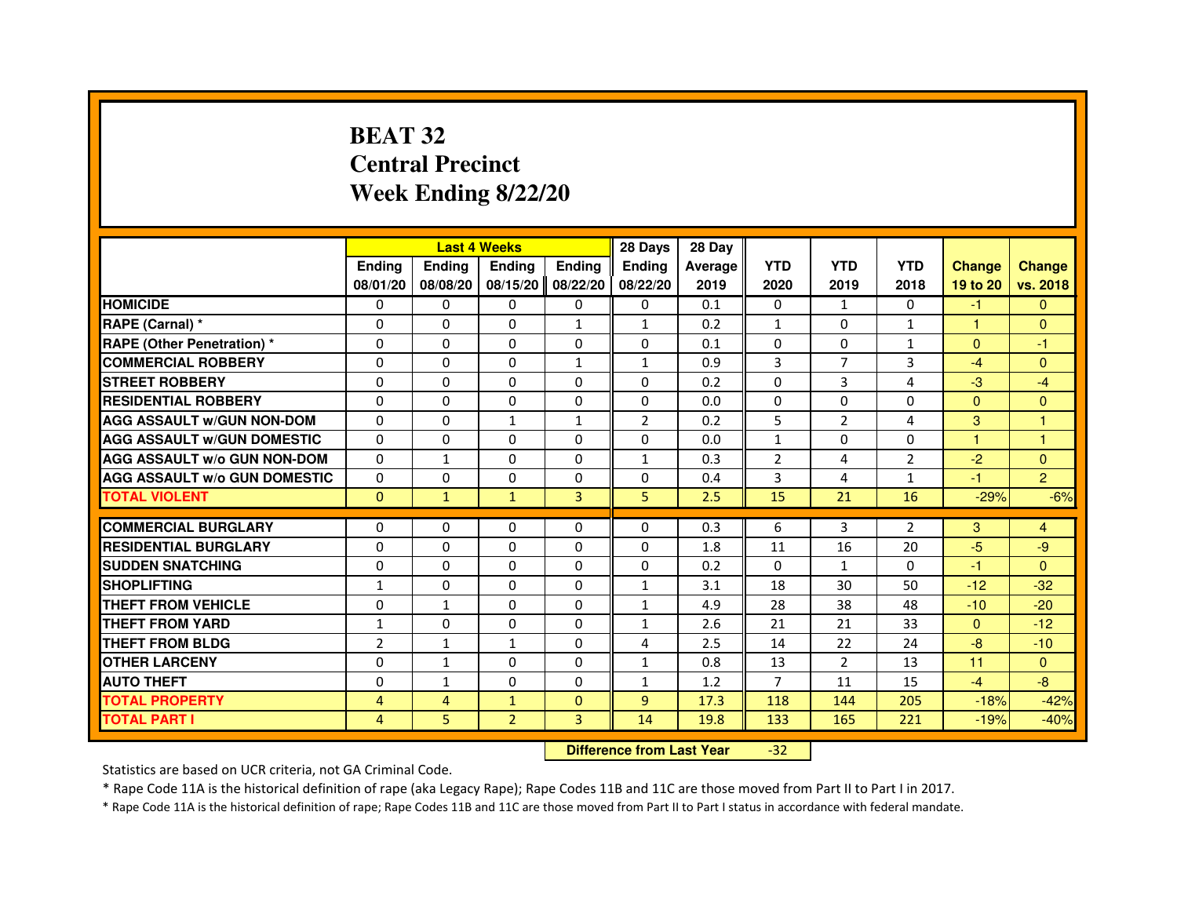# **BEAT 32 Central PrecinctWeek Ending 8/22/20**

|                                     |                |                         | <b>Last 4 Weeks</b>              |                   | 28 Days        | 28 Day  |                |                |              |               |                |
|-------------------------------------|----------------|-------------------------|----------------------------------|-------------------|----------------|---------|----------------|----------------|--------------|---------------|----------------|
|                                     | <b>Ending</b>  | <b>Ending</b>           | <b>Ending</b>                    | <b>Ending</b>     | <b>Ending</b>  | Average | <b>YTD</b>     | <b>YTD</b>     | <b>YTD</b>   | <b>Change</b> | <b>Change</b>  |
|                                     | 08/01/20       | 08/08/20                |                                  | 08/15/20 08/22/20 | 08/22/20       | 2019    | 2020           | 2019           | 2018         | 19 to 20      | vs. 2018       |
| <b>HOMICIDE</b>                     | 0              | $\Omega$                | $\Omega$                         | 0                 | 0              | 0.1     | 0              | $\mathbf{1}$   | 0            | $-1$          | $\mathbf{0}$   |
| RAPE (Carnal) *                     | $\Omega$       | 0                       | $\Omega$                         | 1                 | $\mathbf{1}$   | 0.2     | $\mathbf{1}$   | 0              | 1            | 1             | $\mathbf{0}$   |
| <b>RAPE (Other Penetration) *</b>   | 0              | 0                       | $\Omega$                         | 0                 | 0              | 0.1     | $\Omega$       | 0              | 1            | $\Omega$      | $-1$           |
| <b>COMMERCIAL ROBBERY</b>           | $\Omega$       | $\Omega$                | $\Omega$                         | $\mathbf{1}$      | $\mathbf{1}$   | 0.9     | 3              | $\overline{7}$ | 3            | $-4$          | $\mathbf{0}$   |
| <b>STREET ROBBERY</b>               | $\Omega$       | $\Omega$                | $\Omega$                         | $\Omega$          | $\Omega$       | 0.2     | $\Omega$       | 3              | 4            | $-3$          | $-4$           |
| <b>RESIDENTIAL ROBBERY</b>          | $\Omega$       | $\Omega$                | $\Omega$                         | $\Omega$          | 0              | 0.0     | 0              | $\Omega$       | $\Omega$     | $\Omega$      | $\mathbf{0}$   |
| <b>AGG ASSAULT w/GUN NON-DOM</b>    | $\Omega$       | $\Omega$                | $\mathbf{1}$                     | $\mathbf{1}$      | $\overline{2}$ | 0.2     | 5              | $\overline{2}$ | 4            | 3             | $\mathbf{1}$   |
| <b>AGG ASSAULT W/GUN DOMESTIC</b>   | $\Omega$       | $\Omega$                | $\Omega$                         | $\Omega$          | $\Omega$       | 0.0     | $\mathbf{1}$   | $\Omega$       | $\Omega$     | $\mathbf{1}$  | $\mathbf{1}$   |
| <b>AGG ASSAULT w/o GUN NON-DOM</b>  | $\Omega$       | $\mathbf{1}$            | $\Omega$                         | $\Omega$          | $\mathbf{1}$   | 0.3     | $\overline{2}$ | 4              | 2            | $-2$          | $\Omega$       |
| <b>AGG ASSAULT w/o GUN DOMESTIC</b> | $\Omega$       | $\Omega$                | $\Omega$                         | $\Omega$          | $\Omega$       | 0.4     | 3              | 4              | $\mathbf{1}$ | $-1$          | $\overline{2}$ |
| <b>TOTAL VIOLENT</b>                | $\mathbf{0}$   | $\mathbf{1}$            | $\mathbf{1}$                     | 3                 | 5              | 2.5     | 15             | 21             | 16           | $-29%$        | $-6%$          |
| <b>COMMERCIAL BURGLARY</b>          | 0              | 0                       | 0                                | 0                 | 0              | 0.3     | 6              | 3              | 2            | 3             | 4              |
| <b>RESIDENTIAL BURGLARY</b>         | 0              | $\Omega$                | $\Omega$                         | 0                 | $\Omega$       | 1.8     | 11             | 16             | 20           | $-5$          | -9             |
| <b>SUDDEN SNATCHING</b>             | $\Omega$       | $\Omega$                | $\Omega$                         | $\Omega$          | $\Omega$       | 0.2     | $\Omega$       | $\mathbf{1}$   | $\Omega$     | $-1$          | $\Omega$       |
| <b>SHOPLIFTING</b>                  | $\mathbf{1}$   | $\mathbf{0}$            | 0                                | 0                 | $\mathbf{1}$   | 3.1     | 18             | 30             | 50           | $-12$         | $-32$          |
| THEFT FROM VEHICLE                  | $\Omega$       | $\mathbf{1}$            | $\Omega$                         | $\Omega$          | $\mathbf{1}$   | 4.9     | 28             | 38             | 48           | $-10$         | $-20$          |
| <b>THEFT FROM YARD</b>              | $\mathbf{1}$   | $\Omega$                | $\Omega$                         | $\Omega$          | $\mathbf{1}$   | 2.6     | 21             | 21             | 33           | $\mathbf{0}$  | $-12$          |
| <b>THEFT FROM BLDG</b>              | $\overline{2}$ | $\mathbf{1}$            | $\mathbf{1}$                     | $\Omega$          | 4              | 2.5     | 14             | 22             | 24           | $-8$          | $-10$          |
| <b>OTHER LARCENY</b>                | $\Omega$       | $\mathbf{1}$            | $\Omega$                         | $\mathbf{0}$      | $\mathbf{1}$   | 0.8     | 13             | $\overline{2}$ | 13           | 11            | $\Omega$       |
| <b>AUTO THEFT</b>                   | $\Omega$       | $\mathbf{1}$            | $\Omega$                         | $\Omega$          | $\mathbf{1}$   | 1.2     | $\overline{7}$ | 11             | 15           | $-4$          | $-8$           |
| <b>TOTAL PROPERTY</b>               | $\overline{4}$ | $\overline{\mathbf{4}}$ | $\mathbf{1}$                     | $\mathbf{0}$      | $\overline{9}$ | 17.3    | 118            | 144            | 205          | $-18%$        | $-42%$         |
| <b>TOTAL PART I</b>                 | 4              | 5                       | $\overline{2}$                   | $\overline{3}$    | 14             | 19.8    | 133            | 165            | 221          | $-19%$        | $-40%$         |
|                                     |                |                         | <b>Difference from Last Year</b> |                   | $-32$          |         |                |                |              |               |                |

 **Difference from Last Year**

Statistics are based on UCR criteria, not GA Criminal Code.

\* Rape Code 11A is the historical definition of rape (aka Legacy Rape); Rape Codes 11B and 11C are those moved from Part II to Part I in 2017.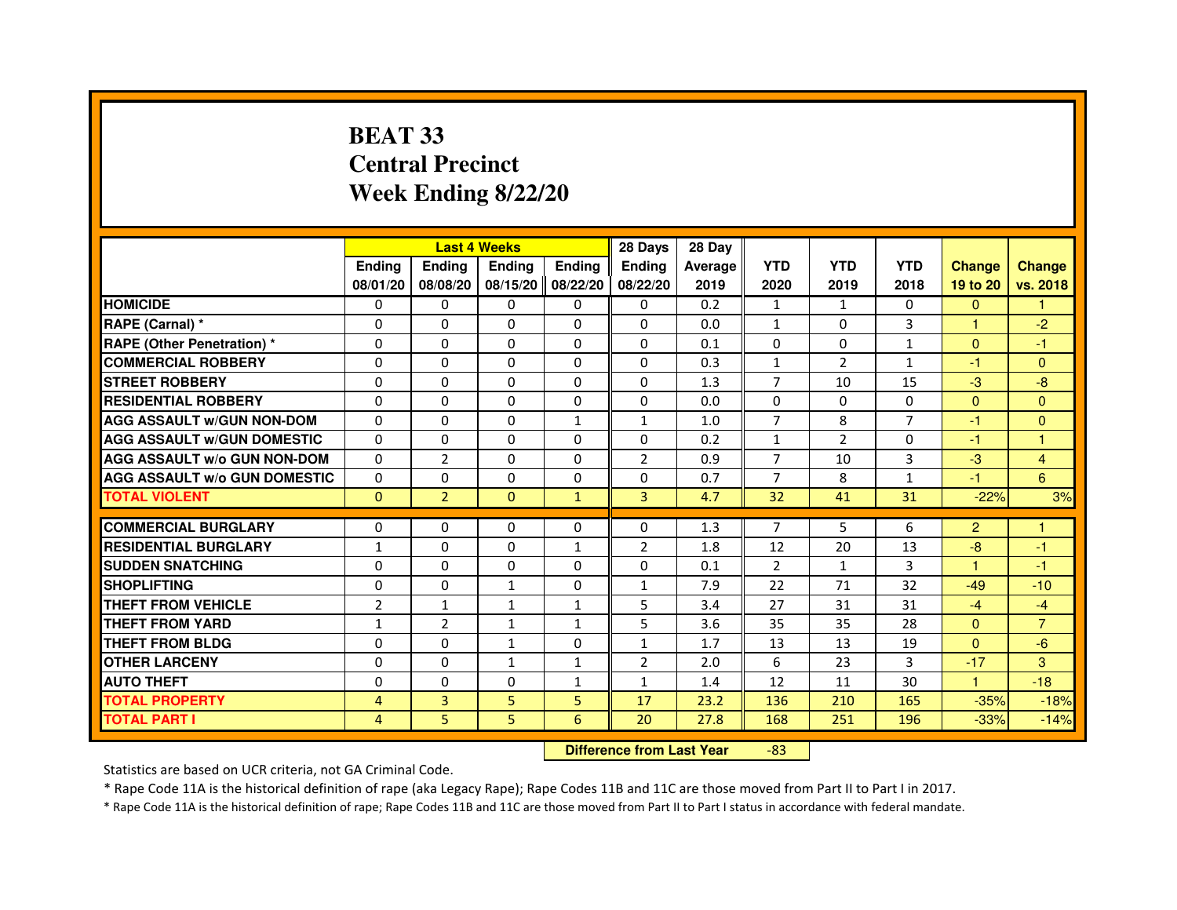# **BEAT 33 Central PrecinctWeek Ending 8/22/20**

|                                     |                | <b>Last 4 Weeks</b> |                                  |               | 28 Days        | 28 Day  |                |                |                |                |                |
|-------------------------------------|----------------|---------------------|----------------------------------|---------------|----------------|---------|----------------|----------------|----------------|----------------|----------------|
|                                     | <b>Ending</b>  | Ending              | Ending                           | <b>Ending</b> | <b>Ending</b>  | Average | <b>YTD</b>     | <b>YTD</b>     | <b>YTD</b>     | <b>Change</b>  | <b>Change</b>  |
|                                     | 08/01/20       | 08/08/20            | 08/15/20 08/22/20                |               | 08/22/20       | 2019    | 2020           | 2019           | 2018           | 19 to 20       | vs. 2018       |
| <b>HOMICIDE</b>                     | $\Omega$       | $\Omega$            | $\Omega$                         | $\Omega$      | 0              | 0.2     | $\mathbf{1}$   | $\mathbf{1}$   | $\Omega$       | $\Omega$       | $\mathbf{1}$   |
| RAPE (Carnal) *                     | 0              | $\mathbf{0}$        | 0                                | 0             | 0              | 0.0     | $\mathbf{1}$   | 0              | 3              | 1              | $-2$           |
| <b>RAPE (Other Penetration) *</b>   | $\Omega$       | 0                   | $\Omega$                         | 0             | $\Omega$       | 0.1     | $\Omega$       | $\Omega$       | $\mathbf{1}$   | $\Omega$       | -1             |
| <b>COMMERCIAL ROBBERY</b>           | $\Omega$       | $\Omega$            | $\mathbf 0$                      | $\Omega$      | $\Omega$       | 0.3     | $\mathbf{1}$   | $\overline{2}$ | $\mathbf{1}$   | $-1$           | $\mathbf{0}$   |
| <b>STREET ROBBERY</b>               | $\Omega$       | $\Omega$            | $\Omega$                         | $\Omega$      | $\Omega$       | 1.3     | $\overline{7}$ | 10             | 15             | $-3$           | $-8$           |
| <b>RESIDENTIAL ROBBERY</b>          | $\Omega$       | $\Omega$            | $\Omega$                         | $\Omega$      | 0              | 0.0     | $\Omega$       | 0              | $\Omega$       | $\Omega$       | $\mathbf{0}$   |
| <b>AGG ASSAULT W/GUN NON-DOM</b>    | $\Omega$       | $\Omega$            | $\mathbf 0$                      | $\mathbf{1}$  | $\mathbf{1}$   | 1.0     | $\overline{7}$ | 8              | $\overline{7}$ | $-1$           | $\mathbf{0}$   |
| <b>AGG ASSAULT W/GUN DOMESTIC</b>   | $\Omega$       | $\Omega$            | $\Omega$                         | 0             | $\Omega$       | 0.2     | $\mathbf{1}$   | $\mathcal{P}$  | $\Omega$       | $-1$           | $\mathbf{1}$   |
| <b>AGG ASSAULT W/o GUN NON-DOM</b>  | 0              | $\overline{2}$      | 0                                | 0             | 2              | 0.9     | $\overline{7}$ | 10             | 3              | $-3$           | $\overline{4}$ |
| <b>AGG ASSAULT W/o GUN DOMESTIC</b> | $\Omega$       | 0                   | 0                                | 0             | 0              | 0.7     | 7              | 8              | $\mathbf{1}$   | $-1$           | 6              |
| <b>TOTAL VIOLENT</b>                | $\mathbf 0$    | $\overline{2}$      | $\mathbf 0$                      | $\mathbf{1}$  | 3              | 4.7     | 32             | 41             | 31             | $-22%$         | 3%             |
| <b>COMMERCIAL BURGLARY</b>          | 0              | 0                   | 0                                | 0             | 0              | 1.3     | 7              | 5              | 6              | $\overline{2}$ | $\mathbf{1}$   |
| <b>RESIDENTIAL BURGLARY</b>         | 1              | $\Omega$            | $\mathbf 0$                      | $\mathbf{1}$  | $\overline{2}$ | 1.8     | 12             | 20             | 13             | $-8$           | $-1$           |
| <b>SUDDEN SNATCHING</b>             | $\Omega$       | $\Omega$            | $\Omega$                         | $\Omega$      | $\Omega$       | 0.1     | $\mathcal{P}$  | $\mathbf{1}$   | 3              | $\overline{1}$ | $-1$           |
| <b>SHOPLIFTING</b>                  | 0              | 0                   | $\mathbf{1}$                     | 0             | 1              | 7.9     | 22             | 71             | 32             | $-49$          | $-10$          |
| THEFT FROM VEHICLE                  | $\overline{2}$ | $\mathbf{1}$        | $\mathbf{1}$                     | $\mathbf{1}$  | 5              | 3.4     | 27             | 31             | 31             | $-4$           | $-4$           |
| THEFT FROM YARD                     | $\mathbf{1}$   | $\overline{2}$      | $\mathbf{1}$                     | $\mathbf{1}$  | 5              | 3.6     | 35             | 35             | 28             | $\mathbf{0}$   | $\overline{7}$ |
| THEFT FROM BLDG                     | 0              | $\Omega$            | $\mathbf{1}$                     | $\Omega$      | $\mathbf{1}$   | 1.7     | 13             | 13             | 19             | $\Omega$       | $-6$           |
| <b>OTHER LARCENY</b>                | $\Omega$       | $\Omega$            | $\mathbf{1}$                     | $\mathbf{1}$  | $\overline{2}$ | 2.0     | 6              | 23             | 3              | $-17$          | 3              |
| <b>AUTO THEFT</b>                   | $\Omega$       | $\Omega$            | $\mathbf 0$                      | $\mathbf{1}$  | $\mathbf{1}$   | 1.4     | 12             | 11             | 30             | $\mathbf{1}$   | $-18$          |
| <b>TOTAL PROPERTY</b>               | 4              | 3                   | 5                                | 5             | 17             | 23.2    | 136            | 210            | 165            | $-35%$         | $-18%$         |
| <b>TOTAL PART I</b>                 | 4              | 5                   | 5                                | 6             | 20             | 27.8    | 168            | 251            | 196            | $-33%$         | $-14%$         |
|                                     |                |                     | <b>Difference from Last Year</b> |               | $-83$          |         |                |                |                |                |                |

 **Difference from Last Year**

Statistics are based on UCR criteria, not GA Criminal Code.

\* Rape Code 11A is the historical definition of rape (aka Legacy Rape); Rape Codes 11B and 11C are those moved from Part II to Part I in 2017.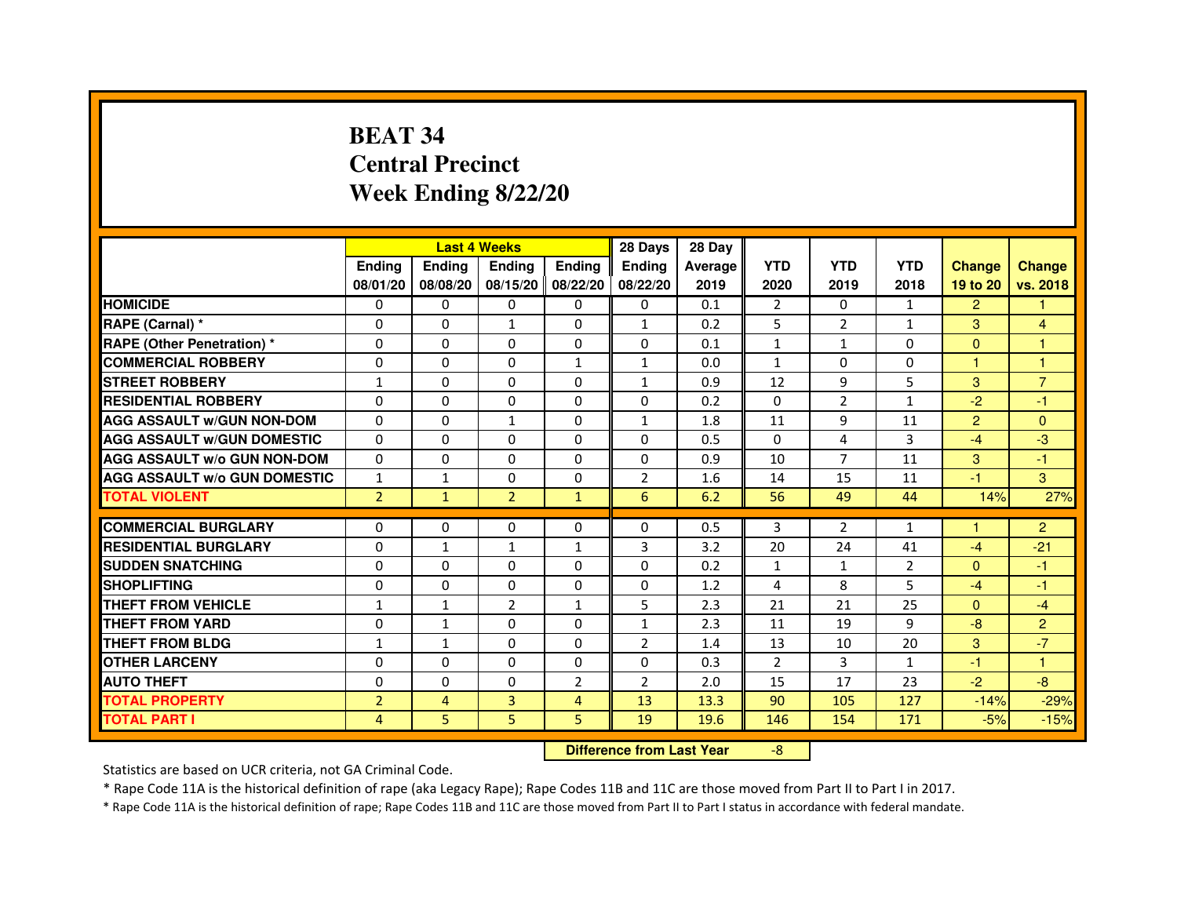# **BEAT 34 Central PrecinctWeek Ending 8/22/20**

|                                     |                | <b>Last 4 Weeks</b> |                                  |                | 28 Days        | 28 Day  |                |                |                |                |                |
|-------------------------------------|----------------|---------------------|----------------------------------|----------------|----------------|---------|----------------|----------------|----------------|----------------|----------------|
|                                     | Ending         | Ending              | Ending                           | <b>Ending</b>  | Ending         | Average | <b>YTD</b>     | <b>YTD</b>     | <b>YTD</b>     | <b>Change</b>  | <b>Change</b>  |
|                                     | 08/01/20       | 08/08/20            | 08/15/20 08/22/20                |                | 08/22/20       | 2019    | 2020           | 2019           | 2018           | 19 to 20       | vs. 2018       |
| <b>HOMICIDE</b>                     | 0              | $\Omega$            | $\mathbf{0}$                     | 0              | 0              | 0.1     | $\overline{2}$ | $\Omega$       | $\mathbf{1}$   | $\overline{2}$ | 1.             |
| RAPE (Carnal) *                     | 0              | 0                   | $\mathbf{1}$                     | 0              | 1              | 0.2     | 5              | $\overline{2}$ | $\mathbf{1}$   | 3              | 4              |
| RAPE (Other Penetration) *          | $\Omega$       | $\mathbf 0$         | $\Omega$                         | 0              | 0              | 0.1     | $\mathbf{1}$   | $\mathbf{1}$   | $\Omega$       | $\mathbf{0}$   | 1              |
| <b>COMMERCIAL ROBBERY</b>           | $\mathbf 0$    | 0                   | $\Omega$                         | $\mathbf{1}$   | $\mathbf{1}$   | 0.0     | $\mathbf{1}$   | $\mathbf{0}$   | $\Omega$       | $\mathbf{1}$   | $\mathbf{1}$   |
| <b>STREET ROBBERY</b>               | $\mathbf{1}$   | $\Omega$            | $\Omega$                         | $\Omega$       | 1              | 0.9     | 12             | 9              | 5              | 3              | $\overline{7}$ |
| <b>RESIDENTIAL ROBBERY</b>          | $\Omega$       | $\mathbf 0$         | 0                                | 0              | 0              | 0.2     | $\mathbf{0}$   | $\overline{2}$ | $\mathbf{1}$   | $-2$           | $-1$           |
| <b>AGG ASSAULT w/GUN NON-DOM</b>    | $\Omega$       | $\Omega$            | $\mathbf{1}$                     | $\Omega$       | $\mathbf{1}$   | 1.8     | 11             | 9              | 11             | $\overline{2}$ | $\Omega$       |
| <b>AGG ASSAULT W/GUN DOMESTIC</b>   | $\Omega$       | $\Omega$            | $\mathbf 0$                      | $\Omega$       | $\Omega$       | 0.5     | $\Omega$       | 4              | 3              | $-4$           | $-3$           |
| <b>AGG ASSAULT W/o GUN NON-DOM</b>  | $\Omega$       | $\Omega$            | $\Omega$                         | $\Omega$       | $\Omega$       | 0.9     | 10             | $\overline{7}$ | 11             | 3              | $-1$           |
| <b>AGG ASSAULT W/o GUN DOMESTIC</b> | $\mathbf{1}$   | $\mathbf{1}$        | $\Omega$                         | 0              | $\overline{2}$ | 1.6     | 14             | 15             | 11             | $-1$           | 3              |
| <b>TOTAL VIOLENT</b>                | $\overline{2}$ | $\mathbf{1}$        | $\overline{2}$                   | $\mathbf{1}$   | 6              | 6.2     | 56             | 49             | 44             | 14%            | 27%            |
| <b>COMMERCIAL BURGLARY</b>          | 0              | 0                   | 0                                | 0              | 0              | 0.5     | 3              | $\overline{2}$ | $\mathbf{1}$   | 1              | $\overline{2}$ |
| <b>RESIDENTIAL BURGLARY</b>         | $\mathbf 0$    | $\mathbf{1}$        | $\mathbf{1}$                     | $\mathbf{1}$   | 3              | 3.2     | 20             | 24             | 41             | $-4$           | $-21$          |
| <b>SUDDEN SNATCHING</b>             | $\Omega$       | $\Omega$            | $\Omega$                         | $\Omega$       | $\Omega$       | 0.2     | $\mathbf{1}$   | $\mathbf{1}$   | $\overline{2}$ | $\Omega$       | $-1$           |
| <b>SHOPLIFTING</b>                  | 0              | $\Omega$            | $\Omega$                         | 0              | 0              | 1.2     | 4              | 8              | 5              | $-4$           | $-1$           |
| THEFT FROM VEHICLE                  | $\mathbf{1}$   | $\mathbf{1}$        | $\overline{2}$                   | $\mathbf{1}$   | 5              | 2.3     | 21             | 21             | 25             | $\mathbf{0}$   | $-4$           |
| <b>THEFT FROM YARD</b>              | $\Omega$       | $\mathbf 1$         | $\mathbf 0$                      | 0              | $\overline{1}$ | 2.3     | 11             | 19             | 9              | $-8$           | $\overline{2}$ |
| <b>THEFT FROM BLDG</b>              | $\mathbf{1}$   | $\mathbf{1}$        | $\Omega$                         | $\Omega$       | $\overline{2}$ | 1.4     | 13             | 10             | 20             | 3              | $-7$           |
| <b>OTHER LARCENY</b>                | $\Omega$       | $\Omega$            | $\Omega$                         | $\Omega$       | $\Omega$       | 0.3     | $\overline{2}$ | 3              | $\mathbf{1}$   | $-1$           | 1.             |
| <b>AUTO THEFT</b>                   | $\Omega$       | $\Omega$            | $\mathbf 0$                      | $\overline{2}$ | $\overline{2}$ | 2.0     | 15             | 17             | 23             | $-2$           | $-8$           |
| <b>TOTAL PROPERTY</b>               | $\overline{2}$ | $\overline{4}$      | 3                                | 4              | 13             | 13.3    | 90             | 105            | 127            | $-14%$         | $-29%$         |
| <b>TOTAL PART I</b>                 | 4              | 5                   | 5                                | 5              | 19             | 19.6    | 146            | 154            | 171            | $-5%$          | $-15%$         |
|                                     |                |                     | <b>Difference from Last Year</b> |                | $-8$           |         |                |                |                |                |                |

 **Difference from Last Year**

Statistics are based on UCR criteria, not GA Criminal Code.

\* Rape Code 11A is the historical definition of rape (aka Legacy Rape); Rape Codes 11B and 11C are those moved from Part II to Part I in 2017.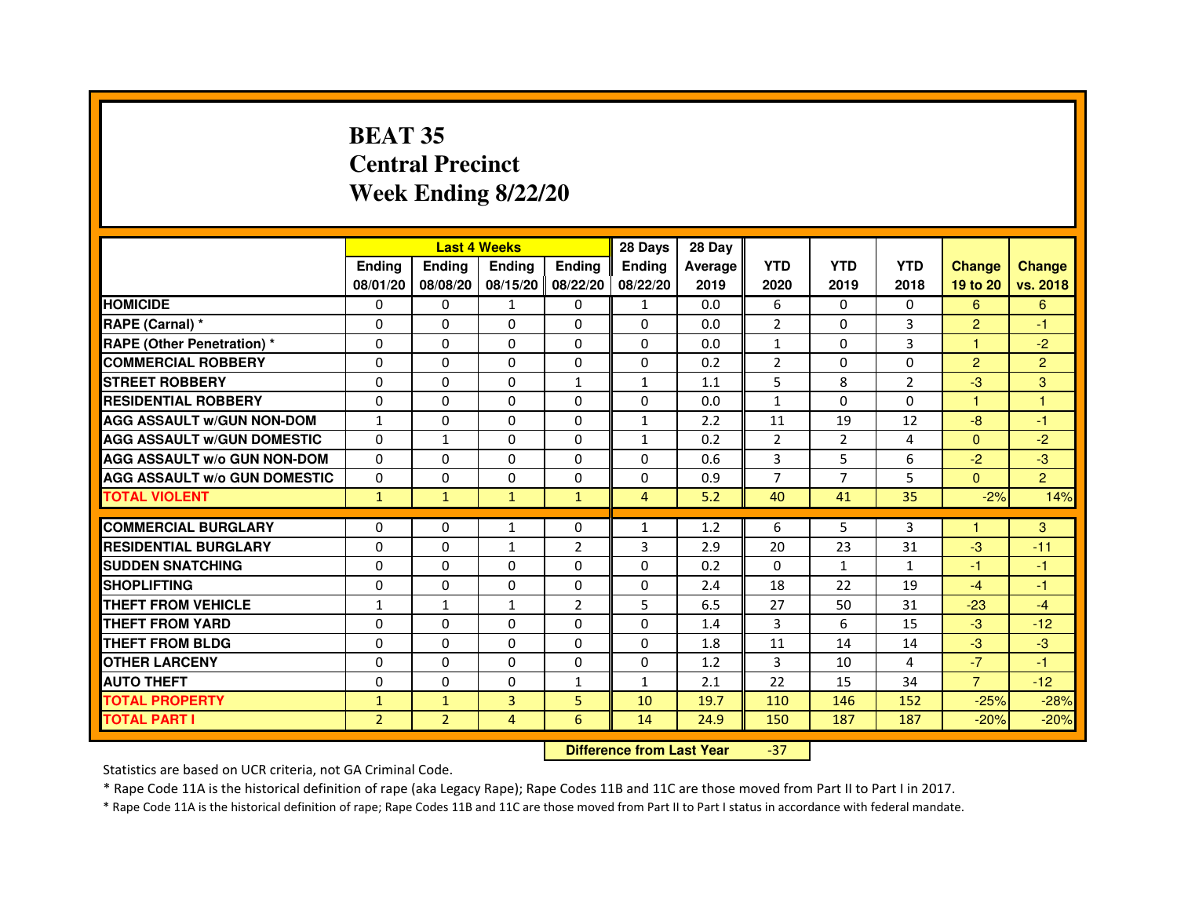# **BEAT 35 Central PrecinctWeek Ending 8/22/20**

|                                     |                |                | <b>Last 4 Weeks</b> |                | 28 Days        | 28 Day  |                |                |                |                |                |
|-------------------------------------|----------------|----------------|---------------------|----------------|----------------|---------|----------------|----------------|----------------|----------------|----------------|
|                                     | <b>Endina</b>  | Ending         | <b>Endina</b>       | <b>Ending</b>  | <b>Endina</b>  | Average | <b>YTD</b>     | <b>YTD</b>     | <b>YTD</b>     | <b>Change</b>  | <b>Change</b>  |
|                                     | 08/01/20       | 08/08/20       | 08/15/20   08/22/20 |                | 08/22/20       | 2019    | 2020           | 2019           | 2018           | 19 to 20       | vs. 2018       |
| <b>HOMICIDE</b>                     | 0              | 0              | 1                   | 0              | 1              | 0.0     | 6              | 0              | $\mathbf{0}$   | 6              | 6              |
| RAPE (Carnal) *                     | $\Omega$       | $\Omega$       | $\Omega$            | $\Omega$       | $\Omega$       | 0.0     | $\overline{2}$ | $\Omega$       | 3              | $\overline{2}$ | $-1$           |
| <b>RAPE (Other Penetration) *</b>   | $\Omega$       | $\Omega$       | $\Omega$            | $\Omega$       | 0              | 0.0     | $\mathbf{1}$   | $\Omega$       | 3              | 1.             | $-2$           |
| <b>COMMERCIAL ROBBERY</b>           | 0              | 0              | 0                   | 0              | 0              | 0.2     | 2              | 0              | $\Omega$       | 2              | $\overline{2}$ |
| <b>STREET ROBBERY</b>               | 0              | 0              | $\Omega$            | $\mathbf{1}$   | 1              | 1.1     | 5              | 8              | $\overline{2}$ | $-3$           | 3              |
| <b>RESIDENTIAL ROBBERY</b>          | 0              | 0              | 0                   | 0              | 0              | 0.0     | 1              | $\Omega$       | $\Omega$       | $\mathbf{1}$   | 1              |
| <b>AGG ASSAULT w/GUN NON-DOM</b>    | $\mathbf{1}$   | $\mathbf 0$    | $\mathbf 0$         | 0              | $\mathbf{1}$   | 2.2     | 11             | 19             | 12             | $-8$           | $-1$           |
| <b>AGG ASSAULT W/GUN DOMESTIC</b>   | $\Omega$       | $\mathbf{1}$   | 0                   | 0              | $\mathbf{1}$   | 0.2     | $\overline{2}$ | $\overline{2}$ | 4              | $\mathbf{0}$   | $-2$           |
| <b>AGG ASSAULT W/o GUN NON-DOM</b>  | $\Omega$       | $\Omega$       | $\Omega$            | 0              | $\Omega$       | 0.6     | 3              | 5              | 6              | $-2$           | -3             |
| <b>AGG ASSAULT W/o GUN DOMESTIC</b> | $\Omega$       | $\Omega$       | $\Omega$            | 0              | 0              | 0.9     | $\overline{7}$ | 7              | 5              | $\mathbf{0}$   | $\overline{2}$ |
| <b>TOTAL VIOLENT</b>                | $\mathbf{1}$   | $\mathbf{1}$   | $\mathbf{1}$        | $\mathbf{1}$   | $\overline{4}$ | 5.2     | 40             | 41             | 35             | $-2%$          | 14%            |
|                                     |                |                |                     |                |                |         |                |                |                |                |                |
| <b>COMMERCIAL BURGLARY</b>          | 0              | 0              | 1                   | 0              | 1              | 1.2     | 6              | 5              | 3              | 1              | 3              |
| <b>RESIDENTIAL BURGLARY</b>         | 0              | 0              | $\mathbf{1}$        | 2              | 3              | 2.9     | 20             | 23             | 31             | $-3$           | $-11$          |
| <b>SUDDEN SNATCHING</b>             | 0              | $\Omega$       | 0                   | 0              | 0              | 0.2     | $\Omega$       | $\mathbf{1}$   | $\mathbf{1}$   | $-1$           | $-1$           |
| <b>SHOPLIFTING</b>                  | $\Omega$       | $\mathbf 0$    | $\Omega$            | 0              | 0              | 2.4     | 18             | 22             | 19             | $-4$           | $-1$           |
| <b>THEFT FROM VEHICLE</b>           | $\mathbf{1}$   | $\mathbf{1}$   | $\mathbf{1}$        | $\overline{2}$ | 5              | 6.5     | 27             | 50             | 31             | $-23$          | $-4$           |
| <b>THEFT FROM YARD</b>              | 0              | 0              | $\Omega$            | $\Omega$       | $\Omega$       | 1.4     | 3              | 6              | 15             | $-3$           | $-12$          |
| <b>THEFT FROM BLDG</b>              | $\Omega$       | 0              | 0                   | 0              | 0              | 1.8     | 11             | 14             | 14             | $-3$           | -3             |
| <b>OTHER LARCENY</b>                | 0              | $\Omega$       | $\Omega$            | 0              | $\Omega$       | 1.2     | 3              | 10             | 4              | $-7$           | $-1$           |
| <b>AUTO THEFT</b>                   | $\mathbf 0$    | $\mathbf 0$    | $\Omega$            | $\mathbf{1}$   | $\mathbf{1}$   | 2.1     | 22             | 15             | 34             | $\overline{7}$ | $-12$          |
| <b>TOTAL PROPERTY</b>               | $\mathbf{1}$   | $\mathbf{1}$   | 3                   | 5              | 10             | 19.7    | 110            | 146            | 152            | $-25%$         | $-28%$         |
| <b>TOTAL PART I</b>                 | $\overline{2}$ | $\overline{2}$ | 4                   | 6              | 14             | 24.9    | 150            | 187            | 187            | $-20%$         | $-20%$         |

 **Difference from Last Year**-37

Statistics are based on UCR criteria, not GA Criminal Code.

\* Rape Code 11A is the historical definition of rape (aka Legacy Rape); Rape Codes 11B and 11C are those moved from Part II to Part I in 2017.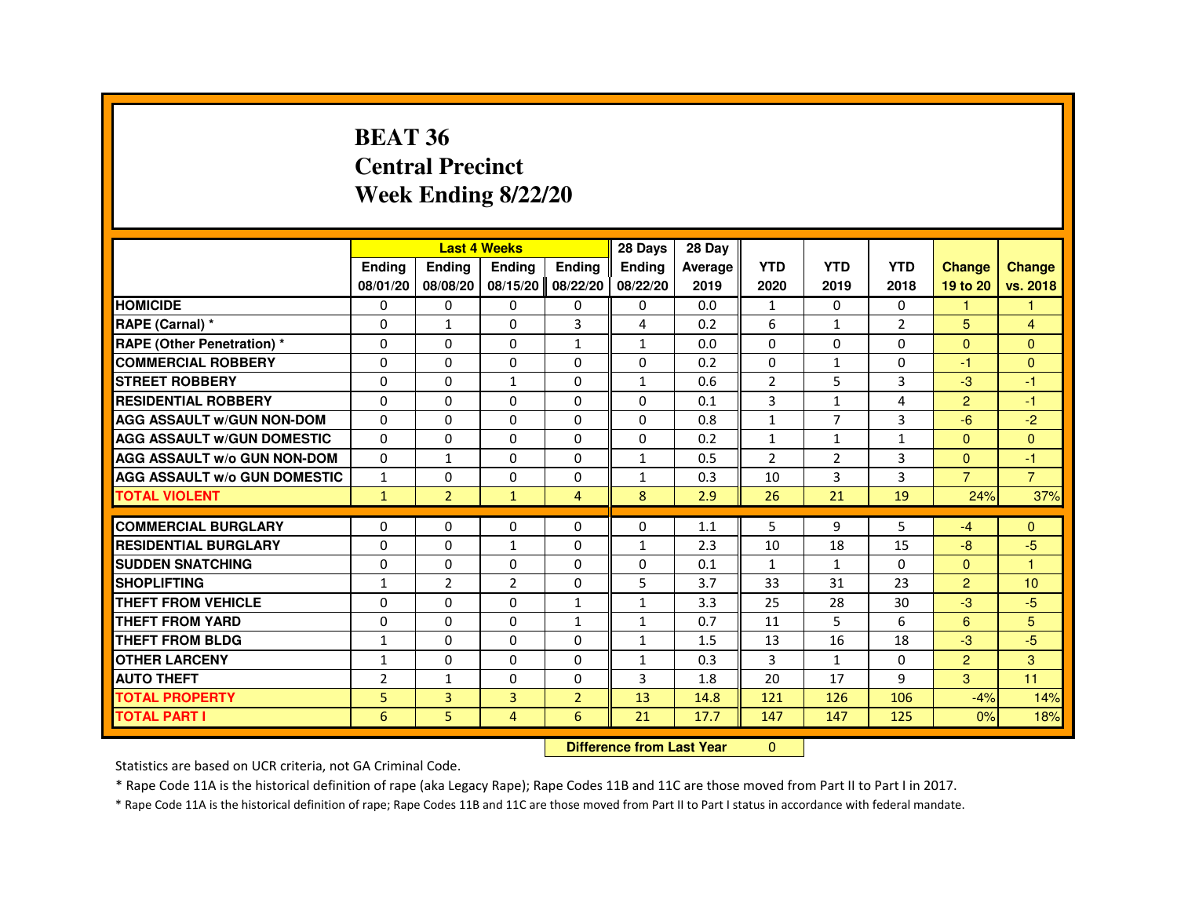#### **BEAT 36 Central PrecinctWeek Ending 8/22/20**

|                                     |                |                | <b>Last 4 Weeks</b> |                   | 28 Days      | 28 Day                           |                |                |                |                |                |
|-------------------------------------|----------------|----------------|---------------------|-------------------|--------------|----------------------------------|----------------|----------------|----------------|----------------|----------------|
|                                     | Ending         | Ending         | Ending              | <b>Endina</b>     | Ending       | Average                          | <b>YTD</b>     | <b>YTD</b>     | <b>YTD</b>     | <b>Change</b>  | <b>Change</b>  |
|                                     | 08/01/20       | 08/08/20       |                     | 08/15/20 08/22/20 | 08/22/20     | 2019                             | 2020           | 2019           | 2018           | 19 to 20       | vs. 2018       |
| <b>HOMICIDE</b>                     | 0              | 0              | 0                   | 0                 | 0            | 0.0                              | $\mathbf{1}$   | 0              | 0              | 1              | -1             |
| RAPE (Carnal) *                     | $\Omega$       | $\mathbf{1}$   | $\Omega$            | 3                 | 4            | 0.2                              | 6              | $\mathbf{1}$   | $\overline{2}$ | 5              | $\overline{4}$ |
| <b>RAPE (Other Penetration) *</b>   | $\mathbf 0$    | 0              | 0                   | $\mathbf{1}$      | $\mathbf{1}$ | 0.0                              | $\Omega$       | $\Omega$       | $\Omega$       | $\Omega$       | $\Omega$       |
| <b>COMMERCIAL ROBBERY</b>           | $\Omega$       | $\Omega$       | 0                   | $\Omega$          | $\Omega$     | 0.2                              | $\Omega$       | $\mathbf{1}$   | $\Omega$       | $-1$           | $\Omega$       |
| <b>STREET ROBBERY</b>               | 0              | $\Omega$       | 1                   | 0                 | $\mathbf{1}$ | 0.6                              | $\overline{2}$ | 5              | 3              | $-3$           | -1             |
| <b>RESIDENTIAL ROBBERY</b>          | $\Omega$       | 0              | 0                   | 0                 | 0            | 0.1                              | 3              | $\mathbf{1}$   | 4              | $\overline{2}$ | -1             |
| <b>AGG ASSAULT W/GUN NON-DOM</b>    | $\mathbf 0$    | 0              | 0                   | $\Omega$          | $\Omega$     | 0.8                              | $\mathbf{1}$   | $\overline{7}$ | 3              | $-6$           | $-2$           |
| <b>AGG ASSAULT W/GUN DOMESTIC</b>   | $\Omega$       | 0              | $\Omega$            | $\Omega$          | $\Omega$     | 0.2                              | $\mathbf{1}$   | $\mathbf{1}$   | $\mathbf{1}$   | $\Omega$       | $\Omega$       |
| <b>AGG ASSAULT W/o GUN NON-DOM</b>  | $\Omega$       | $\mathbf{1}$   | 0                   | 0                 | $\mathbf{1}$ | 0.5                              | $\overline{2}$ | $\overline{2}$ | 3              | $\Omega$       | -1             |
| <b>AGG ASSAULT W/o GUN DOMESTIC</b> | $\mathbf{1}$   | 0              | 0                   | 0                 | $\mathbf{1}$ | 0.3                              | 10             | 3              | $\overline{3}$ | $\overline{7}$ | $\overline{7}$ |
| <b>TOTAL VIOLENT</b>                | $\mathbf{1}$   | $\overline{2}$ | $\mathbf{1}$        | $\overline{4}$    | 8            | 2.9                              | 26             | 21             | 19             | 24%            | 37%            |
| <b>COMMERCIAL BURGLARY</b>          | 0              | 0              | 0                   | 0                 | 0            | 1.1                              | 5              | 9              | 5              | $-4$           | $\Omega$       |
| <b>RESIDENTIAL BURGLARY</b>         | 0              | 0              | 1                   | $\Omega$          | $\mathbf{1}$ | 2.3                              | 10             | 18             | 15             | $-8$           | -5             |
| <b>SUDDEN SNATCHING</b>             | $\Omega$       | 0              | $\Omega$            | $\Omega$          | $\Omega$     | 0.1                              | $\mathbf{1}$   | $\mathbf{1}$   | $\Omega$       | $\Omega$       | $\overline{1}$ |
| <b>SHOPLIFTING</b>                  | 1              | $\overline{2}$ | 2                   | 0                 | 5            | 3.7                              | 33             | 31             | 23             | 2              | 10             |
| <b>THEFT FROM VEHICLE</b>           | $\Omega$       | $\Omega$       | 0                   | $\mathbf{1}$      | $\mathbf{1}$ | 3.3                              | 25             | 28             | 30             | $-3$           | $-5$           |
| <b>THEFT FROM YARD</b>              | $\mathbf 0$    | 0              | $\Omega$            | $\mathbf{1}$      | 1            | 0.7                              | 11             | 5              | 6              | 6              | 5              |
| <b>THEFT FROM BLDG</b>              | $\mathbf{1}$   | 0              | $\Omega$            | $\Omega$          | $\mathbf{1}$ | 1.5                              | 13             | 16             | 18             | $-3$           | $-5$           |
| <b>OTHER LARCENY</b>                | $\mathbf{1}$   | $\Omega$       | 0                   | 0                 | $\mathbf{1}$ | 0.3                              | 3              | $\mathbf{1}$   | $\Omega$       | $\overline{2}$ | 3              |
| <b>AUTO THEFT</b>                   | $\overline{2}$ | $\mathbf{1}$   | 0                   | 0                 | 3            | 1.8                              | 20             | 17             | 9              | 3              | 11             |
| <b>TOTAL PROPERTY</b>               | 5              | 3              | 3                   | $\overline{2}$    | 13           | 14.8                             | 121            | 126            | 106            | $-4%$          | 14%            |
| <b>TOTAL PART I</b>                 | 6              | 5              | 4                   | 6                 | 21           | 17.7                             | 147            | 147            | 125            | 0%             | 18%            |
|                                     |                |                |                     |                   |              | <b>Difference from Last Year</b> | $\Omega$       |                |                |                |                |

 **Difference from Last Year**

Statistics are based on UCR criteria, not GA Criminal Code.

\* Rape Code 11A is the historical definition of rape (aka Legacy Rape); Rape Codes 11B and 11C are those moved from Part II to Part I in 2017.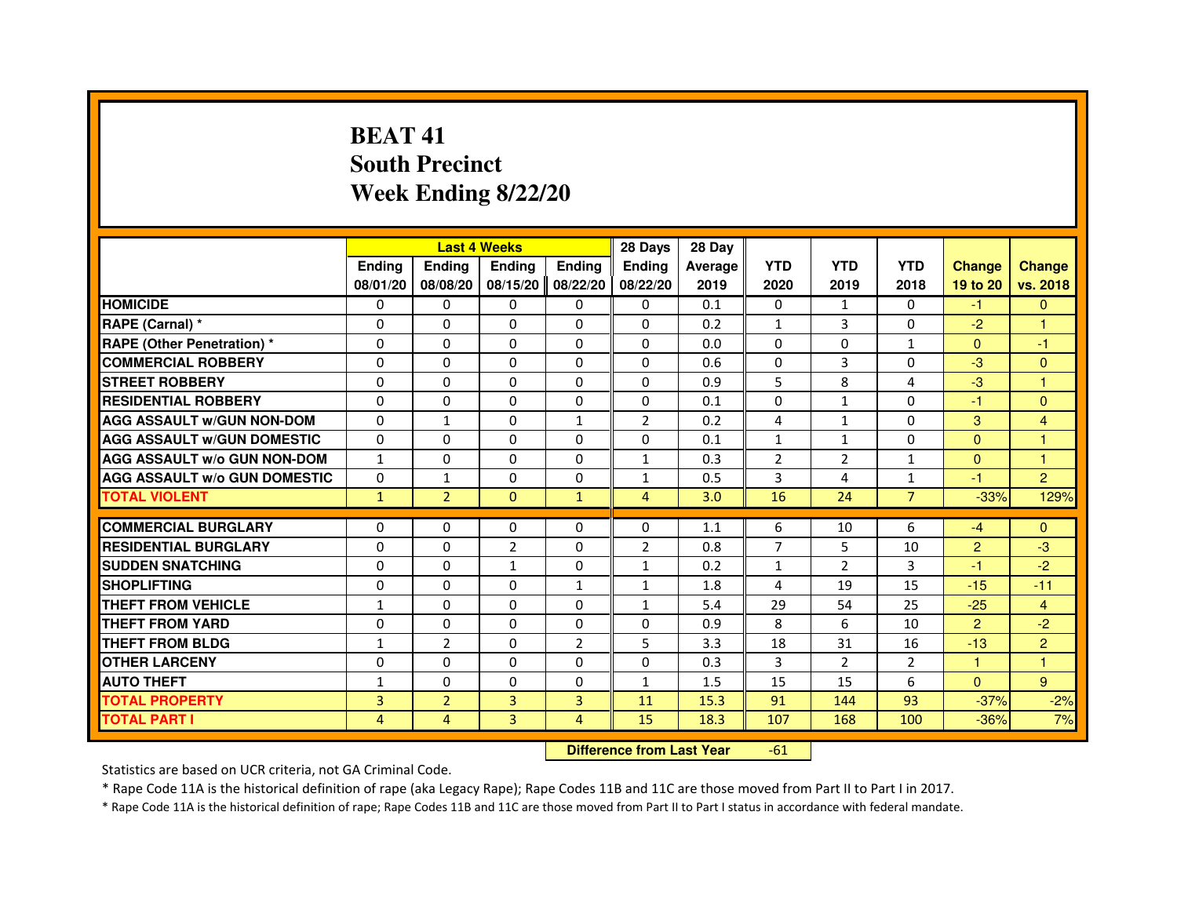# **BEAT 41 South PrecinctWeek Ending 8/22/20**

|                                     |                |                | <b>Last 4 Weeks</b>              |                | 28 Days        | 28 Day  |                |                |                |                |                |
|-------------------------------------|----------------|----------------|----------------------------------|----------------|----------------|---------|----------------|----------------|----------------|----------------|----------------|
|                                     | <b>Ending</b>  | Ending         | Ending                           | <b>Ending</b>  | <b>Endina</b>  | Average | <b>YTD</b>     | <b>YTD</b>     | <b>YTD</b>     | <b>Change</b>  | <b>Change</b>  |
|                                     | 08/01/20       | 08/08/20       | 08/15/20                         | 08/22/20       | 08/22/20       | 2019    | 2020           | 2019           | 2018           | 19 to 20       | vs. 2018       |
| <b>HOMICIDE</b>                     | $\Omega$       | $\mathbf{0}$   | $\mathbf{0}$                     | $\mathbf{0}$   | $\mathbf{0}$   | 0.1     | $\Omega$       | $\mathbf{1}$   | $\Omega$       | $-1$           | $\mathbf{0}$   |
| RAPE (Carnal) *                     | 0              | $\Omega$       | $\Omega$                         | $\Omega$       | $\Omega$       | 0.2     | $\mathbf{1}$   | 3              | $\Omega$       | $-2$           |                |
| <b>RAPE (Other Penetration) *</b>   | $\Omega$       | $\Omega$       | $\Omega$                         | $\Omega$       | $\Omega$       | 0.0     | $\Omega$       | $\Omega$       | $\mathbf{1}$   | $\Omega$       | $-1$           |
| <b>COMMERCIAL ROBBERY</b>           | 0              | $\Omega$       | $\Omega$                         | $\Omega$       | $\Omega$       | 0.6     | $\Omega$       | 3              | $\Omega$       | $-3$           | $\mathbf{0}$   |
| <b>STREET ROBBERY</b>               | $\Omega$       | $\Omega$       | $\Omega$                         | $\Omega$       | $\Omega$       | 0.9     | 5              | 8              | 4              | $-3$           | $\mathbf{1}$   |
| <b>RESIDENTIAL ROBBERY</b>          | $\Omega$       | $\Omega$       | $\Omega$                         | $\Omega$       | $\Omega$       | 0.1     | $\Omega$       | $\mathbf{1}$   | $\Omega$       | $-1$           | $\Omega$       |
| <b>AGG ASSAULT w/GUN NON-DOM</b>    | $\Omega$       | $\mathbf{1}$   | $\Omega$                         | $\mathbf{1}$   | $\overline{2}$ | 0.2     | 4              | $\mathbf{1}$   | $\Omega$       | 3              | 4              |
| <b>AGG ASSAULT W/GUN DOMESTIC</b>   | $\Omega$       | $\Omega$       | $\Omega$                         | $\Omega$       | $\Omega$       | 0.1     | $\mathbf{1}$   | $\mathbf{1}$   | $\Omega$       | $\Omega$       | 1              |
| <b>AGG ASSAULT w/o GUN NON-DOM</b>  | $\mathbf{1}$   | 0              | 0                                | $\mathbf{0}$   | $\mathbf{1}$   | 0.3     | 2              | $\overline{2}$ | 1              | $\mathbf{0}$   | 1              |
| <b>AGG ASSAULT W/o GUN DOMESTIC</b> | $\Omega$       | $\mathbf{1}$   | $\Omega$                         | $\Omega$       | $\mathbf{1}$   | 0.5     | 3              | 4              | $\mathbf{1}$   | $-1$           | $\overline{2}$ |
| <b>TOTAL VIOLENT</b>                | $\mathbf{1}$   | $\overline{2}$ | $\mathbf 0$                      | $\mathbf{1}$   | $\overline{4}$ | 3.0     | 16             | 24             | $\overline{7}$ | $-33%$         | 129%           |
| <b>COMMERCIAL BURGLARY</b>          | $\Omega$       | $\Omega$       | 0                                | $\Omega$       | $\Omega$       | 1.1     | 6              | 10             | 6              | $-4$           | $\Omega$       |
| <b>RESIDENTIAL BURGLARY</b>         | $\Omega$       | $\Omega$       | $\overline{2}$                   | $\Omega$       | $\overline{2}$ | 0.8     | $\overline{7}$ | 5              | 10             | $\overline{2}$ | $-3$           |
| <b>SUDDEN SNATCHING</b>             | $\Omega$       | $\Omega$       | $\mathbf{1}$                     | $\Omega$       | $\mathbf{1}$   | 0.2     | $\mathbf{1}$   | $\mathcal{P}$  | 3              | $-1$           | $-2$           |
| <b>SHOPLIFTING</b>                  | 0              | 0              | 0                                | 1              | 1              | 1.8     | 4              | 19             | 15             | $-15$          | $-11$          |
| <b>THEFT FROM VEHICLE</b>           | 1              | $\Omega$       | $\Omega$                         | $\Omega$       | 1              | 5.4     | 29             | 54             | 25             | $-25$          | $\overline{4}$ |
| <b>THEFT FROM YARD</b>              | 0              | 0              | $\Omega$                         | 0              | 0              | 0.9     | 8              | 6              | 10             | $\overline{2}$ | $-2$           |
| <b>THEFT FROM BLDG</b>              | $\mathbf{1}$   | $\overline{2}$ | $\Omega$                         | $\overline{2}$ | 5              | 3.3     | 18             | 31             | 16             | $-13$          | $\overline{2}$ |
| <b>OTHER LARCENY</b>                | $\Omega$       | $\Omega$       | $\Omega$                         | $\Omega$       | $\Omega$       | 0.3     | 3              | $\overline{2}$ | 2              | 1.             | 1              |
| <b>AUTO THEFT</b>                   | $\mathbf{1}$   | $\Omega$       | $\Omega$                         | $\Omega$       | $\mathbf{1}$   | 1.5     | 15             | 15             | 6              | $\Omega$       | 9              |
| <b>TOTAL PROPERTY</b>               | $\overline{3}$ | $\overline{2}$ | $\overline{3}$                   | 3              | 11             | 15.3    | 91             | 144            | 93             | $-37%$         | $-2%$          |
| <b>TOTAL PART I</b>                 | $\overline{4}$ | $\overline{4}$ | 3                                | 4              | 15             | 18.3    | 107            | 168            | 100            | $-36%$         | 7%             |
|                                     |                |                | <b>Difference from Last Year</b> |                | $-61$          |         |                |                |                |                |                |

 **Difference from Last Year**

Statistics are based on UCR criteria, not GA Criminal Code.

\* Rape Code 11A is the historical definition of rape (aka Legacy Rape); Rape Codes 11B and 11C are those moved from Part II to Part I in 2017.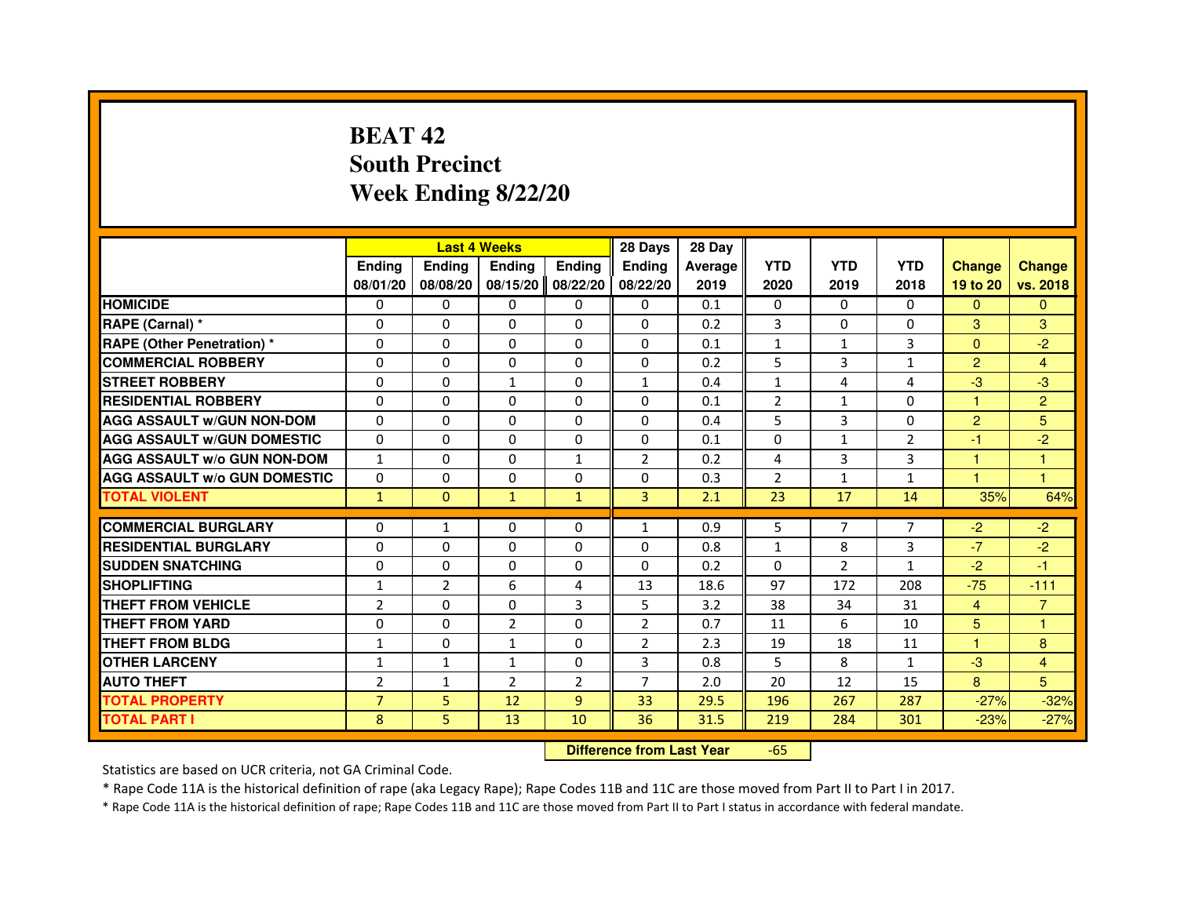# **BEAT 42 South PrecinctWeek Ending 8/22/20**

|                                     |                |                | <b>Last 4 Weeks</b>              |                | 28 Days        | 28 Day  |                |                |                |                |                |
|-------------------------------------|----------------|----------------|----------------------------------|----------------|----------------|---------|----------------|----------------|----------------|----------------|----------------|
|                                     | <b>Ending</b>  | Ending         | <b>Ending</b>                    | <b>Ending</b>  | <b>Ending</b>  | Average | <b>YTD</b>     | <b>YTD</b>     | <b>YTD</b>     | <b>Change</b>  | <b>Change</b>  |
|                                     | 08/01/20       | 08/08/20       | 08/15/20                         | 08/22/20       | 08/22/20       | 2019    | 2020           | 2019           | 2018           | 19 to 20       | vs. 2018       |
| <b>HOMICIDE</b>                     | 0              | 0              | $\Omega$                         | 0              | 0              | 0.1     | 0              | 0              | $\Omega$       | $\mathbf{0}$   | $\mathbf{0}$   |
| RAPE (Carnal) *                     | 0              | 0              | 0                                | 0              | 0              | 0.2     | 3              | 0              | 0              | 3              | 3              |
| RAPE (Other Penetration) *          | $\Omega$       | 0              | $\Omega$                         | $\Omega$       | $\Omega$       | 0.1     | $\mathbf{1}$   | $\mathbf{1}$   | 3              | $\Omega$       | $-2$           |
| <b>COMMERCIAL ROBBERY</b>           | $\Omega$       | $\Omega$       | $\Omega$                         | $\Omega$       | $\Omega$       | 0.2     | 5              | 3              | $\mathbf{1}$   | $\overline{2}$ | $\overline{4}$ |
| <b>STREET ROBBERY</b>               | $\Omega$       | $\Omega$       | $\mathbf{1}$                     | $\Omega$       | $\mathbf{1}$   | 0.4     | $\mathbf{1}$   | 4              | 4              | $-3$           | $-3$           |
| <b>RESIDENTIAL ROBBERY</b>          | 0              | 0              | $\Omega$                         | 0              | 0              | 0.1     | $\overline{2}$ | $\mathbf{1}$   | $\Omega$       | 1              | $\overline{2}$ |
| <b>AGG ASSAULT W/GUN NON-DOM</b>    | $\Omega$       | $\Omega$       | $\Omega$                         | $\Omega$       | $\Omega$       | 0.4     | 5              | 3              | $\Omega$       | $\overline{2}$ | 5              |
| <b>AGG ASSAULT W/GUN DOMESTIC</b>   | $\Omega$       | $\Omega$       | $\Omega$                         | $\Omega$       | $\Omega$       | 0.1     | $\Omega$       | $\mathbf{1}$   | $\overline{2}$ | $-1$           | $-2$           |
| <b>AGG ASSAULT W/o GUN NON-DOM</b>  | $\mathbf{1}$   | $\Omega$       | $\Omega$                         | $\mathbf{1}$   | 2              | 0.2     | 4              | 3              | 3              | $\mathbf{1}$   | $\mathbf{1}$   |
| <b>AGG ASSAULT w/o GUN DOMESTIC</b> | $\Omega$       | $\Omega$       | 0                                | $\Omega$       | $\Omega$       | 0.3     | $\overline{2}$ | $\mathbf{1}$   | $\mathbf{1}$   | 1              | 1              |
| <b>TOTAL VIOLENT</b>                | $\mathbf{1}$   | $\mathbf{0}$   | $\mathbf{1}$                     | $\mathbf{1}$   | 3              | 2.1     | 23             | 17             | 14             | 35%            | 64%            |
| <b>COMMERCIAL BURGLARY</b>          | 0              | 1              | 0                                | 0              | $\mathbf{1}$   | 0.9     | 5              | 7              | 7              | $-2$           | $-2$           |
| <b>RESIDENTIAL BURGLARY</b>         | 0              | $\Omega$       | $\Omega$                         | $\Omega$       | $\Omega$       | 0.8     | $\mathbf{1}$   | 8              | 3              | $-7$           | $-2$           |
| <b>SUDDEN SNATCHING</b>             | $\Omega$       | $\Omega$       | $\Omega$                         | $\Omega$       | $\Omega$       | 0.2     | $\Omega$       | $\overline{2}$ | 1              | $-2$           | $-1$           |
| <b>SHOPLIFTING</b>                  | $\mathbf{1}$   | $\overline{2}$ | 6                                | 4              | 13             | 18.6    | 97             | 172            | 208            | $-75$          | $-111$         |
| THEFT FROM VEHICLE                  | $\overline{2}$ | 0              | 0                                | 3              | 5              | 3.2     | 38             | 34             | 31             | $\overline{4}$ | $\overline{7}$ |
| <b>THEFT FROM YARD</b>              | $\Omega$       | $\Omega$       | $\overline{2}$                   | $\Omega$       | $\overline{2}$ | 0.7     | 11             | 6              | 10             | 5              | $\mathbf{1}$   |
| <b>THEFT FROM BLDG</b>              | $\mathbf{1}$   | $\Omega$       | $\mathbf{1}$                     | $\Omega$       | $\overline{2}$ | 2.3     | 19             | 18             | 11             | $\mathbf{1}$   | 8              |
| <b>OTHER LARCENY</b>                | 1              | $\mathbf{1}$   | 1                                | 0              | 3              | 0.8     | 5              | 8              | $\mathbf{1}$   | $-3$           | 4              |
| <b>AUTO THEFT</b>                   | $\overline{2}$ | $\mathbf{1}$   | $\overline{2}$                   | $\overline{2}$ | $\overline{7}$ | 2.0     | 20             | 12             | 15             | 8              | 5              |
| <b>TOTAL PROPERTY</b>               | $\overline{7}$ | 5              | 12                               | $\overline{9}$ | 33             | 29.5    | 196            | 267            | 287            | $-27%$         | $-32%$         |
| <b>TOTAL PART I</b>                 | 8              | 5              | 13                               | 10             | 36             | 31.5    | 219            | 284            | 301            | $-23%$         | $-27%$         |
|                                     |                |                | <b>Difference from Last Year</b> |                | $-65$          |         |                |                |                |                |                |

 **Difference from Last Year**

Statistics are based on UCR criteria, not GA Criminal Code.

\* Rape Code 11A is the historical definition of rape (aka Legacy Rape); Rape Codes 11B and 11C are those moved from Part II to Part I in 2017.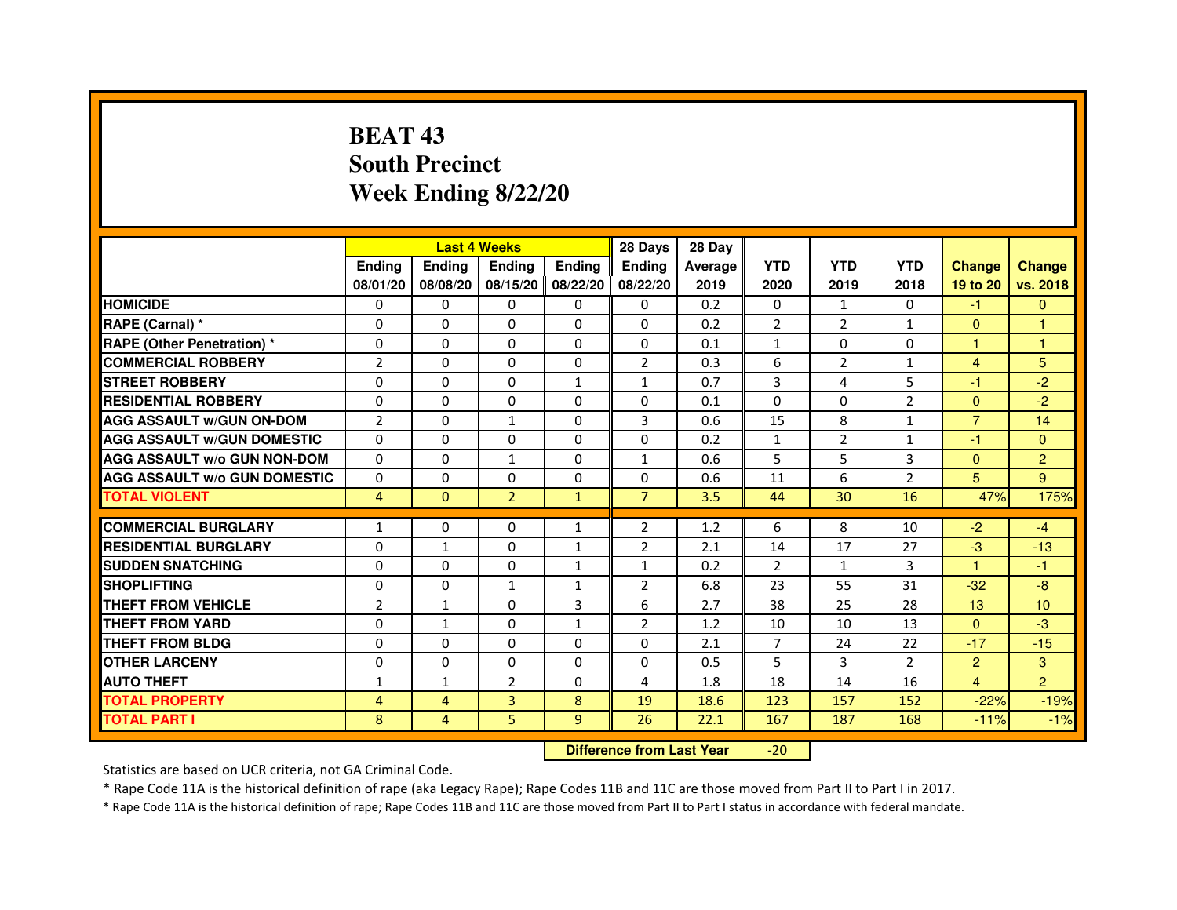# **BEAT 43 South PrecinctWeek Ending 8/22/20**

|                                     |                |               | <b>Last 4 Weeks</b> |               | 28 Days        | 28 Day  |                |                |                |                 |                |
|-------------------------------------|----------------|---------------|---------------------|---------------|----------------|---------|----------------|----------------|----------------|-----------------|----------------|
|                                     | <b>Ending</b>  | <b>Endina</b> | <b>Ending</b>       | <b>Ending</b> | <b>Endina</b>  | Average | <b>YTD</b>     | <b>YTD</b>     | <b>YTD</b>     | <b>Change</b>   | <b>Change</b>  |
|                                     | 08/01/20       | 08/08/20      | 08/15/20 08/22/20   |               | 08/22/20       | 2019    | 2020           | 2019           | 2018           | 19 to 20        | vs. 2018       |
| <b>HOMICIDE</b>                     | 0              | 0             | $\mathbf{0}$        | 0             | $\Omega$       | 0.2     | $\mathbf{0}$   | $\mathbf{1}$   | $\mathbf{0}$   | $-1$            | $\mathbf{0}$   |
| RAPE (Carnal) *                     | $\Omega$       | $\Omega$      | $\Omega$            | $\Omega$      | $\Omega$       | 0.2     | $\overline{2}$ | $\overline{2}$ | $\mathbf{1}$   | $\mathbf{0}$    | $\mathbf{1}$   |
| <b>RAPE (Other Penetration)*</b>    | 0              | 0             | 0                   | 0             | 0              | 0.1     | $\mathbf{1}$   | $\mathbf{0}$   | $\Omega$       | $\mathbf{1}$    | $\mathbf{1}$   |
| <b>COMMERCIAL ROBBERY</b>           | $\overline{2}$ | $\Omega$      | $\Omega$            | $\Omega$      | 2              | 0.3     | 6              | $\overline{2}$ | 1              | $\overline{4}$  | 5              |
| <b>STREET ROBBERY</b>               | $\Omega$       | 0             | $\Omega$            | $\mathbf{1}$  | $\mathbf{1}$   | 0.7     | 3              | 4              | 5              | $-1$            | $-2$           |
| <b>RESIDENTIAL ROBBERY</b>          | $\Omega$       | $\Omega$      | $\Omega$            | $\Omega$      | 0              | 0.1     | $\Omega$       | $\Omega$       | $\overline{2}$ | $\Omega$        | $-2$           |
| <b>AGG ASSAULT w/GUN ON-DOM</b>     | $\overline{2}$ | $\Omega$      | $\mathbf{1}$        | $\Omega$      | 3              | 0.6     | 15             | 8              | $\mathbf{1}$   | $\overline{7}$  | 14             |
| <b>AGG ASSAULT W/GUN DOMESTIC</b>   | 0              | 0             | 0                   | 0             | 0              | 0.2     | $\mathbf{1}$   | $\overline{2}$ | $\mathbf{1}$   | $-1$            | $\Omega$       |
| <b>AGG ASSAULT W/o GUN NON-DOM</b>  | $\Omega$       | $\Omega$      | $\mathbf{1}$        | $\Omega$      | 1              | 0.6     | 5              | 5              | 3              | $\mathbf{0}$    | $\overline{2}$ |
| <b>AGG ASSAULT W/o GUN DOMESTIC</b> | $\Omega$       | 0             | $\Omega$            | 0             | 0              | 0.6     | 11             | 6              | $\overline{2}$ | 5               | 9              |
| <b>TOTAL VIOLENT</b>                | $\overline{4}$ | $\mathbf{0}$  | $\overline{2}$      | $\mathbf{1}$  | $\overline{7}$ | 3.5     | 44             | 30             | 16             | 47%             | 175%           |
|                                     |                |               |                     |               |                |         |                |                |                |                 |                |
| <b>COMMERCIAL BURGLARY</b>          | 1              | 0             | 0                   | 1             | 2              | 1.2     | 6              | 8              | 10             | $-2$            | $-4$           |
| <b>RESIDENTIAL BURGLARY</b>         | 0              | 1             | 0                   | $\mathbf{1}$  | $\overline{2}$ | 2.1     | 14             | 17             | 27             | $-3$            | $-13$          |
| <b>SUDDEN SNATCHING</b>             | 0              | 0             | 0                   | $\mathbf{1}$  | $\mathbf{1}$   | 0.2     | $\overline{2}$ | $\mathbf{1}$   | 3              | 1               | $-1$           |
| <b>SHOPLIFTING</b>                  | $\Omega$       | $\Omega$      | $\mathbf{1}$        | $\mathbf{1}$  | $\overline{2}$ | 6.8     | 23             | 55             | 31             | $-32$           | $-8$           |
| THEFT FROM VEHICLE                  | $\overline{2}$ | $\mathbf{1}$  | $\Omega$            | 3             | 6              | 2.7     | 38             | 25             | 28             | 13 <sup>°</sup> | 10             |
| <b>THEFT FROM YARD</b>              | $\Omega$       | $\mathbf{1}$  | $\Omega$            | 1             | $\overline{2}$ | 1.2     | 10             | 10             | 13             | $\Omega$        | $-3$           |
| <b>THEFT FROM BLDG</b>              | $\Omega$       | $\Omega$      | $\Omega$            | 0             | 0              | 2.1     | $\overline{7}$ | 24             | 22             | $-17$           | $-15$          |
| <b>OTHER LARCENY</b>                | $\Omega$       | $\Omega$      | $\Omega$            | $\Omega$      | 0              | 0.5     | 5              | 3              | $\overline{2}$ | $\overline{2}$  | $\overline{3}$ |
| <b>AUTO THEFT</b>                   | $\mathbf{1}$   | $\mathbf{1}$  | $\overline{2}$      | $\Omega$      | 4              | 1.8     | 18             | 14             | 16             | $\overline{4}$  | $\overline{2}$ |
| <b>TOTAL PROPERTY</b>               | 4              | 4             | 3                   | 8             | 19             | 18.6    | 123            | 157            | 152            | $-22%$          | $-19%$         |
| <b>TOTAL PART I</b>                 | 8              | 4             | 5                   | 9             | 26             | 22.1    | 167            | 187            | 168            | $-11%$          | $-1%$          |

 **Difference from Last Year**-20

Statistics are based on UCR criteria, not GA Criminal Code.

\* Rape Code 11A is the historical definition of rape (aka Legacy Rape); Rape Codes 11B and 11C are those moved from Part II to Part I in 2017.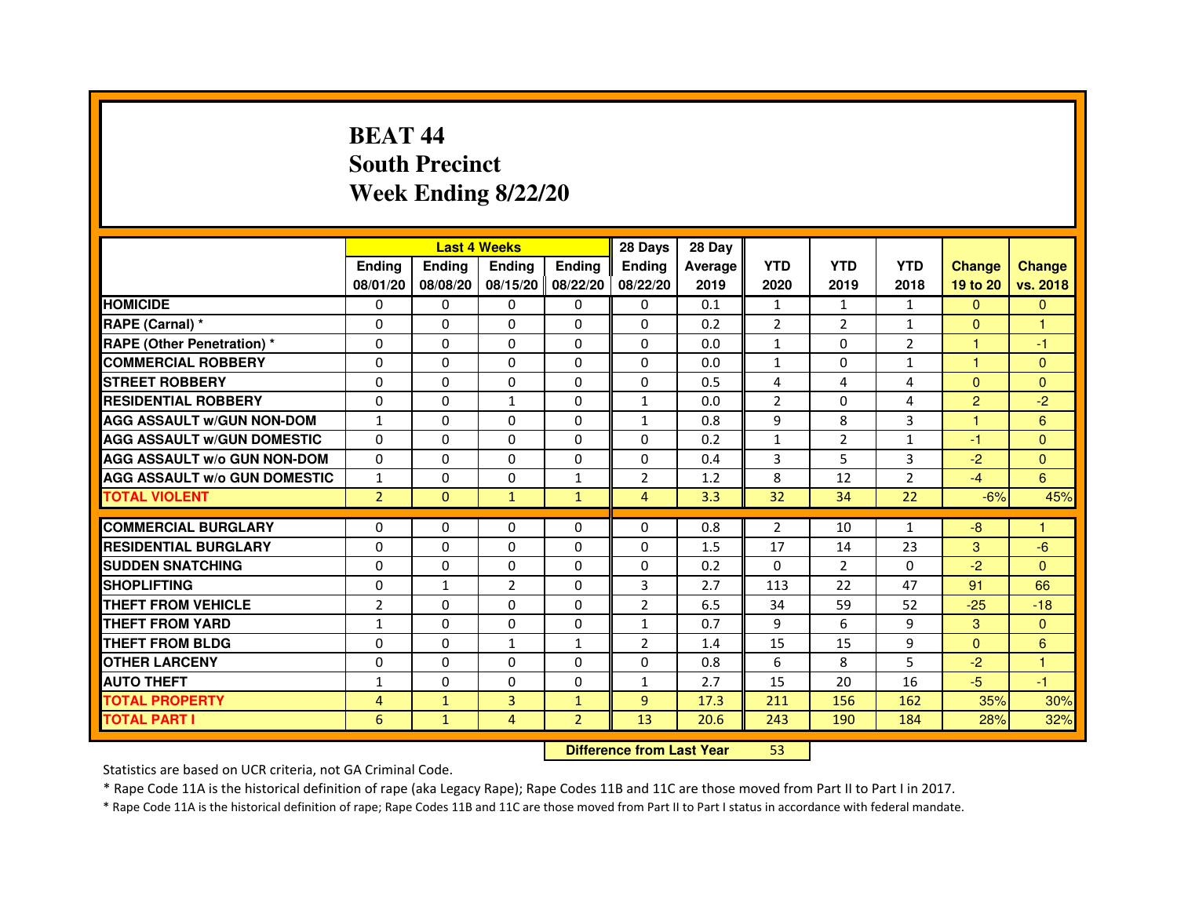# **BEAT 44 South PrecinctWeek Ending 8/22/20**

|                                     |                |               | <b>Last 4 Weeks</b>              |                | 28 Days        | 28 Day  |                |                |                |                |               |
|-------------------------------------|----------------|---------------|----------------------------------|----------------|----------------|---------|----------------|----------------|----------------|----------------|---------------|
|                                     | Ending         | <b>Ending</b> | <b>Ending</b>                    | <b>Ending</b>  | <b>Ending</b>  | Average | <b>YTD</b>     | <b>YTD</b>     | <b>YTD</b>     | <b>Change</b>  | <b>Change</b> |
|                                     | 08/01/20       | 08/08/20      | 08/15/20                         | 08/22/20       | 08/22/20       | 2019    | 2020           | 2019           | 2018           | 19 to 20       | vs. 2018      |
| <b>HOMICIDE</b>                     | 0              | $\Omega$      | $\Omega$                         | $\Omega$       | 0              | 0.1     | $\mathbf{1}$   | $\mathbf{1}$   | $\mathbf{1}$   | $\Omega$       | $\mathbf{0}$  |
| RAPE (Carnal) *                     | 0              | 0             | 0                                | $\mathbf{0}$   | 0              | 0.2     | $\overline{2}$ | $\overline{2}$ | $\mathbf{1}$   | $\mathbf{0}$   | 1             |
| <b>RAPE (Other Penetration) *</b>   | 0              | 0             | $\Omega$                         | $\Omega$       | $\Omega$       | 0.0     | $\mathbf{1}$   | $\Omega$       | $\overline{2}$ | 1              | -1            |
| <b>COMMERCIAL ROBBERY</b>           | $\Omega$       | $\Omega$      | $\Omega$                         | $\mathbf{0}$   | $\Omega$       | 0.0     | $\mathbf{1}$   | $\Omega$       | $\mathbf{1}$   | $\mathbf{1}$   | $\mathbf{0}$  |
| <b>STREET ROBBERY</b>               | $\Omega$       | $\Omega$      | 0                                | $\Omega$       | $\Omega$       | 0.5     | 4              | 4              | 4              | $\Omega$       | $\mathbf{0}$  |
| <b>RESIDENTIAL ROBBERY</b>          | $\Omega$       | $\Omega$      | $\mathbf{1}$                     | $\Omega$       | $\mathbf{1}$   | 0.0     | $\overline{2}$ | $\Omega$       | 4              | $\overline{2}$ | $-2$          |
| <b>AGG ASSAULT w/GUN NON-DOM</b>    | $\mathbf{1}$   | $\mathbf 0$   | $\Omega$                         | $\Omega$       | $\mathbf{1}$   | 0.8     | 9              | 8              | 3              | $\mathbf{1}$   | 6             |
| <b>AGG ASSAULT w/GUN DOMESTIC</b>   | $\Omega$       | $\Omega$      | $\Omega$                         | $\Omega$       | $\Omega$       | 0.2     | $\mathbf{1}$   | $\overline{2}$ | $\mathbf{1}$   | $-1$           | $\Omega$      |
| <b>AGG ASSAULT W/o GUN NON-DOM</b>  | $\mathbf{0}$   | 0             | 0                                | $\mathbf{0}$   | 0              | 0.4     | 3              | 5              | 3              | $-2$           | $\mathbf{0}$  |
| <b>AGG ASSAULT w/o GUN DOMESTIC</b> | $\mathbf{1}$   | 0             | 0                                | $\mathbf{1}$   | $\overline{2}$ | 1.2     | 8              | 12             | $\overline{2}$ | $-4$           | 6             |
| <b>TOTAL VIOLENT</b>                | $\overline{2}$ | $\mathbf{0}$  | $\mathbf{1}$                     | $\mathbf{1}$   | $\overline{4}$ | 3.3     | 32             | 34             | 22             | $-6%$          | 45%           |
| <b>COMMERCIAL BURGLARY</b>          | $\Omega$       | 0             | 0                                | 0              | 0              | 0.8     | $\overline{2}$ | 10             | $\mathbf{1}$   | $-8$           | 1             |
| <b>RESIDENTIAL BURGLARY</b>         | $\Omega$       | $\Omega$      | $\Omega$                         | $\Omega$       | $\Omega$       | 1.5     | 17             | 14             | 23             | 3              | $-6$          |
| <b>SUDDEN SNATCHING</b>             | 0              | $\Omega$      | $\Omega$                         | $\Omega$       | $\Omega$       | 0.2     | $\Omega$       | $\mathcal{P}$  | $\Omega$       | $-2$           | $\Omega$      |
| <b>SHOPLIFTING</b>                  | 0              | $\mathbf{1}$  | $\overline{2}$                   | $\mathbf{0}$   | 3              | 2.7     | 113            | 22             | 47             | 91             | 66            |
| <b>THEFT FROM VEHICLE</b>           | $\overline{2}$ | $\mathbf 0$   | 0                                | $\Omega$       | $\overline{2}$ | 6.5     | 34             | 59             | 52             | $-25$          | $-18$         |
| <b>THEFT FROM YARD</b>              | $\mathbf{1}$   | 0             | 0                                | $\mathbf 0$    | $\mathbf{1}$   | 0.7     | 9              | 6              | 9              | 3              | $\mathbf{0}$  |
| <b>THEFT FROM BLDG</b>              | 0              | $\Omega$      | $\mathbf{1}$                     | $\mathbf{1}$   | 2              | 1.4     | 15             | 15             | 9              | $\Omega$       | 6             |
| <b>OTHER LARCENY</b>                | $\mathbf 0$    | $\Omega$      | 0                                | $\Omega$       | $\Omega$       | 0.8     | 6              | 8              | 5              | $-2$           | 1             |
| <b>AUTO THEFT</b>                   | $\mathbf{1}$   | $\Omega$      | $\Omega$                         | $\Omega$       | $\mathbf{1}$   | 2.7     | 15             | 20             | 16             | $-5$           | $-1$          |
| <b>TOTAL PROPERTY</b>               | 4              | $\mathbf{1}$  | $\overline{3}$                   | $\mathbf{1}$   | 9              | 17.3    | 211            | 156            | 162            | 35%            | 30%           |
| <b>TOTAL PART I</b>                 | 6              | $\mathbf{1}$  | $\overline{4}$                   | $\overline{2}$ | 13             | 20.6    | 243            | 190            | 184            | 28%            | 32%           |
|                                     |                |               | <b>Difference from Last Year</b> |                | 53             |         |                |                |                |                |               |

 **Difference from Last Year**

Statistics are based on UCR criteria, not GA Criminal Code.

\* Rape Code 11A is the historical definition of rape (aka Legacy Rape); Rape Codes 11B and 11C are those moved from Part II to Part I in 2017.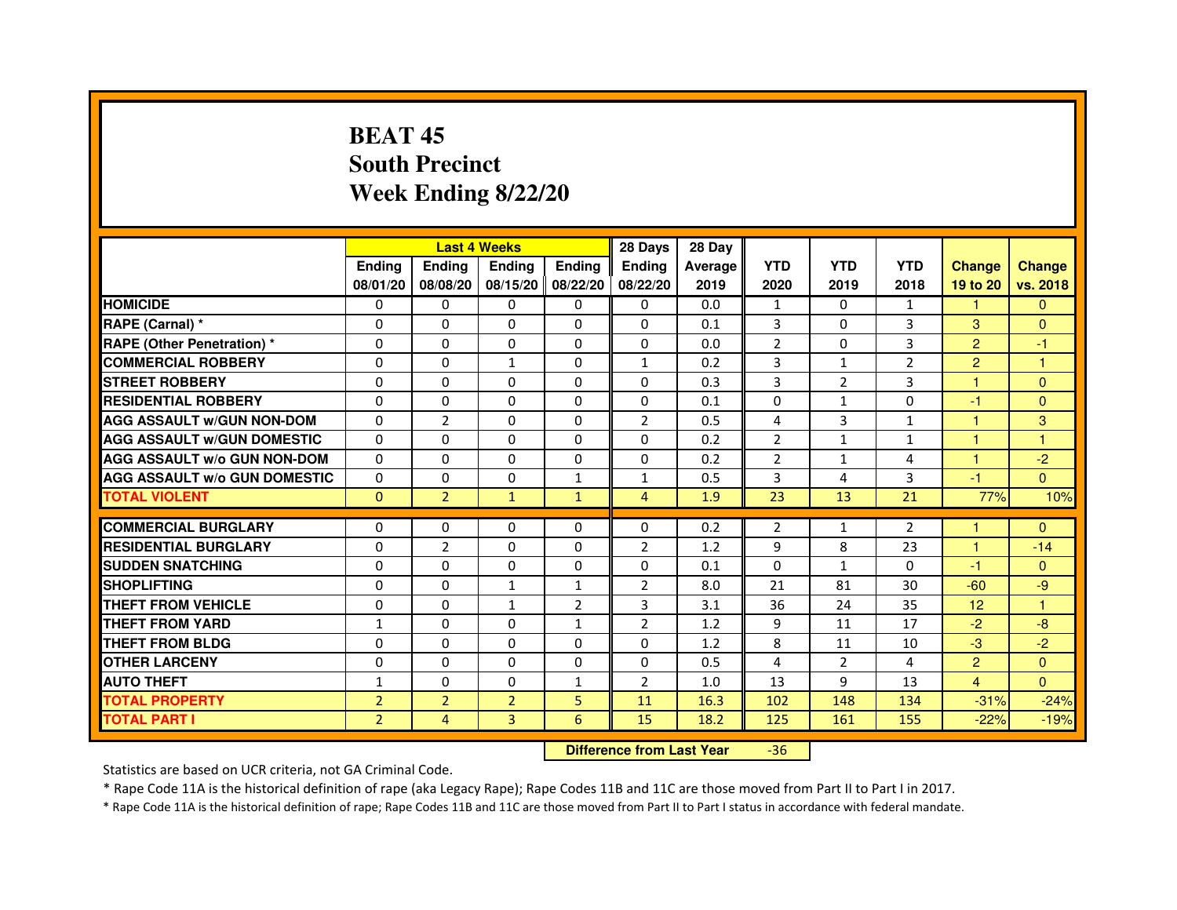# **BEAT 45 South PrecinctWeek Ending 8/22/20**

|                                     |                | <b>Last 4 Weeks</b> |                   |                | 28 Days        | 28 Day  |                |                |                |                 |               |
|-------------------------------------|----------------|---------------------|-------------------|----------------|----------------|---------|----------------|----------------|----------------|-----------------|---------------|
|                                     | <b>Ending</b>  | <b>Endina</b>       | <b>Ending</b>     | <b>Ending</b>  | <b>Endina</b>  | Average | <b>YTD</b>     | <b>YTD</b>     | <b>YTD</b>     | <b>Change</b>   | <b>Change</b> |
|                                     | 08/01/20       | 08/08/20            | 08/15/20 08/22/20 |                | 08/22/20       | 2019    | 2020           | 2019           | 2018           | 19 to 20        | vs. 2018      |
| <b>HOMICIDE</b>                     | 0              | $\mathbf{0}$        | $\mathbf{0}$      | $\mathbf{0}$   | $\mathbf{0}$   | 0.0     | $\mathbf{1}$   | $\Omega$       | $\mathbf{1}$   | 1.              | $\mathbf{0}$  |
| RAPE (Carnal) *                     | $\Omega$       | $\Omega$            | $\Omega$          | 0              | $\Omega$       | 0.1     | 3              | $\Omega$       | 3              | 3               | $\Omega$      |
| <b>RAPE (Other Penetration) *</b>   | $\Omega$       | 0                   | $\Omega$          | 0              | 0              | 0.0     | $\overline{2}$ | $\mathbf{0}$   | 3              | $\overline{2}$  | $-1$          |
| <b>COMMERCIAL ROBBERY</b>           | $\Omega$       | $\Omega$            | $\mathbf{1}$      | $\Omega$       | 1              | 0.2     | 3              | $\mathbf{1}$   | $\overline{2}$ | $\overline{2}$  | 1             |
| <b>STREET ROBBERY</b>               | $\Omega$       | $\Omega$            | $\mathbf 0$       | 0              | 0              | 0.3     | 3              | $\overline{2}$ | 3              | 1               | $\Omega$      |
| <b>RESIDENTIAL ROBBERY</b>          | 0              | 0                   | 0                 | 0              | 0              | 0.1     | 0              | $\mathbf{1}$   | $\Omega$       | $-1$            | $\Omega$      |
| <b>AGG ASSAULT w/GUN NON-DOM</b>    | $\Omega$       | $\overline{2}$      | $\mathbf 0$       | $\Omega$       | $\overline{2}$ | 0.5     | 4              | 3              | $\mathbf{1}$   | $\mathbf{1}$    | 3             |
| <b>AGG ASSAULT W/GUN DOMESTIC</b>   | $\Omega$       | $\Omega$            | $\Omega$          | $\Omega$       | $\Omega$       | 0.2     | $\overline{2}$ | $\mathbf{1}$   | $\mathbf{1}$   | $\mathbf{1}$    | 1             |
| <b>AGG ASSAULT W/o GUN NON-DOM</b>  | $\Omega$       | $\Omega$            | 0                 | 0              | 0              | 0.2     | $\overline{2}$ | 1              | 4              | 1               | $-2$          |
| <b>AGG ASSAULT w/o GUN DOMESTIC</b> | $\Omega$       | 0                   | 0                 | $\mathbf{1}$   | $\mathbf{1}$   | 0.5     | 3              | 4              | 3              | $-1$            | $\Omega$      |
| <b>TOTAL VIOLENT</b>                | $\mathbf{0}$   | $\overline{2}$      | $\mathbf{1}$      | $\mathbf{1}$   | $\overline{4}$ | 1.9     | 23             | 13             | 21             | 77%             | 10%           |
|                                     |                |                     |                   |                |                |         |                |                |                |                 |               |
| <b>COMMERCIAL BURGLARY</b>          | 0              | $\Omega$            | 0                 | $\Omega$       | 0              | 0.2     | $\overline{2}$ | $\mathbf{1}$   | $\overline{2}$ | 1               | $\mathbf{0}$  |
| <b>RESIDENTIAL BURGLARY</b>         | 0              | $\overline{2}$      | $\Omega$          | 0              | $\overline{2}$ | 1.2     | 9              | 8              | 23             | 1               | $-14$         |
| <b>SUDDEN SNATCHING</b>             | $\Omega$       | $\Omega$            | $\Omega$          | 0              | 0              | 0.1     | $\Omega$       | $\mathbf{1}$   | $\Omega$       | $-1$            | $\Omega$      |
| <b>SHOPLIFTING</b>                  | $\Omega$       | $\mathbf 0$         | $\mathbf{1}$      | $\mathbf{1}$   | $\overline{2}$ | 8.0     | 21             | 81             | 30             | $-60$           | -9            |
| THEFT FROM VEHICLE                  | $\Omega$       | $\Omega$            | $\mathbf{1}$      | $\overline{2}$ | 3              | 3.1     | 36             | 24             | 35             | 12 <sup>2</sup> | $\mathbf{1}$  |
| <b>THEFT FROM YARD</b>              | $\mathbf{1}$   | $\Omega$            | 0                 | $\mathbf{1}$   | $\overline{2}$ | 1.2     | 9              | 11             | 17             | $-2$            | $-8$          |
| <b>THEFT FROM BLDG</b>              | $\Omega$       | $\Omega$            | $\Omega$          | $\Omega$       | 0              | 1.2     | 8              | 11             | 10             | $-3$            | $-2$          |
| <b>OTHER LARCENY</b>                | 0              | $\Omega$            | $\Omega$          | 0              | 0              | 0.5     | 4              | $\overline{2}$ | 4              | $\overline{2}$  | $\Omega$      |
| <b>AUTO THEFT</b>                   | 1              | $\mathbf 0$         | $\Omega$          | $\mathbf{1}$   | $\overline{2}$ | 1.0     | 13             | 9              | 13             | $\overline{4}$  | $\Omega$      |
| <b>TOTAL PROPERTY</b>               | $\overline{2}$ | $\overline{2}$      | $\overline{2}$    | 5              | 11             | 16.3    | 102            | 148            | 134            | $-31%$          | $-24%$        |
| <b>TOTAL PART I</b>                 | $\overline{2}$ | 4                   | 3                 | 6              | 15             | 18.2    | 125            | 161            | 155            | $-22%$          | $-19%$        |

 **Difference from Last Year**-36

Statistics are based on UCR criteria, not GA Criminal Code.

\* Rape Code 11A is the historical definition of rape (aka Legacy Rape); Rape Codes 11B and 11C are those moved from Part II to Part I in 2017.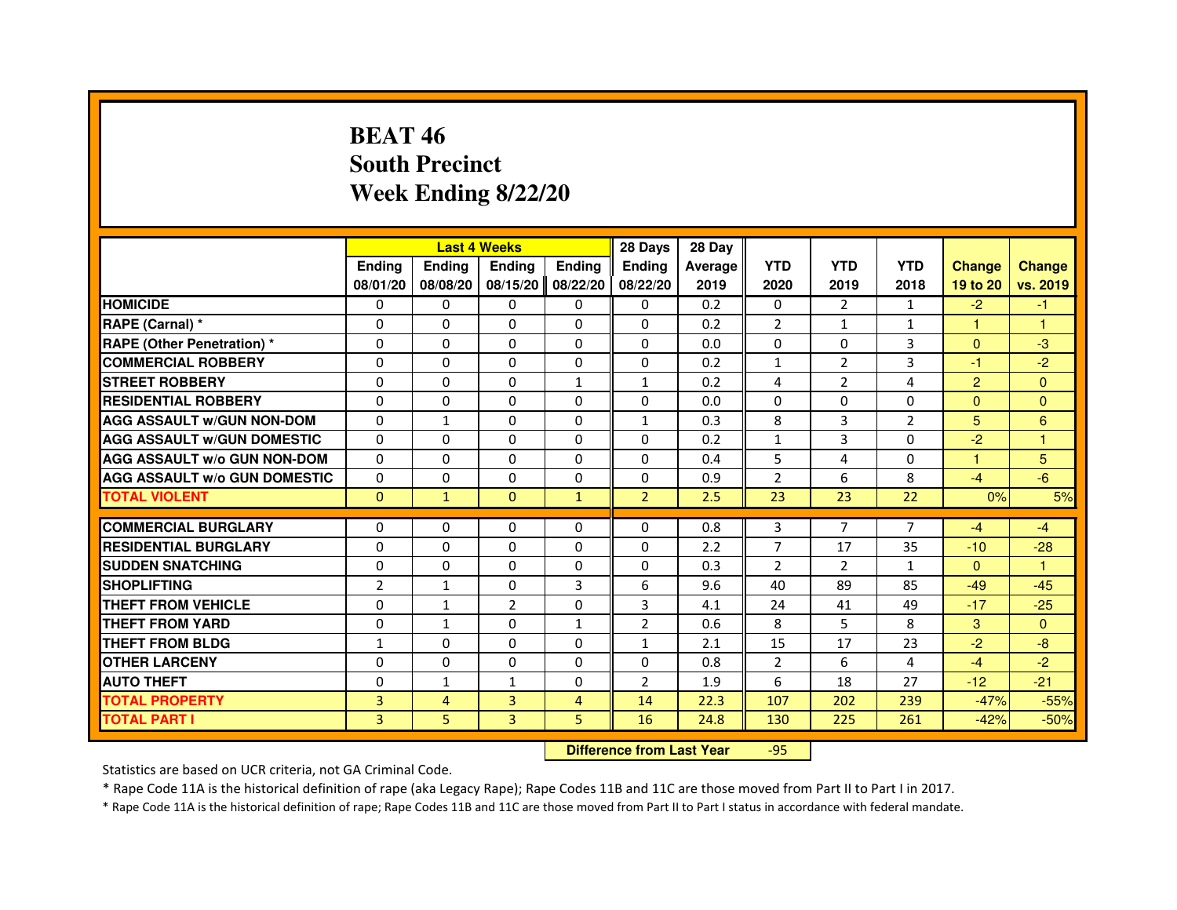# **BEAT 46 South PrecinctWeek Ending 8/22/20**

|                                     |                |                | <b>Last 4 Weeks</b>              |                | 28 Days        | 28 Day  |                |                |                |                |                |
|-------------------------------------|----------------|----------------|----------------------------------|----------------|----------------|---------|----------------|----------------|----------------|----------------|----------------|
|                                     | <b>Ending</b>  | <b>Ending</b>  | <b>Ending</b>                    | <b>Ending</b>  | <b>Ending</b>  | Average | <b>YTD</b>     | <b>YTD</b>     | <b>YTD</b>     | <b>Change</b>  | <b>Change</b>  |
|                                     | 08/01/20       | 08/08/20       | 08/15/20                         | 08/22/20       | 08/22/20       | 2019    | 2020           | 2019           | 2018           | 19 to 20       | vs. 2019       |
| <b>HOMICIDE</b>                     | $\Omega$       | $\Omega$       | $\Omega$                         | $\mathbf{0}$   | $\Omega$       | 0.2     | $\Omega$       | 2              | $\mathbf{1}$   | $-2$           | $-1$           |
| RAPE (Carnal) *                     | 0              | $\mathbf{0}$   | 0                                | $\Omega$       | $\mathbf{0}$   | 0.2     | $\overline{2}$ | $\mathbf{1}$   | $\mathbf{1}$   | $\mathbf{1}$   | $\mathbf{1}$   |
| <b>RAPE (Other Penetration) *</b>   | $\Omega$       | $\Omega$       | $\Omega$                         | $\Omega$       | $\Omega$       | 0.0     | $\Omega$       | $\Omega$       | 3              | $\mathbf{0}$   | $-3$           |
| <b>COMMERCIAL ROBBERY</b>           | $\Omega$       | $\Omega$       | $\Omega$                         | $\Omega$       | 0              | 0.2     | $\mathbf{1}$   | $\overline{2}$ | 3              | $-1$           | $-2$           |
| <b>STREET ROBBERY</b>               | 0              | $\Omega$       | 0                                | $\mathbf{1}$   | $\mathbf{1}$   | 0.2     | 4              | $\overline{2}$ | 4              | $\overline{2}$ | $\Omega$       |
| <b>RESIDENTIAL ROBBERY</b>          | 0              | $\Omega$       | 0                                | $\Omega$       | $\Omega$       | 0.0     | $\Omega$       | $\Omega$       | $\Omega$       | $\Omega$       | $\mathbf{0}$   |
| <b>AGG ASSAULT W/GUN NON-DOM</b>    | $\Omega$       | $\mathbf{1}$   | 0                                | $\Omega$       | $\mathbf{1}$   | 0.3     | 8              | 3              | $\overline{2}$ | 5              | 6              |
| <b>AGG ASSAULT W/GUN DOMESTIC</b>   | $\Omega$       | $\Omega$       | $\Omega$                         | $\Omega$       | $\Omega$       | 0.2     | $\mathbf{1}$   | 3              | $\Omega$       | $-2$           | $\mathbf{1}$   |
| <b>AGG ASSAULT W/o GUN NON-DOM</b>  | $\Omega$       | $\mathbf{0}$   | 0                                | $\mathbf{0}$   | 0              | 0.4     | 5              | 4              | 0              | $\mathbf{1}$   | 5              |
| <b>AGG ASSAULT W/o GUN DOMESTIC</b> | 0              | 0              | 0                                | $\Omega$       | $\Omega$       | 0.9     | $\overline{2}$ | 6              | 8              | $-4$           | $-6$           |
| <b>TOTAL VIOLENT</b>                | $\mathbf{0}$   | $\mathbf{1}$   | $\mathbf{0}$                     | $\mathbf{1}$   | $\overline{2}$ | 2.5     | 23             | 23             | 22             | 0%             | 5%             |
| <b>COMMERCIAL BURGLARY</b>          | 0              | 0              | 0                                | $\mathbf{0}$   | 0              | 0.8     | 3              | $\overline{7}$ | $\overline{7}$ | $-4$           | $-4$           |
| <b>RESIDENTIAL BURGLARY</b>         | $\Omega$       | $\Omega$       | $\Omega$                         | $\Omega$       | $\mathbf{0}$   | 2.2     | $\overline{7}$ | 17             | 35             | $-10$          | $-28$          |
| <b>SUDDEN SNATCHING</b>             | $\Omega$       | $\Omega$       | $\Omega$                         | $\Omega$       | $\Omega$       | 0.3     | $\overline{2}$ | $\overline{2}$ | $\mathbf{1}$   | $\Omega$       | 1              |
| <b>SHOPLIFTING</b>                  | 2              | $\mathbf{1}$   | 0                                | 3              | 6              | 9.6     | 40             | 89             | 85             | $-49$          | $-45$          |
| <b>THEFT FROM VEHICLE</b>           | 0              | $\mathbf{1}$   | $\overline{2}$                   | $\Omega$       | 3              | 4.1     | 24             | 41             | 49             | $-17$          | $-25$          |
| THEFT FROM YARD                     | 0              | $\mathbf{1}$   | 0                                | $\mathbf{1}$   | $\overline{2}$ | 0.6     | 8              | 5              | 8              | 3              | $\overline{0}$ |
| <b>THEFT FROM BLDG</b>              | $\mathbf{1}$   | $\Omega$       | $\Omega$                         | $\Omega$       | $\mathbf{1}$   | 2.1     | 15             | 17             | 23             | $-2$           | $-8$           |
| <b>OTHER LARCENY</b>                | 0              | $\Omega$       | 0                                | $\Omega$       | $\Omega$       | 0.8     | $\overline{2}$ | 6              | 4              | $-4$           | $-2$           |
| <b>AUTO THEFT</b>                   | $\Omega$       | $\mathbf{1}$   | $\mathbf{1}$                     | $\Omega$       | $\overline{2}$ | 1.9     | 6              | 18             | 27             | $-12$          | $-21$          |
| <b>TOTAL PROPERTY</b>               | $\overline{3}$ | $\overline{4}$ | $\overline{3}$                   | $\overline{4}$ | 14             | 22.3    | 107            | 202            | 239            | $-47%$         | $-55%$         |
| <b>TOTAL PART I</b>                 | 3              | 5              | 3                                | 5              | 16             | 24.8    | 130            | 225            | 261            | $-42%$         | $-50%$         |
|                                     |                |                | <b>Difference from Last Year</b> |                | $-95$          |         |                |                |                |                |                |

 **Difference from Last Year**

Statistics are based on UCR criteria, not GA Criminal Code.

\* Rape Code 11A is the historical definition of rape (aka Legacy Rape); Rape Codes 11B and 11C are those moved from Part II to Part I in 2017.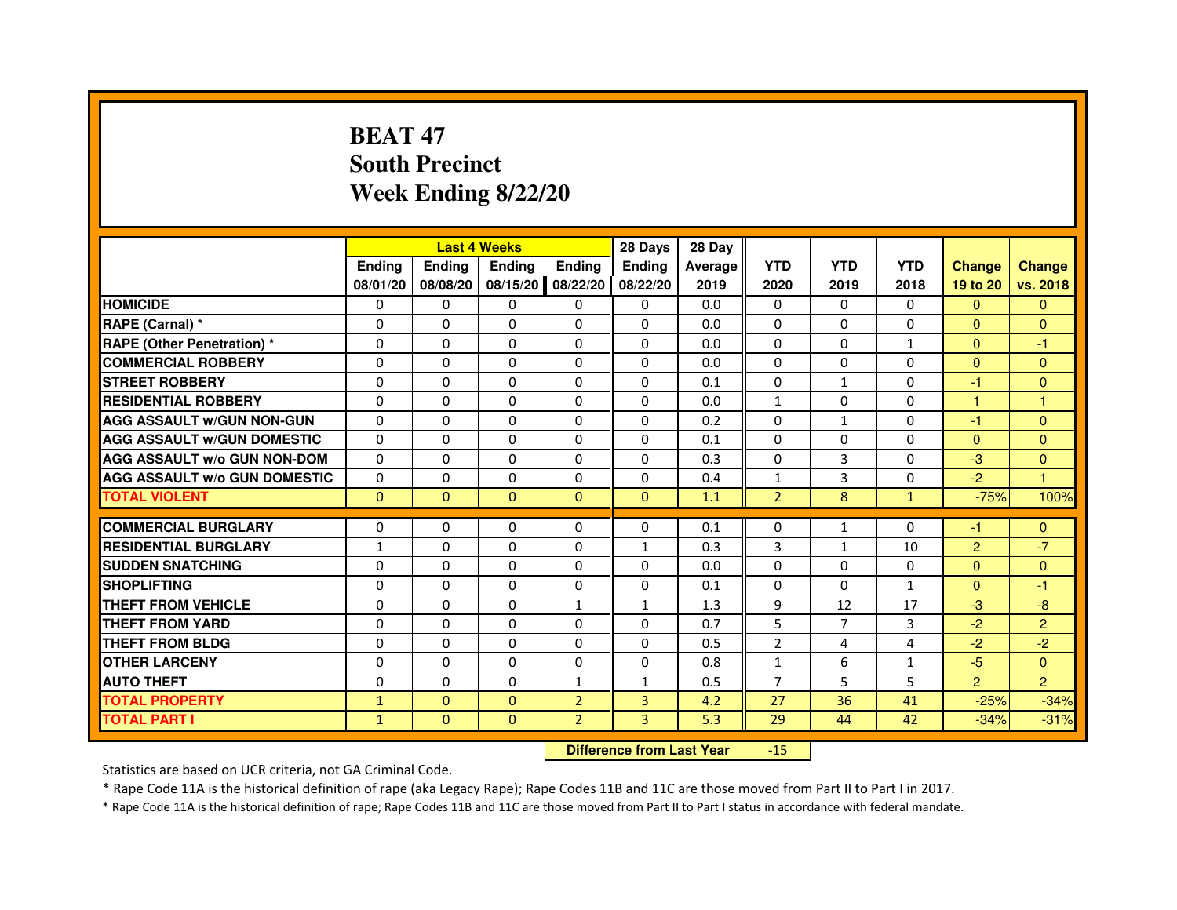# **BEAT 47 South PrecinctWeek Ending 8/22/20**

|                                     |               | <b>Last 4 Weeks</b> |               |                | 28 Days       | 28 Day  |                |                |              |                |                |
|-------------------------------------|---------------|---------------------|---------------|----------------|---------------|---------|----------------|----------------|--------------|----------------|----------------|
|                                     | <b>Endina</b> | <b>Endina</b>       | <b>Endina</b> | <b>Endina</b>  | <b>Ending</b> | Average | <b>YTD</b>     | <b>YTD</b>     | <b>YTD</b>   | <b>Change</b>  | <b>Change</b>  |
|                                     | 08/01/20      | 08/08/20            | 08/15/20      | 08/22/20       | 08/22/20      | 2019    | 2020           | 2019           | 2018         | 19 to 20       | vs. 2018       |
| <b>HOMICIDE</b>                     | 0             | $\Omega$            | 0             | 0              | $\Omega$      | 0.0     | $\mathbf{0}$   | 0              | $\mathbf{0}$ | $\Omega$       | $\mathbf{0}$   |
| RAPE (Carnal) *                     | $\Omega$      | $\Omega$            | $\Omega$      | $\Omega$       | $\Omega$      | 0.0     | $\Omega$       | $\Omega$       | $\Omega$     | $\Omega$       | $\mathbf{0}$   |
| <b>RAPE (Other Penetration)*</b>    | $\Omega$      | $\Omega$            | $\Omega$      | 0              | $\Omega$      | 0.0     | $\Omega$       | 0              | $\mathbf{1}$ | $\mathbf{0}$   | -1             |
| <b>COMMERCIAL ROBBERY</b>           | $\Omega$      | $\Omega$            | $\Omega$      | $\Omega$       | $\Omega$      | 0.0     | $\Omega$       | $\Omega$       | $\Omega$     | $\mathbf{0}$   | $\overline{0}$ |
| <b>STREET ROBBERY</b>               | $\Omega$      | $\Omega$            | $\Omega$      | $\Omega$       | $\Omega$      | 0.1     | $\Omega$       | $\mathbf{1}$   | 0            | -1             | $\mathbf{0}$   |
| <b>RESIDENTIAL ROBBERY</b>          | 0             | 0                   | 0             | 0              | 0             | 0.0     | $\mathbf{1}$   | 0              | 0            | 1              | 1              |
| <b>AGG ASSAULT W/GUN NON-GUN</b>    | $\Omega$      | $\Omega$            | $\Omega$      | $\Omega$       | $\Omega$      | 0.2     | $\Omega$       | $\mathbf{1}$   | $\Omega$     | $-1$           | $\mathbf{0}$   |
| <b>AGG ASSAULT W/GUN DOMESTIC</b>   | $\Omega$      | $\Omega$            | $\Omega$      | $\Omega$       | $\Omega$      | 0.1     | $\Omega$       | $\Omega$       | $\Omega$     | $\Omega$       | $\mathbf{0}$   |
| <b>AGG ASSAULT W/o GUN NON-DOM</b>  | $\Omega$      | $\Omega$            | $\Omega$      | $\Omega$       | $\Omega$      | 0.3     | $\Omega$       | 3              | $\Omega$     | $-3$           | $\Omega$       |
| <b>AGG ASSAULT W/o GUN DOMESTIC</b> | $\Omega$      | $\Omega$            | $\Omega$      | $\Omega$       | $\Omega$      | 0.4     | $\mathbf{1}$   | 3              | 0            | $-2$           | $\mathbf{1}$   |
| <b>TOTAL VIOLENT</b>                | $\mathbf{0}$  | $\mathbf{0}$        | $\mathbf{0}$  | $\Omega$       | $\mathbf{0}$  | 1.1     | $\overline{2}$ | 8              | $\mathbf{1}$ | $-75%$         | 100%           |
|                                     |               |                     |               |                |               |         |                |                |              |                |                |
| <b>COMMERCIAL BURGLARY</b>          | 0             | 0                   | 0             | 0              | 0             | 0.1     | 0              | $\mathbf{1}$   | 0            | -1             | $\mathbf{0}$   |
| <b>RESIDENTIAL BURGLARY</b>         | $\mathbf{1}$  | $\Omega$            | $\Omega$      | $\Omega$       | $\mathbf{1}$  | 0.3     | 3              | $\mathbf{1}$   | 10           | $\overline{2}$ | $-7$           |
| <b>SUDDEN SNATCHING</b>             | $\Omega$      | $\Omega$            | $\Omega$      | $\Omega$       | $\Omega$      | 0.0     | $\Omega$       | $\Omega$       | 0            | $\Omega$       | $\mathbf{0}$   |
| <b>SHOPLIFTING</b>                  | $\Omega$      | $\Omega$            | $\Omega$      | $\Omega$       | $\Omega$      | 0.1     | $\Omega$       | $\Omega$       | $\mathbf{1}$ | $\Omega$       | $-1$           |
| <b>THEFT FROM VEHICLE</b>           | $\Omega$      | $\Omega$            | $\Omega$      | $\mathbf{1}$   | $\mathbf{1}$  | 1.3     | 9              | 12             | 17           | $-3$           | $-8$           |
| <b>THEFT FROM YARD</b>              | 0             | 0                   | $\Omega$      | 0              | $\Omega$      | 0.7     | 5              | $\overline{7}$ | 3            | $-2$           | $\overline{2}$ |
| <b>THEFT FROM BLDG</b>              | $\Omega$      | $\Omega$            | $\Omega$      | $\Omega$       | $\Omega$      | 0.5     | 2              | 4              | 4            | $-2$           | $-2$           |
| <b>OTHER LARCENY</b>                | $\Omega$      | $\Omega$            | $\Omega$      | $\Omega$       | $\Omega$      | 0.8     | $\mathbf{1}$   | 6              | $\mathbf{1}$ | $-5$           | $\Omega$       |
| <b>AUTO THEFT</b>                   | $\Omega$      | $\Omega$            | $\Omega$      | $\mathbf{1}$   | $\mathbf{1}$  | 0.5     | $\overline{7}$ | 5              | 5            | $\overline{2}$ | $\overline{2}$ |
| <b>TOTAL PROPERTY</b>               | $\mathbf{1}$  | $\mathbf{0}$        | $\Omega$      | $\overline{2}$ | 3             | 4.2     | 27             | 36             | 41           | $-25%$         | $-34%$         |
| TOTAL PART I                        | $\mathbf{1}$  | $\Omega$            | $\Omega$      | $\overline{2}$ | 3             | 5.3     | 29             | 44             | 42           | $-34%$         | $-31%$         |

 **Difference from Last Year**-15

Statistics are based on UCR criteria, not GA Criminal Code.

\* Rape Code 11A is the historical definition of rape (aka Legacy Rape); Rape Codes 11B and 11C are those moved from Part II to Part I in 2017.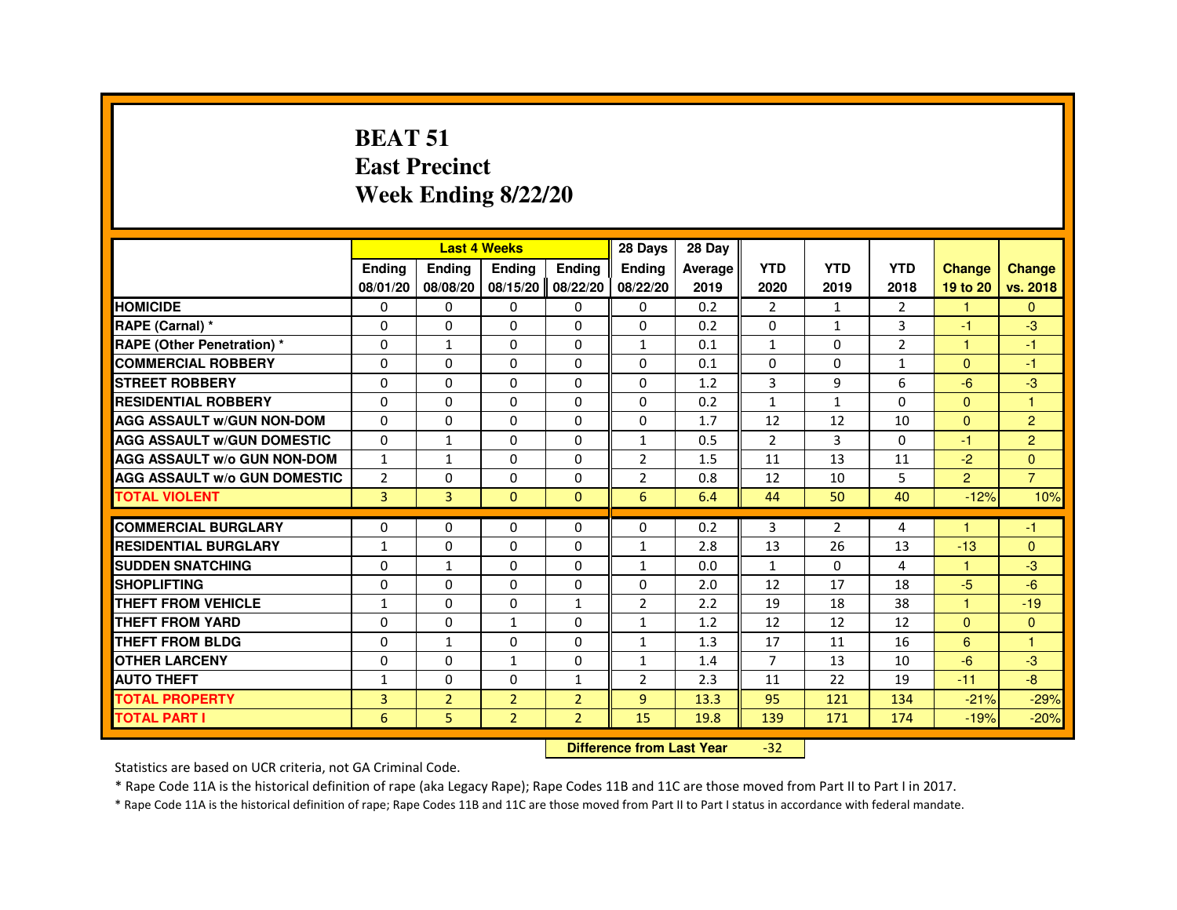#### **BEAT 51 East PrecinctWeek Ending 8/22/20**

|                                     |                |                | <b>Last 4 Weeks</b>              |                   | 28 Days        | 28 Day  |                |                |                |                      |                |
|-------------------------------------|----------------|----------------|----------------------------------|-------------------|----------------|---------|----------------|----------------|----------------|----------------------|----------------|
|                                     | <b>Ending</b>  | Ending         | Ending                           | <b>Ending</b>     | <b>Ending</b>  | Average | <b>YTD</b>     | <b>YTD</b>     | <b>YTD</b>     | <b>Change</b>        | <b>Change</b>  |
|                                     | 08/01/20       | 08/08/20       |                                  | 08/15/20 08/22/20 | 08/22/20       | 2019    | 2020           | 2019           | 2018           | 19 to 20             | vs. 2018       |
| <b>HOMICIDE</b>                     | 0              | $\Omega$       | $\Omega$                         | $\mathbf{0}$      | 0              | 0.2     | $\overline{2}$ | $\mathbf{1}$   | $\overline{2}$ | $\mathbf{1}$         | $\Omega$       |
| RAPE (Carnal) *                     | 0              | 0              | 0                                | 0                 | 0              | 0.2     | 0              | $\mathbf{1}$   | 3              | $-1$                 | $-3$           |
| <b>RAPE (Other Penetration) *</b>   | 0              | $\mathbf{1}$   | 0                                | $\Omega$          | $\mathbf{1}$   | 0.1     | $\mathbf{1}$   | $\Omega$       | $\overline{2}$ | $\mathbf{1}$         | $-1$           |
| <b>COMMERCIAL ROBBERY</b>           | $\Omega$       | $\Omega$       | $\Omega$                         | $\Omega$          | $\Omega$       | 0.1     | $\Omega$       | $\Omega$       | $\mathbf{1}$   | $\Omega$             | $-1$           |
| <b>STREET ROBBERY</b>               | 0              | $\Omega$       | $\Omega$                         | 0                 | $\Omega$       | 1.2     | 3              | 9              | 6              | $-6$                 | $-3$           |
| <b>RESIDENTIAL ROBBERY</b>          | 0              | 0              | 0                                | 0                 | 0              | 0.2     | 1              | $\mathbf{1}$   | $\Omega$       | $\mathbf{0}$         | $\overline{1}$ |
| <b>AGG ASSAULT w/GUN NON-DOM</b>    | $\Omega$       | $\Omega$       | 0                                | $\Omega$          | $\Omega$       | 1.7     | 12             | 12             | 10             | $\mathbf{0}$         | $\overline{2}$ |
| <b>AGG ASSAULT W/GUN DOMESTIC</b>   | $\Omega$       | $\mathbf{1}$   | $\Omega$                         | $\Omega$          | $\mathbf{1}$   | 0.5     | $\overline{2}$ | 3              | $\Omega$       | $-1$                 | $\overline{2}$ |
| <b>AGG ASSAULT w/o GUN NON-DOM</b>  | $\mathbf{1}$   | $\mathbf{1}$   | 0                                | 0                 | $\overline{2}$ | 1.5     | 11             | 13             | 11             | $-2$                 | $\overline{0}$ |
| <b>AGG ASSAULT W/o GUN DOMESTIC</b> | $\overline{2}$ | 0              | 0                                | 0                 | $\overline{2}$ | 0.8     | 12             | 10             | 5              | 2 <sup>1</sup>       | $\overline{7}$ |
| <b>TOTAL VIOLENT</b>                | 3              | $\overline{3}$ | $\Omega$                         | $\mathbf{0}$      | 6              | 6.4     | 44             | 50             | 40             | $-12%$               | 10%            |
| <b>COMMERCIAL BURGLARY</b>          | 0              | 0              | 0                                | 0                 | 0              | 0.2     | 3              | $\overline{2}$ | 4              |                      | -1             |
| <b>RESIDENTIAL BURGLARY</b>         | $\mathbf{1}$   | $\Omega$       | $\Omega$                         | $\Omega$          | $\mathbf{1}$   | 2.8     | 13             | 26             | 13             | $-13$                | $\Omega$       |
| <b>SUDDEN SNATCHING</b>             | 0              | $\mathbf{1}$   | $\Omega$                         | $\Omega$          | $\mathbf{1}$   | 0.0     | $\mathbf{1}$   | $\Omega$       | 4              | $\blacktriangleleft$ | $-3$           |
| <b>SHOPLIFTING</b>                  | 0              | 0              | 0                                | 0                 | 0              | 2.0     | 12             | 17             | 18             | $-5$                 | $-6$           |
| THEFT FROM VEHICLE                  | $\mathbf{1}$   | 0              | 0                                | $\mathbf{1}$      | $\overline{2}$ | 2.2     | 19             | 18             | 38             | $\blacktriangleleft$ | $-19$          |
| <b>THEFT FROM YARD</b>              | $\mathbf 0$    | $\Omega$       | $\mathbf{1}$                     | $\Omega$          | $\mathbf{1}$   | 1.2     | 12             | 12             | 12             | $\Omega$             | $\mathbf{0}$   |
| <b>THEFT FROM BLDG</b>              | 0              | $\mathbf{1}$   | 0                                | $\Omega$          | $\mathbf{1}$   | 1.3     | 17             | 11             | 16             | 6                    | $\overline{1}$ |
| <b>OTHER LARCENY</b>                | $\Omega$       | $\Omega$       | $\mathbf{1}$                     | $\Omega$          | $\mathbf{1}$   | 1.4     | $\overline{7}$ | 13             | 10             | $-6$                 | $-3$           |
| <b>AUTO THEFT</b>                   | $\mathbf{1}$   | 0              | 0                                | $\mathbf{1}$      | $\overline{2}$ | 2.3     | 11             | 22             | 19             | $-11$                | $-8$           |
| <b>TOTAL PROPERTY</b>               | $\overline{3}$ | $\overline{2}$ | $\overline{2}$                   | $\overline{2}$    | $\overline{9}$ | 13.3    | 95             | 121            | 134            | $-21%$               | $-29%$         |
| <b>TOTAL PART I</b>                 | 6              | 5              | $\overline{2}$                   | $\overline{2}$    | 15             | 19.8    | 139            | 171            | 174            | $-19%$               | $-20%$         |
|                                     |                |                | <b>Difference from Last Year</b> |                   | $-32$          |         |                |                |                |                      |                |

 **Difference from Last Year**

Statistics are based on UCR criteria, not GA Criminal Code.

\* Rape Code 11A is the historical definition of rape (aka Legacy Rape); Rape Codes 11B and 11C are those moved from Part II to Part I in 2017.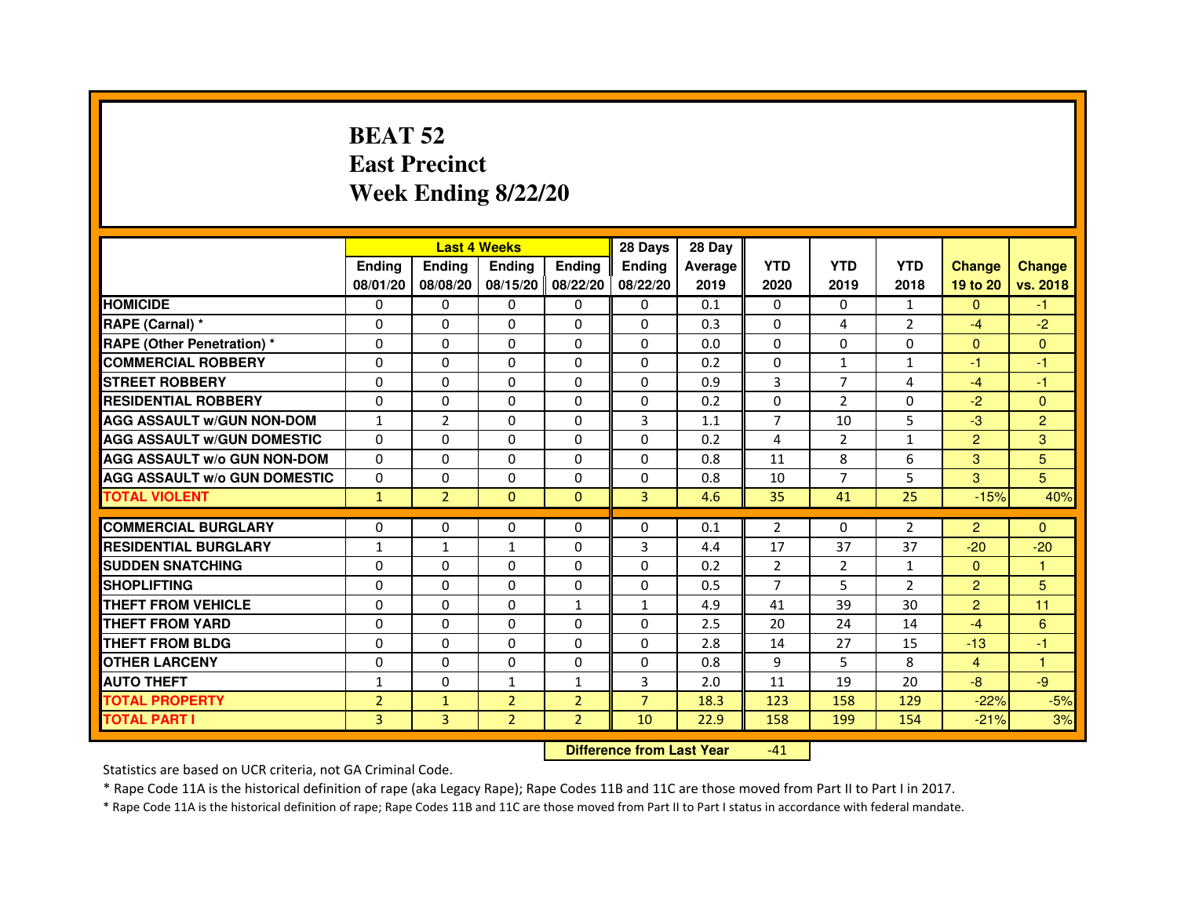# **BEAT 52 East PrecinctWeek Ending 8/22/20**

|                                     |                |                | <b>Last 4 Weeks</b> |                   | 28 Days        | 28 Day  |                |                |                |                |                      |
|-------------------------------------|----------------|----------------|---------------------|-------------------|----------------|---------|----------------|----------------|----------------|----------------|----------------------|
|                                     | <b>Endina</b>  | <b>Endina</b>  | <b>Endina</b>       | <b>Ending</b>     | <b>Endina</b>  | Average | <b>YTD</b>     | <b>YTD</b>     | <b>YTD</b>     | <b>Change</b>  | <b>Change</b>        |
|                                     | 08/01/20       | 08/08/20       |                     | 08/15/20 08/22/20 | 08/22/20       | 2019    | 2020           | 2019           | 2018           | 19 to 20       | vs. 2018             |
| <b>HOMICIDE</b>                     | 0              | 0              | 0                   | 0                 | 0              | 0.1     | 0              | 0              | $\mathbf{1}$   | $\mathbf{0}$   | -1.                  |
| RAPE (Carnal) *                     | $\Omega$       | $\Omega$       | $\Omega$            | $\Omega$          | $\Omega$       | 0.3     | $\Omega$       | 4              | 2              | $-4$           | $-2$                 |
| <b>RAPE (Other Penetration)</b> *   | 0              | $\Omega$       | 0                   | 0                 | 0              | 0.0     | $\Omega$       | $\Omega$       | $\Omega$       | $\Omega$       | $\mathbf{0}$         |
| <b>COMMERCIAL ROBBERY</b>           | 0              | 0              | 0                   | $\Omega$          | 0              | 0.2     | $\Omega$       | 1              | 1              | -1             | -1                   |
| <b>STREET ROBBERY</b>               | 0              | 0              | 0                   | 0                 | 0              | 0.9     | 3              | $\overline{7}$ | 4              | $-4$           | $-1$                 |
| <b>RESIDENTIAL ROBBERY</b>          | $\Omega$       | $\Omega$       | 0                   | 0                 | $\Omega$       | 0.2     | $\Omega$       | $\overline{2}$ | $\Omega$       | $-2$           | $\mathbf{0}$         |
| <b>AGG ASSAULT W/GUN NON-DOM</b>    | $\mathbf{1}$   | $\overline{2}$ | $\Omega$            | $\Omega$          | 3              | 1.1     | $\overline{7}$ | 10             | 5              | $-3$           | $\overline{2}$       |
| <b>AGG ASSAULT w/GUN DOMESTIC</b>   | $\Omega$       | $\Omega$       | 0                   | $\Omega$          | $\Omega$       | 0.2     | $\overline{a}$ | 2              | $\mathbf{1}$   | $\overline{2}$ | 3                    |
| <b>AGG ASSAULT w/o GUN NON-DOM</b>  | $\Omega$       | 0              | $\Omega$            | 0                 | $\Omega$       | 0.8     | 11             | 8              | 6              | 3              | 5                    |
| <b>AGG ASSAULT w/o GUN DOMESTIC</b> | $\Omega$       | 0              | 0                   | $\mathbf{0}$      | 0              | 0.8     | 10             | $\overline{7}$ | 5              | 3              | 5 <sup>5</sup>       |
| <b>TOTAL VIOLENT</b>                | $\mathbf{1}$   | $\overline{2}$ | $\Omega$            | $\mathbf{0}$      | $\overline{3}$ | 4.6     | 35             | 41             | 25             | $-15%$         | 40%                  |
|                                     |                |                |                     |                   |                |         |                |                |                |                |                      |
| <b>COMMERCIAL BURGLARY</b>          | 0              | 0              | 0                   | 0                 | $\Omega$       | 0.1     | 2              | 0              | 2              | $\overline{2}$ | $\Omega$             |
| <b>RESIDENTIAL BURGLARY</b>         | $\mathbf{1}$   | $\mathbf{1}$   | $\mathbf{1}$        | $\Omega$          | 3              | 4.4     | 17             | 37             | 37             | $-20$          | $-20$                |
| <b>SUDDEN SNATCHING</b>             | $\Omega$       | $\Omega$       | 0                   | 0                 | 0              | 0.2     | $\overline{2}$ | $\overline{2}$ | $\mathbf{1}$   | $\Omega$       | 1                    |
| <b>SHOPLIFTING</b>                  | $\Omega$       | 0              | $\Omega$            | 0                 | 0              | 0.5     | 7              | 5              | $\overline{2}$ | $\overline{2}$ | 5                    |
| <b>THEFT FROM VEHICLE</b>           | $\Omega$       | $\mathbf 0$    | $\Omega$            | $\mathbf{1}$      | $\mathbf{1}$   | 4.9     | 41             | 39             | 30             | $\overline{2}$ | 11                   |
| <b>THEFT FROM YARD</b>              | $\Omega$       | $\Omega$       | $\Omega$            | $\Omega$          | $\Omega$       | 2.5     | 20             | 24             | 14             | $-4$           | 6                    |
| <b>THEFT FROM BLDG</b>              | 0              | 0              | 0                   | 0                 | 0              | 2.8     | 14             | 27             | 15             | $-13$          | -1                   |
| <b>OTHER LARCENY</b>                | $\Omega$       | $\Omega$       | 0                   | 0                 | $\Omega$       | 0.8     | 9              | 5              | 8              | 4              | $\blacktriangleleft$ |
| <b>AUTO THEFT</b>                   | $\mathbf{1}$   | 0              | $\mathbf{1}$        | $\mathbf{1}$      | 3              | 2.0     | 11             | 19             | 20             | $-8$           | $-9$                 |
| <b>TOTAL PROPERTY</b>               | $\overline{2}$ | $\mathbf{1}$   | $\overline{2}$      | $\overline{2}$    | $\overline{7}$ | 18.3    | 123            | 158            | 129            | $-22%$         | $-5%$                |
| <b>TOTAL PART I</b>                 | $\overline{3}$ | 3              | $\overline{2}$      | $\overline{2}$    | 10             | 22.9    | 158            | 199            | 154            | $-21%$         | 3%                   |

 **Difference from Last Year**-41

Statistics are based on UCR criteria, not GA Criminal Code.

\* Rape Code 11A is the historical definition of rape (aka Legacy Rape); Rape Codes 11B and 11C are those moved from Part II to Part I in 2017.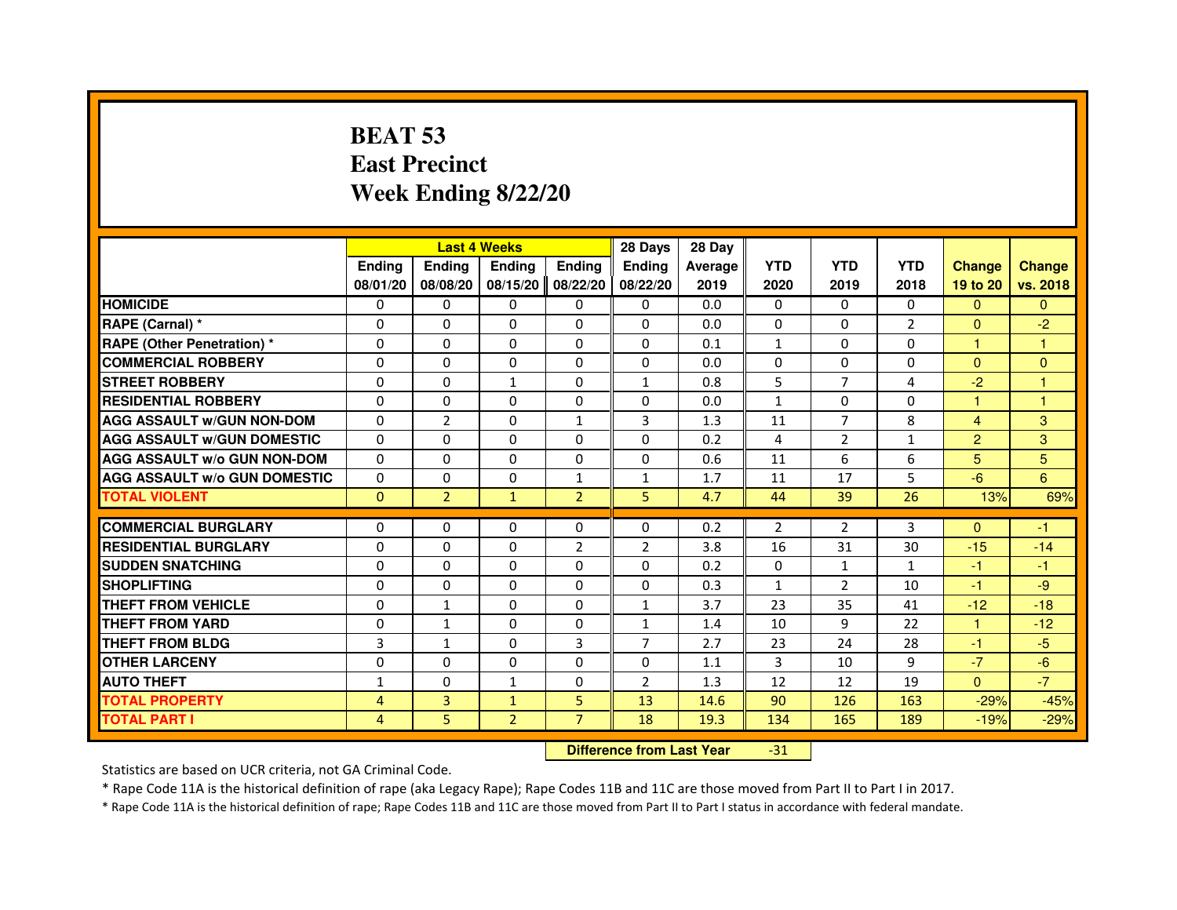# **BEAT 53 East PrecinctWeek Ending 8/22/20**

|                                     |                |                | <b>Last 4 Weeks</b>              |                | 28 Days        | 28 Day  |                |                |                |                         |                |
|-------------------------------------|----------------|----------------|----------------------------------|----------------|----------------|---------|----------------|----------------|----------------|-------------------------|----------------|
|                                     | <b>Ending</b>  | Ending         | <b>Ending</b>                    | <b>Ending</b>  | <b>Endina</b>  | Average | <b>YTD</b>     | <b>YTD</b>     | <b>YTD</b>     | <b>Change</b>           | <b>Change</b>  |
|                                     | 08/01/20       | 08/08/20       | 08/15/20                         | 08/22/20       | 08/22/20       | 2019    | 2020           | 2019           | 2018           | 19 to 20                | vs. 2018       |
| <b>HOMICIDE</b>                     | $\Omega$       | $\Omega$       | $\mathbf{0}$                     | $\mathbf{0}$   | $\mathbf{0}$   | 0.0     | $\Omega$       | 0              | $\Omega$       | $\Omega$                | $\mathbf{0}$   |
| RAPE (Carnal) *                     | 0              | $\Omega$       | $\Omega$                         | $\Omega$       | $\Omega$       | 0.0     | $\Omega$       | $\Omega$       | $\overline{2}$ | $\mathbf{0}$            | $-2$           |
| <b>RAPE (Other Penetration) *</b>   | $\Omega$       | $\Omega$       | $\Omega$                         | $\Omega$       | $\Omega$       | 0.1     | $\mathbf{1}$   | $\Omega$       | $\Omega$       | $\mathbf{1}$            | 1              |
| <b>COMMERCIAL ROBBERY</b>           | 0              | $\Omega$       | $\Omega$                         | $\Omega$       | $\Omega$       | 0.0     | $\Omega$       | $\Omega$       | $\Omega$       | $\mathbf{0}$            | $\overline{0}$ |
| <b>STREET ROBBERY</b>               | $\Omega$       | $\Omega$       | $\mathbf{1}$                     | $\Omega$       | $\mathbf{1}$   | 0.8     | 5              | $\overline{7}$ | 4              | $-2$                    | $\mathbf{1}$   |
| <b>RESIDENTIAL ROBBERY</b>          | $\Omega$       | $\Omega$       | $\Omega$                         | $\Omega$       | $\Omega$       | 0.0     | $\mathbf{1}$   | $\Omega$       | $\Omega$       | 1                       | 1              |
| <b>AGG ASSAULT w/GUN NON-DOM</b>    | $\Omega$       | $\overline{2}$ | $\Omega$                         | $\mathbf{1}$   | 3              | 1.3     | 11             | $\overline{7}$ | 8              | $\overline{\mathbf{4}}$ | 3              |
| <b>AGG ASSAULT W/GUN DOMESTIC</b>   | $\Omega$       | $\Omega$       | $\Omega$                         | $\Omega$       | $\Omega$       | 0.2     | $\overline{a}$ | $\overline{2}$ | $\mathbf{1}$   | $\overline{2}$          | 3              |
| <b>AGG ASSAULT w/o GUN NON-DOM</b>  | 0              | 0              | 0                                | 0              | $\mathbf{0}$   | 0.6     | 11             | 6              | 6              | 5                       | 5              |
| <b>AGG ASSAULT W/o GUN DOMESTIC</b> | $\Omega$       | 0              | $\Omega$                         | $\mathbf{1}$   | $\mathbf{1}$   | 1.7     | 11             | 17             | 5              | $-6$                    | 6              |
| <b>TOTAL VIOLENT</b>                | $\mathbf{0}$   | $\overline{2}$ | $\mathbf{1}$                     | $\overline{2}$ | 5              | 4.7     | 44             | 39             | 26             | 13%                     | 69%            |
| <b>COMMERCIAL BURGLARY</b>          | $\Omega$       | $\Omega$       | 0                                | $\Omega$       | 0              | 0.2     | $\overline{2}$ | $\overline{2}$ | 3              | $\Omega$                | $-1$           |
| <b>RESIDENTIAL BURGLARY</b>         | $\Omega$       | $\Omega$       | $\Omega$                         | $\overline{2}$ | $\overline{2}$ | 3.8     | 16             | 31             | 30             | $-15$                   | $-14$          |
| <b>SUDDEN SNATCHING</b>             | $\Omega$       | $\Omega$       | $\Omega$                         | $\Omega$       | $\Omega$       | 0.2     | $\Omega$       | $\mathbf{1}$   | $\mathbf{1}$   | $-1$                    | $-1$           |
| <b>SHOPLIFTING</b>                  | 0              | 0              | 0                                | 0              | 0              | 0.3     | $\mathbf{1}$   | $\overline{2}$ | 10             | $-1$                    | $-9$           |
| <b>THEFT FROM VEHICLE</b>           | $\Omega$       | $\mathbf{1}$   | $\Omega$                         | $\Omega$       | 1              | 3.7     | 23             | 35             | 41             | $-12$                   | $-18$          |
| <b>THEFT FROM YARD</b>              | 0              | $\mathbf{1}$   | $\Omega$                         | 0              | $\mathbf{1}$   | 1.4     | 10             | 9              | 22             | $\mathbf{1}$            | $-12$          |
| <b>THEFT FROM BLDG</b>              | 3              | $\mathbf{1}$   | $\Omega$                         | 3              | $\overline{7}$ | 2.7     | 23             | 24             | 28             | $-1$                    | $-5$           |
| <b>OTHER LARCENY</b>                | $\Omega$       | $\Omega$       | $\Omega$                         | $\Omega$       | $\Omega$       | 1.1     | 3              | 10             | 9              | $-7$                    | $-6$           |
| <b>AUTO THEFT</b>                   | $\mathbf{1}$   | $\Omega$       | $\mathbf{1}$                     | $\Omega$       | $\overline{2}$ | 1.3     | 12             | 12             | 19             | $\Omega$                | $-7$           |
| <b>TOTAL PROPERTY</b>               | 4              | 3              | $\mathbf{1}$                     | 5              | 13             | 14.6    | 90             | 126            | 163            | $-29%$                  | $-45%$         |
| <b>TOTAL PART I</b>                 | $\overline{4}$ | 5              | $\overline{2}$                   | $\overline{7}$ | 18             | 19.3    | 134            | 165            | 189            | $-19%$                  | $-29%$         |
|                                     |                |                | <b>Difference from Last Year</b> |                | $-31$          |         |                |                |                |                         |                |

 **Difference from Last Year**

Statistics are based on UCR criteria, not GA Criminal Code.

\* Rape Code 11A is the historical definition of rape (aka Legacy Rape); Rape Codes 11B and 11C are those moved from Part II to Part I in 2017.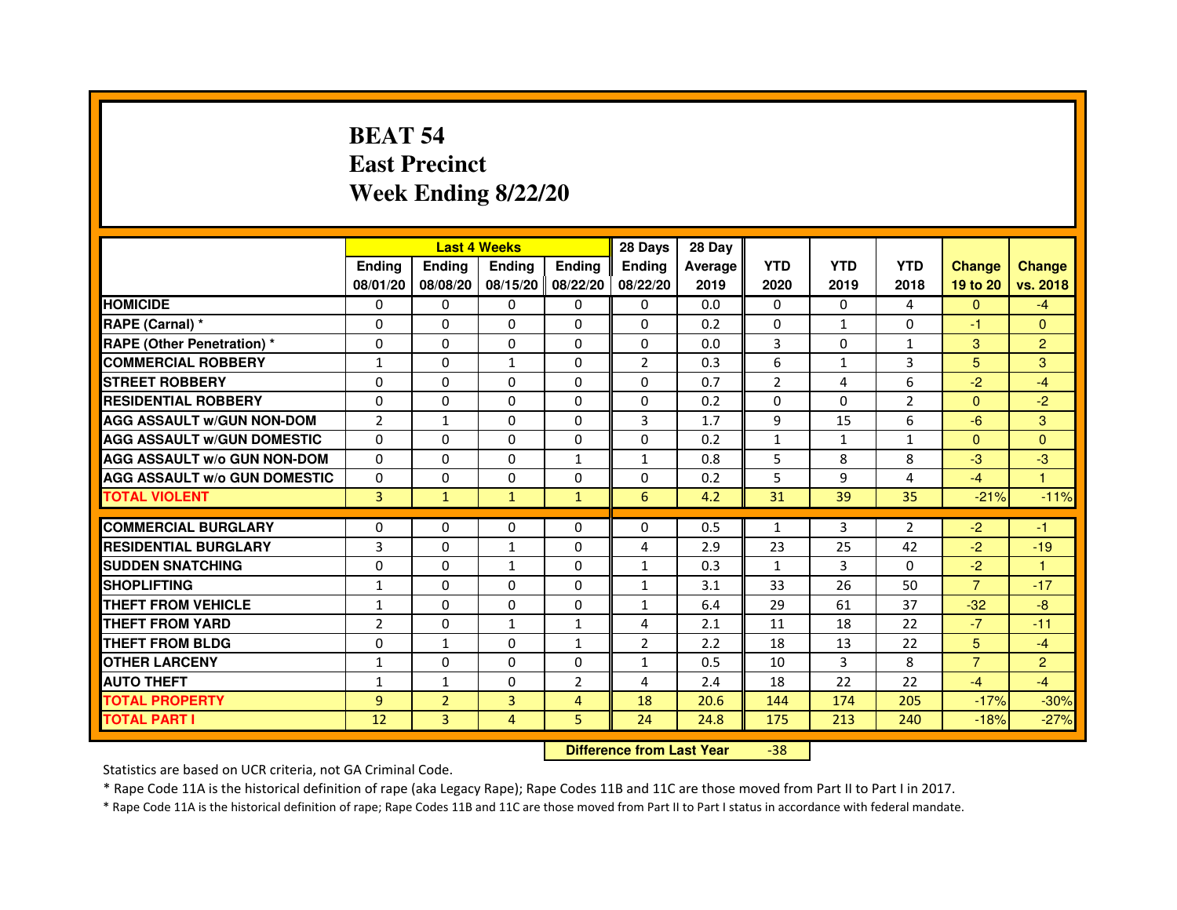# **BEAT 54 East PrecinctWeek Ending 8/22/20**

|                                     |                | <b>Last 4 Weeks</b> |                                  |                | 28 Days        | 28 Day  |                |              |                |                |                |
|-------------------------------------|----------------|---------------------|----------------------------------|----------------|----------------|---------|----------------|--------------|----------------|----------------|----------------|
|                                     | Ending         | Ending              | Ending                           | <b>Ending</b>  | Ending         | Average | <b>YTD</b>     | <b>YTD</b>   | <b>YTD</b>     | <b>Change</b>  | <b>Change</b>  |
|                                     | 08/01/20       | 08/08/20            | 08/15/20 08/22/20                |                | 08/22/20       | 2019    | 2020           | 2019         | 2018           | 19 to 20       | vs. 2018       |
| <b>HOMICIDE</b>                     | 0              | $\Omega$            | $\mathbf{0}$                     | $\Omega$       | 0              | 0.0     | $\Omega$       | $\Omega$     | 4              | $\Omega$       | $-4$           |
| RAPE (Carnal) *                     | 0              | 0                   | 0                                | 0              | 0              | 0.2     | 0              | $\mathbf{1}$ | $\Omega$       | $-1$           | $\mathbf{0}$   |
| <b>RAPE (Other Penetration) *</b>   | $\Omega$       | $\mathbf 0$         | $\Omega$                         | 0              | 0              | 0.0     | 3              | $\mathbf{0}$ | $\mathbf{1}$   | 3              | $\overline{2}$ |
| <b>COMMERCIAL ROBBERY</b>           | $\mathbf{1}$   | 0                   | $\mathbf{1}$                     | $\mathbf 0$    | $\overline{2}$ | 0.3     | 6              | $\mathbf{1}$ | 3              | 5              | 3              |
| <b>STREET ROBBERY</b>               | $\Omega$       | $\Omega$            | $\Omega$                         | $\Omega$       | $\Omega$       | 0.7     | $\overline{2}$ | 4            | 6              | $-2$           | $-4$           |
| <b>RESIDENTIAL ROBBERY</b>          | $\mathbf 0$    | $\mathbf 0$         | 0                                | 0              | 0              | 0.2     | $\Omega$       | $\mathbf{0}$ | $\overline{2}$ | $\Omega$       | $-2$           |
| <b>AGG ASSAULT w/GUN NON-DOM</b>    | $\overline{2}$ | $\mathbf{1}$        | $\Omega$                         | $\Omega$       | 3              | 1.7     | 9              | 15           | 6              | $-6$           | 3              |
| <b>AGG ASSAULT W/GUN DOMESTIC</b>   | $\Omega$       | $\Omega$            | $\mathbf 0$                      | $\Omega$       | 0              | 0.2     | $\mathbf{1}$   | $\mathbf{1}$ | $\mathbf{1}$   | $\Omega$       | $\Omega$       |
| <b>AGG ASSAULT W/o GUN NON-DOM</b>  | $\Omega$       | $\Omega$            | $\Omega$                         | $\mathbf{1}$   | $\mathbf{1}$   | 0.8     | 5              | 8            | 8              | $-3$           | $-3$           |
| <b>AGG ASSAULT w/o GUN DOMESTIC</b> | $\Omega$       | $\mathbf 0$         | $\Omega$                         | 0              | 0              | 0.2     | 5              | 9            | 4              | $-4$           | 1              |
| <b>TOTAL VIOLENT</b>                | 3              | $\mathbf{1}$        | $\mathbf{1}$                     | $\mathbf{1}$   | 6              | 4.2     | 31             | 39           | 35             | $-21%$         | $-11%$         |
| <b>COMMERCIAL BURGLARY</b>          | 0              | 0                   | 0                                | 0              | 0              | 0.5     | $\mathbf{1}$   | 3            | 2              | $-2$           | $-1$           |
| <b>RESIDENTIAL BURGLARY</b>         | 3              | $\mathbf 0$         | $\mathbf{1}$                     | 0              | 4              | 2.9     | 23             | 25           | 42             | $-2$           | $-19$          |
| <b>SUDDEN SNATCHING</b>             | $\Omega$       | $\Omega$            | $\mathbf{1}$                     | $\Omega$       | $\mathbf{1}$   | 0.3     | $\mathbf{1}$   | 3            | $\Omega$       | $-2$           | $\mathbf{1}$   |
| <b>SHOPLIFTING</b>                  | $\mathbf{1}$   | 0                   | $\Omega$                         | 0              | 1              | 3.1     | 33             | 26           | 50             | $\overline{7}$ | $-17$          |
| THEFT FROM VEHICLE                  | $\mathbf{1}$   | $\Omega$            | 0                                | 0              | $\mathbf{1}$   | 6.4     | 29             | 61           | 37             | $-32$          | $-8$           |
| <b>THEFT FROM YARD</b>              | $\overline{2}$ | 0                   | $\mathbf{1}$                     | $\mathbf{1}$   | 4              | 2.1     | 11             | 18           | 22             | $-7$           | $-11$          |
| <b>THEFT FROM BLDG</b>              | $\Omega$       | $\mathbf{1}$        | $\Omega$                         | $\mathbf{1}$   | $\overline{2}$ | 2.2     | 18             | 13           | 22             | 5              | $-4$           |
| <b>OTHER LARCENY</b>                | $\mathbf{1}$   | $\Omega$            | $\Omega$                         | $\Omega$       | 1              | 0.5     | 10             | 3            | 8              | $\overline{7}$ | $\overline{2}$ |
| <b>AUTO THEFT</b>                   | $\mathbf{1}$   | $\mathbf{1}$        | $\mathbf 0$                      | $\overline{2}$ | 4              | 2.4     | 18             | 22           | 22             | $-4$           | $-4$           |
| <b>TOTAL PROPERTY</b>               | 9              | $\overline{2}$      | $\overline{3}$                   | 4              | 18             | 20.6    | 144            | 174          | 205            | $-17%$         | $-30%$         |
| <b>TOTAL PART I</b>                 | 12             | 3                   | 4                                | 5              | 24             | 24.8    | 175            | 213          | 240            | $-18%$         | $-27%$         |
|                                     |                |                     | <b>Difference from Last Year</b> |                | $-38$          |         |                |              |                |                |                |

 **Difference from Last Year**

Statistics are based on UCR criteria, not GA Criminal Code.

\* Rape Code 11A is the historical definition of rape (aka Legacy Rape); Rape Codes 11B and 11C are those moved from Part II to Part I in 2017.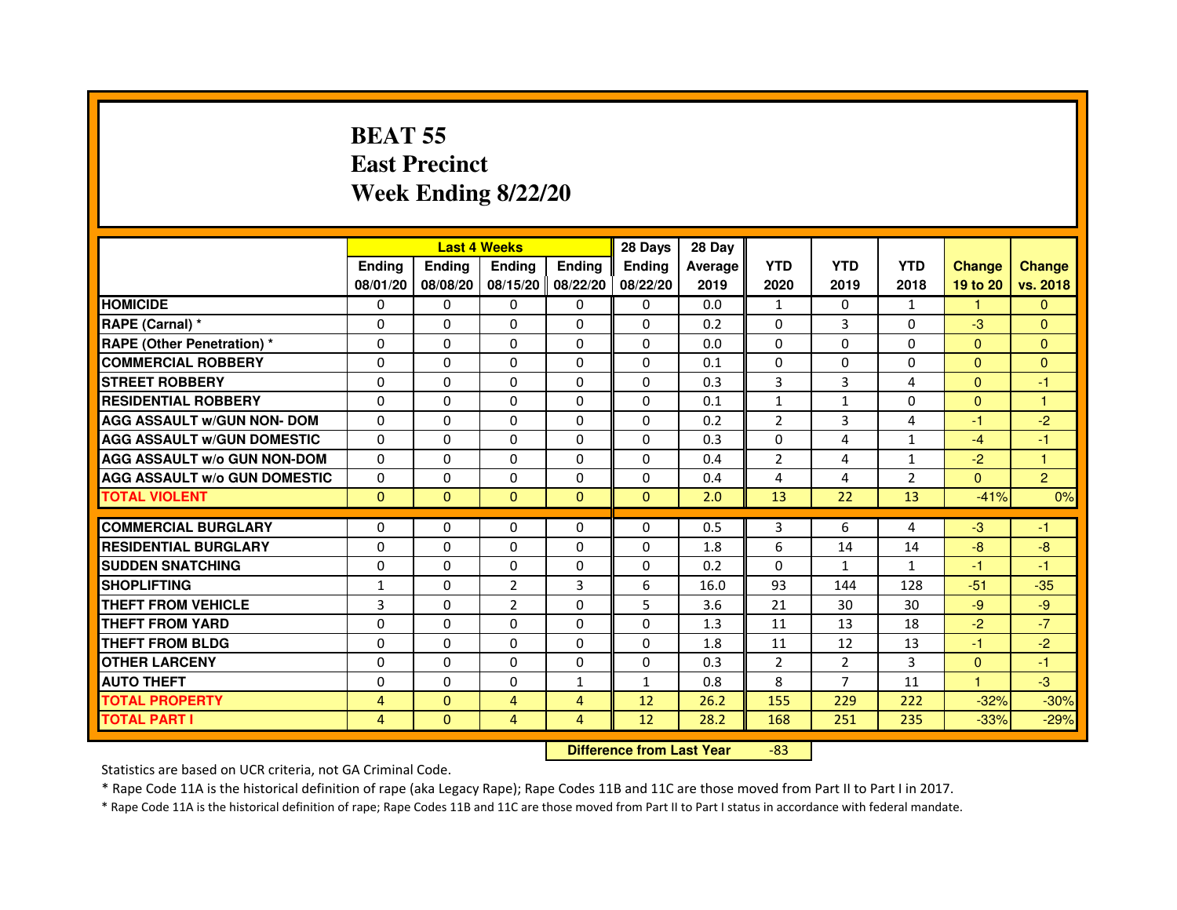# **BEAT 55 East PrecinctWeek Ending 8/22/20**

|                                     |                |                | <b>Last 4 Weeks</b>              |                | 28 Days       | 28 Day  |                |                |                |               |                |
|-------------------------------------|----------------|----------------|----------------------------------|----------------|---------------|---------|----------------|----------------|----------------|---------------|----------------|
|                                     | <b>Ending</b>  | <b>Ending</b>  | <b>Ending</b>                    | <b>Ending</b>  | <b>Ending</b> | Average | <b>YTD</b>     | <b>YTD</b>     | <b>YTD</b>     | <b>Change</b> | <b>Change</b>  |
|                                     | 08/01/20       | 08/08/20       | 08/15/20                         | 08/22/20       | 08/22/20      | 2019    | 2020           | 2019           | 2018           | 19 to 20      | vs. 2018       |
| <b>HOMICIDE</b>                     | $\Omega$       | $\Omega$       | $\mathbf{0}$                     | 0              | $\mathbf{0}$  | 0.0     | $\mathbf{1}$   | $\Omega$       | $\mathbf{1}$   | 1.            | $\mathbf{0}$   |
| RAPE (Carnal) *                     | 0              | $\Omega$       | $\Omega$                         | $\Omega$       | $\Omega$      | 0.2     | $\Omega$       | 3              | 0              | $-3$          | $\Omega$       |
| <b>RAPE (Other Penetration) *</b>   | $\mathbf{0}$   | $\Omega$       | $\Omega$                         | $\Omega$       | $\Omega$      | 0.0     | $\Omega$       | $\Omega$       | $\Omega$       | $\mathbf{0}$  | $\overline{0}$ |
| <b>COMMERCIAL ROBBERY</b>           | $\mathbf{0}$   | $\Omega$       | $\Omega$                         | $\Omega$       | $\Omega$      | 0.1     | $\Omega$       | $\Omega$       | $\Omega$       | $\Omega$      | $\mathbf{0}$   |
| <b>STREET ROBBERY</b>               | $\Omega$       | $\Omega$       | $\Omega$                         | $\Omega$       | $\Omega$      | 0.3     | 3              | 3              | 4              | $\Omega$      | $-1$           |
| <b>RESIDENTIAL ROBBERY</b>          | $\Omega$       | $\Omega$       | $\Omega$                         | $\Omega$       | $\Omega$      | 0.1     | $\mathbf{1}$   | $\mathbf{1}$   | $\Omega$       | $\Omega$      | 1              |
| <b>AGG ASSAULT w/GUN NON- DOM</b>   | $\mathbf{0}$   | $\Omega$       | $\Omega$                         | $\Omega$       | $\Omega$      | 0.2     | $\overline{2}$ | 3              | 4              | $-1$          | $-2$           |
| <b>AGG ASSAULT w/GUN DOMESTIC</b>   | $\Omega$       | $\Omega$       | $\Omega$                         | $\Omega$       | $\Omega$      | 0.3     | $\Omega$       | 4              | $\mathbf{1}$   | $-4$          | $-1$           |
| <b>AGG ASSAULT w/o GUN NON-DOM</b>  | $\Omega$       | $\mathbf{0}$   | $\Omega$                         | $\Omega$       | 0             | 0.4     | $\overline{2}$ | 4              | 1              | $-2$          | 1              |
| <b>AGG ASSAULT W/o GUN DOMESTIC</b> | $\Omega$       | $\Omega$       | $\Omega$                         | $\Omega$       | $\Omega$      | 0.4     | 4              | 4              | $\overline{2}$ | $\Omega$      | $\overline{2}$ |
| <b>TOTAL VIOLENT</b>                | $\mathbf{0}$   | $\overline{0}$ | $\mathbf{0}$                     | $\mathbf{0}$   | $\mathbf{0}$  | 2.0     | 13             | 22             | 13             | $-41%$        | 0%             |
| <b>COMMERCIAL BURGLARY</b>          | $\Omega$       | $\Omega$       | $\Omega$                         | $\Omega$       | 0             | 0.5     | 3              | 6              | 4              | $-3$          | $-1$           |
| <b>RESIDENTIAL BURGLARY</b>         | $\Omega$       | $\Omega$       | $\Omega$                         | $\Omega$       | $\Omega$      | 1.8     | 6              | 14             | 14             | $-8$          | $-8$           |
| <b>SUDDEN SNATCHING</b>             | $\Omega$       | $\Omega$       | $\Omega$                         | $\Omega$       | $\Omega$      | 0.2     | $\Omega$       | $\mathbf{1}$   | $\mathbf{1}$   | $-1$          | $-1$           |
| <b>SHOPLIFTING</b>                  | 1              | $\mathbf{0}$   | $\overline{2}$                   | 3              | 6             | 16.0    | 93             | 144            | 128            | $-51$         | $-35$          |
| <b>THEFT FROM VEHICLE</b>           | 3              | $\Omega$       | $\overline{2}$                   | $\Omega$       | 5             | 3.6     | 21             | 30             | 30             | $-9$          | $-9$           |
| <b>THEFT FROM YARD</b>              | $\mathbf{0}$   | $\Omega$       | $\Omega$                         | $\Omega$       | 0             | 1.3     | 11             | 13             | 18             | $-2$          | $-7$           |
| <b>THEFT FROM BLDG</b>              | $\Omega$       | $\Omega$       | $\Omega$                         | $\Omega$       | $\Omega$      | 1.8     | 11             | 12             | 13             | $-1$          | $-2$           |
| <b>OTHER LARCENY</b>                | $\Omega$       | $\Omega$       | $\Omega$                         | $\Omega$       | $\Omega$      | 0.3     | $\overline{2}$ | $\overline{2}$ | 3              | $\Omega$      | $-1$           |
| <b>AUTO THEFT</b>                   | $\mathbf{0}$   | $\Omega$       | $\Omega$                         | $\mathbf{1}$   | $\mathbf{1}$  | 0.8     | 8              | $\overline{7}$ | 11             | $\mathbf{1}$  | $-3$           |
| <b>TOTAL PROPERTY</b>               | 4              | $\mathbf{0}$   | $\overline{4}$                   | $\overline{4}$ | 12            | 26.2    | 155            | 229            | 222            | $-32%$        | $-30%$         |
| <b>TOTAL PART I</b>                 | $\overline{4}$ | $\mathbf{0}$   | $\overline{4}$                   | $\overline{4}$ | 12            | 28.2    | 168            | 251            | 235            | $-33%$        | $-29%$         |
|                                     |                |                | <b>Difference from Last Year</b> |                | $-83$         |         |                |                |                |               |                |

 **Difference from Last Year**

Statistics are based on UCR criteria, not GA Criminal Code.

\* Rape Code 11A is the historical definition of rape (aka Legacy Rape); Rape Codes 11B and 11C are those moved from Part II to Part I in 2017.